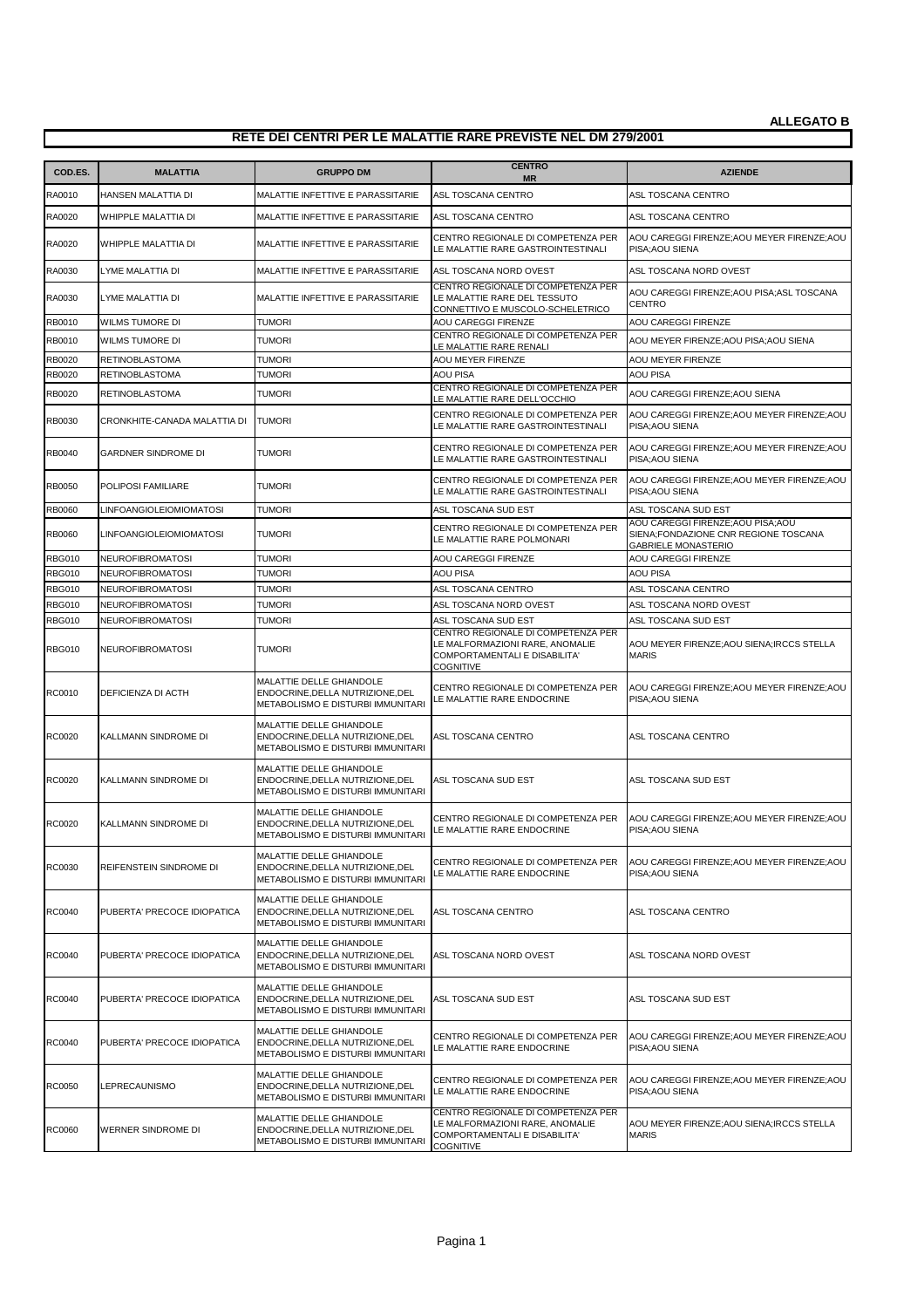| COD.ES.                        | <b>MALATTIA</b>                                    | <b>GRUPPO DM</b>                                                                                  | <b>CENTRO</b>                                                                                                                                     | <b>AZIENDE</b>                                                                                           |
|--------------------------------|----------------------------------------------------|---------------------------------------------------------------------------------------------------|---------------------------------------------------------------------------------------------------------------------------------------------------|----------------------------------------------------------------------------------------------------------|
| RA0010                         | HANSEN MALATTIA DI                                 | MALATTIE INFETTIVE E PARASSITARIE                                                                 | <b>MR</b><br>ASL TOSCANA CENTRO                                                                                                                   | ASL TOSCANA CENTRO                                                                                       |
| RA0020                         | WHIPPLE MALATTIA DI                                | MALATTIE INFETTIVE E PARASSITARIE                                                                 | ASL TOSCANA CENTRO                                                                                                                                | ASL TOSCANA CENTRO                                                                                       |
| RA0020                         | WHIPPLE MALATTIA DI                                | MALATTIE INFETTIVE E PARASSITARIE                                                                 | CENTRO REGIONALE DI COMPETENZA PER<br>LE MALATTIE RARE GASTROINTESTINALI                                                                          | AOU CAREGGI FIRENZE; AOU MEYER FIRENZE; AOU<br>PISA; AOU SIENA                                           |
| RA0030                         | LYME MALATTIA DI                                   | MALATTIE INFETTIVE E PARASSITARIE                                                                 | ASL TOSCANA NORD OVEST                                                                                                                            | ASL TOSCANA NORD OVEST                                                                                   |
| RA0030                         | LYME MALATTIA DI                                   | MALATTIE INFETTIVE E PARASSITARIE                                                                 | CENTRO REGIONALE DI COMPETENZA PER<br>LE MALATTIE RARE DEL TESSUTO<br>CONNETTIVO E MUSCOLO-SCHELETRICO                                            | AOU CAREGGI FIRENZE; AOU PISA; ASL TOSCANA<br><b>CENTRO</b>                                              |
| RB0010                         | WILMS TUMORE DI                                    | <b>TUMORI</b>                                                                                     | AOU CAREGGI FIRENZE                                                                                                                               | <b>AOU CAREGGI FIRENZE</b>                                                                               |
| RB0010                         | WILMS TUMORE DI                                    | <b>TUMORI</b>                                                                                     | CENTRO REGIONALE DI COMPETENZA PER<br>LE MALATTIE RARE RENALI                                                                                     | AOU MEYER FIRENZE: AOU PISA: AOU SIENA                                                                   |
| RB0020                         | <b>RETINOBLASTOMA</b>                              | <b>TUMORI</b>                                                                                     | AOU MEYER FIRENZE                                                                                                                                 | <b>AOU MEYER FIRENZE</b>                                                                                 |
| RB0020                         | <b>RETINOBLASTOMA</b>                              | Tumori                                                                                            | <b>AOU PISA</b>                                                                                                                                   | <b>AOU PISA</b>                                                                                          |
| RB0020                         | RETINOBLASTOMA                                     | TUMORI                                                                                            | CENTRO REGIONALE DI COMPETENZA PER<br>LE MALATTIE RARE DELL'OCCHIO                                                                                | AOU CAREGGI FIRENZE; AOU SIENA                                                                           |
| RB0030                         | CRONKHITE-CANADA MALATTIA DI                       | <b>TUMORI</b>                                                                                     | CENTRO REGIONALE DI COMPETENZA PER<br>LE MALATTIE RARE GASTROINTESTINALI                                                                          | AOU CAREGGI FIRENZE; AOU MEYER FIRENZE; AOU<br>PISA; AOU SIENA                                           |
| RB0040                         | <b>GARDNER SINDROME DI</b>                         | <b>TUMORI</b>                                                                                     | CENTRO REGIONALE DI COMPETENZA PER<br>LE MALATTIE RARE GASTROINTESTINALI                                                                          | AOU CAREGGI FIRENZE; AOU MEYER FIRENZE; AOU<br>PISA; AOU SIENA                                           |
| RB0050                         | POLIPOSI FAMILIARE                                 | <b>TUMORI</b>                                                                                     | CENTRO REGIONALE DI COMPETENZA PER<br>LE MALATTIE RARE GASTROINTESTINALI                                                                          | AOU CAREGGI FIRENZE; AOU MEYER FIRENZE; AOU<br>PISA; AOU SIENA                                           |
| <b>RB0060</b>                  | <b>LINFOANGIOLEIOMIOMATOSI</b>                     | <b>TUMORI</b>                                                                                     | ASL TOSCANA SUD EST                                                                                                                               | ASL TOSCANA SUD EST                                                                                      |
| RB0060                         | LINFOANGIOLEIOMIOMATOSI                            | <b>TUMORI</b>                                                                                     | CENTRO REGIONALE DI COMPETENZA PER<br>LE MALATTIE RARE POLMONARI                                                                                  | AOU CAREGGI FIRENZE; AOU PISA; AOU<br>SIENA;FONDAZIONE CNR REGIONE TOSCANA<br><b>GABRIELE MONASTERIO</b> |
| <b>RBG010</b>                  | <b>NEUROFIBROMATOSI</b>                            | Tumori                                                                                            | <b>AOU CAREGGI FIRENZE</b>                                                                                                                        | AOU CAREGGI FIRENZE                                                                                      |
| <b>RBG010</b>                  | <b>NEUROFIBROMATOSI</b>                            | <b>TUMORI</b>                                                                                     | <b>AOU PISA</b>                                                                                                                                   | <b>AOU PISA</b>                                                                                          |
| <b>RBG010</b>                  | <b>NEUROFIBROMATOSI</b>                            | <b>TUMORI</b>                                                                                     | ASL TOSCANA CENTRO                                                                                                                                | ASL TOSCANA CENTRO                                                                                       |
| <b>RBG010</b>                  | <b>NEUROFIBROMATOSI</b>                            | <b>TUMORI</b>                                                                                     | ASL TOSCANA NORD OVEST                                                                                                                            | ASL TOSCANA NORD OVEST                                                                                   |
| <b>RBG010</b><br><b>RBG010</b> | <b>NEUROFIBROMATOSI</b><br><b>NEUROFIBROMATOSI</b> | <b>TUMORI</b><br>TUMORI                                                                           | ASL TOSCANA SUD EST<br>CENTRO REGIONALE DI COMPETENZA PER<br>LE MALFORMAZIONI RARE, ANOMALIE<br>COMPORTAMENTALI E DISABILITA'<br><b>COGNITIVE</b> | ASL TOSCANA SUD EST<br>AOU MEYER FIRENZE; AOU SIENA; IRCCS STELLA<br><b>MARIS</b>                        |
| RC0010                         | DEFICIENZA DI ACTH                                 | MALATTIE DELLE GHIANDOLE<br>ENDOCRINE, DELLA NUTRIZIONE, DEL<br>METABOLISMO E DISTURBI IMMUNITARI | CENTRO REGIONALE DI COMPETENZA PER<br>LE MALATTIE RARE ENDOCRINE                                                                                  | AOU CAREGGI FIRENZE; AOU MEYER FIRENZE; AOU<br>PISA; AOU SIENA                                           |
| RC0020                         | KALLMANN SINDROME DI                               | MALATTIE DELLE GHIANDOLE<br>ENDOCRINE, DELLA NUTRIZIONE, DEL<br>METABOLISMO E DISTURBI IMMUNITARI | ASL TOSCANA CENTRO                                                                                                                                | ASL TOSCANA CENTRO                                                                                       |
| RC0020                         | KALLMANN SINDROME DI                               | MALATTIE DELLE GHIANDOLE<br>ENDOCRINE, DELLA NUTRIZIONE, DEL<br>METABOLISMO E DISTURBI IMMUNITARI | ASL TOSCANA SUD EST                                                                                                                               | ASL TOSCANA SUD EST                                                                                      |
| RC0020                         | KALLMANN SINDROME DI                               | MALATTIE DELLE GHIANDOLE<br>ENDOCRINE, DELLA NUTRIZIONE, DEL<br>METABOLISMO E DISTURBI IMMUNITARI | CENTRO REGIONALE DI COMPETENZA PER<br>LE MALATTIE RARE ENDOCRINE                                                                                  | AOU CAREGGI FIRENZE; AOU MEYER FIRENZE; AOU<br>PISA; AOU SIENA                                           |
| <b>RC0030</b>                  | REIFENSTEIN SINDROME DI                            | MALATTIE DELLE GHIANDOLE<br>ENDOCRINE, DELLA NUTRIZIONE, DEL<br>METABOLISMO E DISTURBI IMMUNITARI | CENTRO REGIONALE DI COMPETENZA PER<br>LE MALATTIE RARE ENDOCRINE                                                                                  | AOU CAREGGI FIRENZE; AOU MEYER FIRENZE; AOU<br>PISA; AOU SIENA                                           |
| RC0040                         | PUBERTA' PRECOCE IDIOPATICA                        | MALATTIE DELLE GHIANDOLE<br>ENDOCRINE, DELLA NUTRIZIONE, DEL<br>METABOLISMO E DISTURBI IMMUNITARI | ASL TOSCANA CENTRO                                                                                                                                | ASL TOSCANA CENTRO                                                                                       |
| RC0040                         | PUBERTA' PRECOCE IDIOPATICA                        | MALATTIE DELLE GHIANDOLE<br>ENDOCRINE, DELLA NUTRIZIONE, DEL<br>METABOLISMO E DISTURBI IMMUNITARI | ASL TOSCANA NORD OVEST                                                                                                                            | ASL TOSCANA NORD OVEST                                                                                   |
| RC0040                         | PUBERTA' PRECOCE IDIOPATICA                        | MALATTIE DELLE GHIANDOLE<br>ENDOCRINE, DELLA NUTRIZIONE, DEL<br>METABOLISMO E DISTURBI IMMUNITARI | ASL TOSCANA SUD EST                                                                                                                               | ASL TOSCANA SUD EST                                                                                      |
| RC0040                         | PUBERTA' PRECOCE IDIOPATICA                        | MALATTIE DELLE GHIANDOLE<br>ENDOCRINE, DELLA NUTRIZIONE, DEL<br>METABOLISMO E DISTURBI IMMUNITARI | CENTRO REGIONALE DI COMPETENZA PER<br>LE MALATTIE RARE ENDOCRINE                                                                                  | AOU CAREGGI FIRENZE; AOU MEYER FIRENZE; AOU<br>PISA; AOU SIENA                                           |
| RC0050                         | LEPRECAUNISMO                                      | MALATTIE DELLE GHIANDOLE<br>ENDOCRINE, DELLA NUTRIZIONE, DEL<br>METABOLISMO E DISTURBI IMMUNITARI | CENTRO REGIONALE DI COMPETENZA PER<br>LE MALATTIE RARE ENDOCRINE                                                                                  | AOU CAREGGI FIRENZE; AOU MEYER FIRENZE; AOU<br>PISA; AOU SIENA                                           |
| RC0060                         | WERNER SINDROME DI                                 | MALATTIE DELLE GHIANDOLE<br>ENDOCRINE, DELLA NUTRIZIONE, DEL<br>METABOLISMO E DISTURBI IMMUNITARI | CENTRO REGIONALE DI COMPETENZA PER<br>LE MALFORMAZIONI RARE, ANOMALIE<br>COMPORTAMENTALI E DISABILITA'<br><b>COGNITIVE</b>                        | AOU MEYER FIRENZE; AOU SIENA; IRCCS STELLA<br><b>MARIS</b>                                               |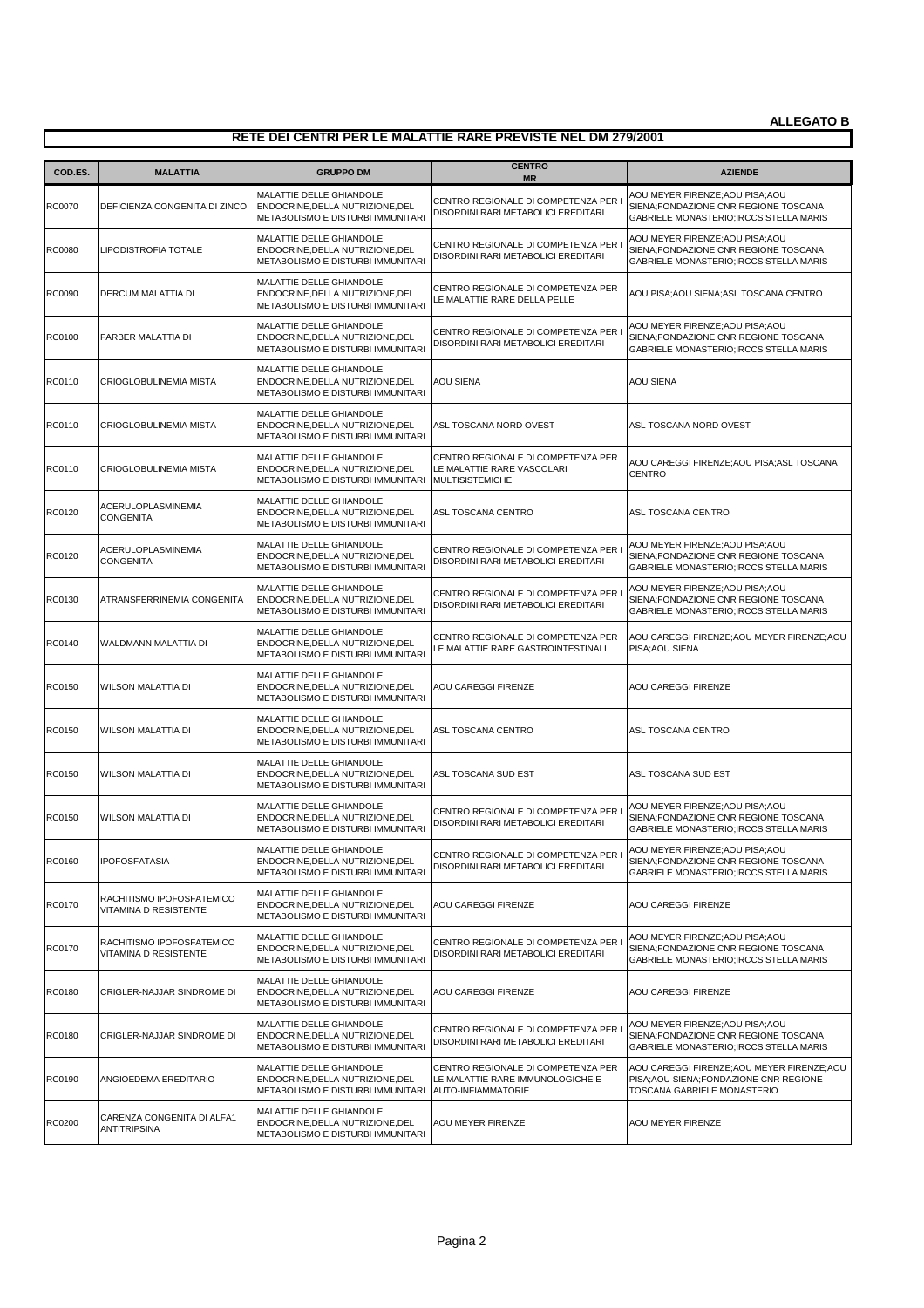| COD.ES.       | <b>MALATTIA</b>                                    | <b>GRUPPO DM</b>                                                                                  | <b>CENTRO</b><br><b>MR</b>                                                                   | <b>AZIENDE</b>                                                                                                        |
|---------------|----------------------------------------------------|---------------------------------------------------------------------------------------------------|----------------------------------------------------------------------------------------------|-----------------------------------------------------------------------------------------------------------------------|
| RC0070        | DEFICIENZA CONGENITA DI ZINCO                      | MALATTIE DELLE GHIANDOLE<br>ENDOCRINE, DELLA NUTRIZIONE, DEL<br>METABOLISMO E DISTURBI IMMUNITARI | CENTRO REGIONALE DI COMPETENZA PER<br>DISORDINI RARI METABOLICI EREDITARI                    | AOU MEYER FIRENZE; AOU PISA; AOU<br>SIENA;FONDAZIONE CNR REGIONE TOSCANA<br>GABRIELE MONASTERIO; IRCCS STELLA MARIS   |
| <b>RC0080</b> | LIPODISTROFIA TOTALE                               | MALATTIE DELLE GHIANDOLE<br>ENDOCRINE, DELLA NUTRIZIONE, DEL<br>METABOLISMO E DISTURBI IMMUNITARI | CENTRO REGIONALE DI COMPETENZA PER<br>DISORDINI RARI METABOLICI EREDITARI                    | AOU MEYER FIRENZE; AOU PISA; AOU<br>SIENA;FONDAZIONE CNR REGIONE TOSCANA<br>GABRIELE MONASTERIO; IRCCS STELLA MARIS   |
| RC0090        | DERCUM MALATTIA DI                                 | MALATTIE DELLE GHIANDOLE<br>ENDOCRINE, DELLA NUTRIZIONE, DEL<br>METABOLISMO E DISTURBI IMMUNITARI | CENTRO REGIONALE DI COMPETENZA PER<br>LE MALATTIE RARE DELLA PELLE                           | AOU PISA; AOU SIENA; ASL TOSCANA CENTRO                                                                               |
| RC0100        | FARBER MALATTIA DI                                 | MALATTIE DELLE GHIANDOLE<br>ENDOCRINE, DELLA NUTRIZIONE, DEL<br>METABOLISMO E DISTURBI IMMUNITARI | CENTRO REGIONALE DI COMPETENZA PER<br>DISORDINI RARI METABOLICI EREDITARI                    | AOU MEYER FIRENZE; AOU PISA; AOU<br>SIENA;FONDAZIONE CNR REGIONE TOSCANA<br>GABRIELE MONASTERIO; IRCCS STELLA MARIS   |
| RC0110        | CRIOGLOBULINEMIA MISTA                             | MALATTIE DELLE GHIANDOLE<br>ENDOCRINE, DELLA NUTRIZIONE, DEL<br>METABOLISMO E DISTURBI IMMUNITARI | AOU SIENA                                                                                    | <b>AOU SIENA</b>                                                                                                      |
| RC0110        | CRIOGLOBULINEMIA MISTA                             | MALATTIE DELLE GHIANDOLE<br>ENDOCRINE, DELLA NUTRIZIONE, DEL<br>METABOLISMO E DISTURBI IMMUNITARI | ASL TOSCANA NORD OVEST                                                                       | ASL TOSCANA NORD OVEST                                                                                                |
| RC0110        | CRIOGLOBULINEMIA MISTA                             | MALATTIE DELLE GHIANDOLE<br>ENDOCRINE, DELLA NUTRIZIONE, DEL<br>METABOLISMO E DISTURBI IMMUNITARI | CENTRO REGIONALE DI COMPETENZA PER<br>LE MALATTIE RARE VASCOLARI<br><b>MULTISISTEMICHE</b>   | AOU CAREGGI FIRENZE; AOU PISA; ASL TOSCANA<br><b>CENTRO</b>                                                           |
| RC0120        | ACERULOPLASMINEMIA<br><b>CONGENITA</b>             | MALATTIE DELLE GHIANDOLE<br>ENDOCRINE, DELLA NUTRIZIONE, DEL<br>METABOLISMO E DISTURBI IMMUNITARI | ASL TOSCANA CENTRO                                                                           | ASL TOSCANA CENTRO                                                                                                    |
| RC0120        | ACERULOPLASMINEMIA<br><b>CONGENITA</b>             | MALATTIE DELLE GHIANDOLE<br>ENDOCRINE, DELLA NUTRIZIONE, DEL<br>METABOLISMO E DISTURBI IMMUNITARI | CENTRO REGIONALE DI COMPETENZA PER<br>DISORDINI RARI METABOLICI EREDITARI                    | AOU MEYER FIRENZE; AOU PISA; AOU<br>SIENA;FONDAZIONE CNR REGIONE TOSCANA<br>GABRIELE MONASTERIO; IRCCS STELLA MARIS   |
| RC0130        | ATRANSFERRINEMIA CONGENITA                         | MALATTIE DELLE GHIANDOLE<br>ENDOCRINE, DELLA NUTRIZIONE, DEL<br>METABOLISMO E DISTURBI IMMUNITARI | CENTRO REGIONALE DI COMPETENZA PER<br>DISORDINI RARI METABOLICI EREDITARI                    | AOU MEYER FIRENZE; AOU PISA; AOU<br>SIENA;FONDAZIONE CNR REGIONE TOSCANA<br>GABRIELE MONASTERIO; IRCCS STELLA MARIS   |
| RC0140        | WALDMANN MALATTIA DI                               | MALATTIE DELLE GHIANDOLE<br>ENDOCRINE, DELLA NUTRIZIONE, DEL<br>METABOLISMO E DISTURBI IMMUNITARI | CENTRO REGIONALE DI COMPETENZA PER<br>LE MALATTIE RARE GASTROINTESTINALI                     | AOU CAREGGI FIRENZE; AOU MEYER FIRENZE; AOU<br>PISA; AOU SIENA                                                        |
| RC0150        | <b>WILSON MALATTIA DI</b>                          | MALATTIE DELLE GHIANDOLE<br>ENDOCRINE, DELLA NUTRIZIONE, DEL<br>METABOLISMO E DISTURBI IMMUNITARI | AOU CAREGGI FIRENZE                                                                          | AOU CAREGGI FIRENZE                                                                                                   |
| RC0150        | WILSON MALATTIA DI                                 | MALATTIE DELLE GHIANDOLE<br>ENDOCRINE, DELLA NUTRIZIONE, DEL<br>METABOLISMO E DISTURBI IMMUNITARI | ASL TOSCANA CENTRO                                                                           | ASL TOSCANA CENTRO                                                                                                    |
| RC0150        | <b>WILSON MALATTIA DI</b>                          | MALATTIE DELLE GHIANDOLE<br>ENDOCRINE, DELLA NUTRIZIONE, DEL<br>METABOLISMO E DISTURBI IMMUNITARI | ASL TOSCANA SUD EST                                                                          | ASL TOSCANA SUD EST                                                                                                   |
| RC0150        | <b>WILSON MALATTIA DI</b>                          | MALATTIE DELLE GHIANDOLE<br>ENDOCRINE, DELLA NUTRIZIONE, DEL<br>METABOLISMO E DISTURBI IMMUNITARI | CENTRO REGIONALE DI COMPETENZA PER<br>DISORDINI RARI METABOLICI EREDITARI                    | AOU MEYER FIRENZE; AOU PISA; AOU<br>SIENA;FONDAZIONE CNR REGIONE TOSCANA<br>GABRIELE MONASTERIO; IRCCS STELLA MARIS   |
| RC0160        | <b>IPOFOSFATASIA</b>                               | MALATTIE DELLE GHIANDOLE<br>ENDOCRINE, DELLA NUTRIZIONE, DEL<br>METABOLISMO E DISTURBI IMMUNITARI | CENTRO REGIONALE DI COMPETENZA PER<br>DISORDINI RARI METABOLICI EREDITARI                    | AOU MEYER FIRENZE; AOU PISA; AOU<br>SIENA;FONDAZIONE CNR REGIONE TOSCANA<br>GABRIELE MONASTERIO; IRCCS STELLA MARIS   |
| RC0170        | RACHITISMO IPOFOSFATEMICO<br>VITAMINA D RESISTENTE | MALATTIE DELLE GHIANDOLE<br>ENDOCRINE, DELLA NUTRIZIONE, DEL<br>METABOLISMO E DISTURBI IMMUNITARI | AOU CAREGGI FIRENZE                                                                          | AOU CAREGGI FIRENZE                                                                                                   |
| RC0170        | RACHITISMO IPOFOSFATEMICO<br>VITAMINA D RESISTENTE | MALATTIE DELLE GHIANDOLE<br>ENDOCRINE, DELLA NUTRIZIONE, DEL<br>METABOLISMO E DISTURBI IMMUNITARI | CENTRO REGIONALE DI COMPETENZA PER<br>DISORDINI RARI METABOLICI EREDITARI                    | AOU MEYER FIRENZE; AOU PISA; AOU<br>SIENA;FONDAZIONE CNR REGIONE TOSCANA<br>GABRIELE MONASTERIO; IRCCS STELLA MARIS   |
| RC0180        | CRIGLER-NAJJAR SINDROME DI                         | MALATTIE DELLE GHIANDOLE<br>ENDOCRINE, DELLA NUTRIZIONE, DEL<br>METABOLISMO E DISTURBI IMMUNITARI | AOU CAREGGI FIRENZE                                                                          | AOU CAREGGI FIRENZE                                                                                                   |
| <b>RC0180</b> | CRIGLER-NAJJAR SINDROME DI                         | MALATTIE DELLE GHIANDOLE<br>ENDOCRINE, DELLA NUTRIZIONE, DEL<br>METABOLISMO E DISTURBI IMMUNITARI | CENTRO REGIONALE DI COMPETENZA PER<br>DISORDINI RARI METABOLICI EREDITARI                    | AOU MEYER FIRENZE; AOU PISA; AOU<br>SIENA;FONDAZIONE CNR REGIONE TOSCANA<br>GABRIELE MONASTERIO; IRCCS STELLA MARIS   |
| RC0190        | ANGIOEDEMA EREDITARIO                              | MALATTIE DELLE GHIANDOLE<br>ENDOCRINE, DELLA NUTRIZIONE, DEL<br>METABOLISMO E DISTURBI IMMUNITARI | CENTRO REGIONALE DI COMPETENZA PER<br>LE MALATTIE RARE IMMUNOLOGICHE E<br>AUTO-INFIAMMATORIE | AOU CAREGGI FIRENZE; AOU MEYER FIRENZE; AOU<br>PISA; AOU SIENA; FONDAZIONE CNR REGIONE<br>TOSCANA GABRIELE MONASTERIO |
| RC0200        | CARENZA CONGENITA DI ALFA1<br><b>ANTITRIPSINA</b>  | MALATTIE DELLE GHIANDOLE<br>ENDOCRINE, DELLA NUTRIZIONE, DEL<br>METABOLISMO E DISTURBI IMMUNITARI | AOU MEYER FIRENZE                                                                            | AOU MEYER FIRENZE                                                                                                     |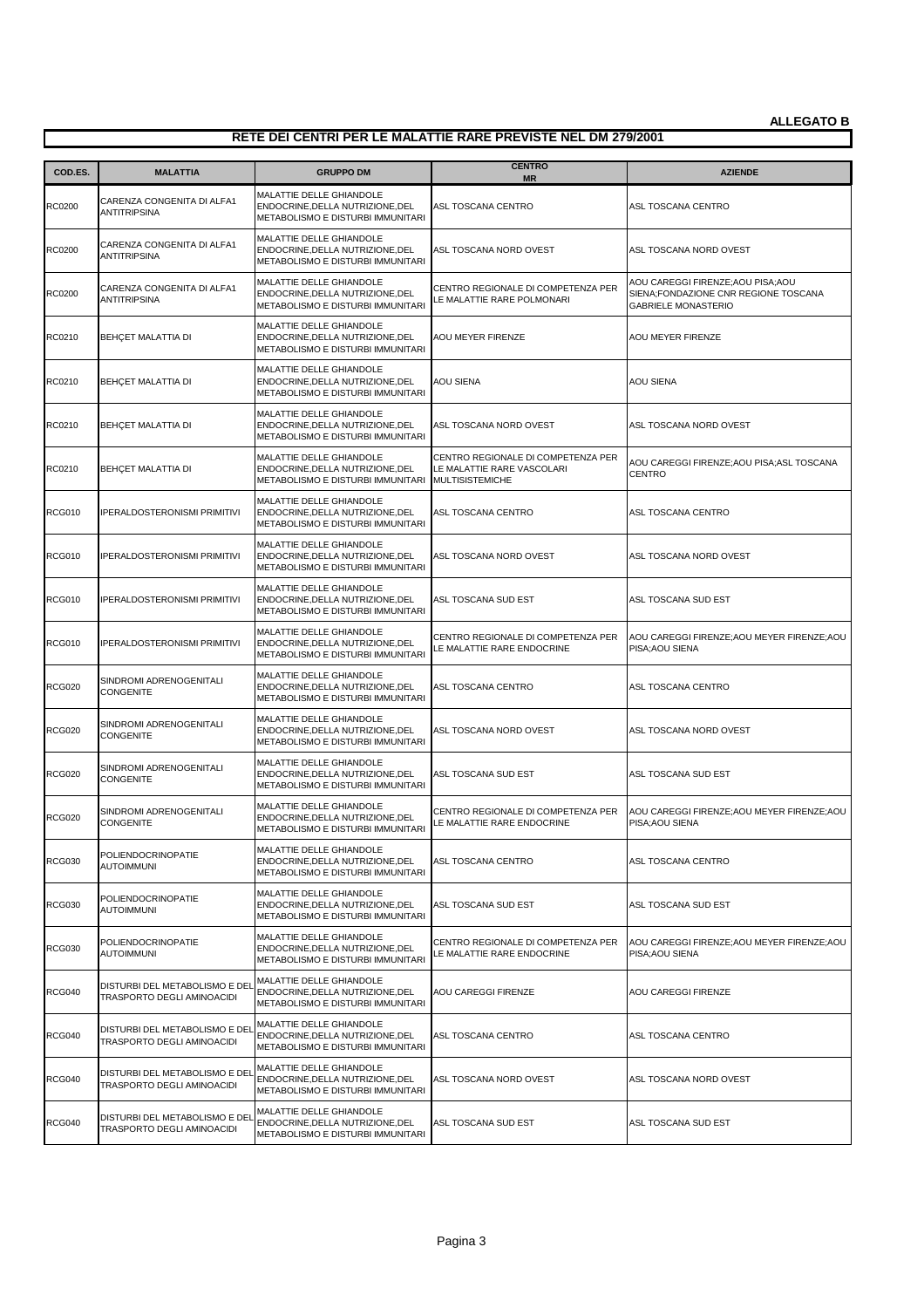| COD.ES.       | <b>MALATTIA</b>                                              | <b>GRUPPO DM</b>                                                                                  | <b>CENTRO</b><br><b>MR</b>                                                                 | <b>AZIENDE</b>                                                                                           |
|---------------|--------------------------------------------------------------|---------------------------------------------------------------------------------------------------|--------------------------------------------------------------------------------------------|----------------------------------------------------------------------------------------------------------|
| RC0200        | CARENZA CONGENITA DI ALFA1<br><b>ANTITRIPSINA</b>            | MALATTIE DELLE GHIANDOLE<br>ENDOCRINE, DELLA NUTRIZIONE, DEL<br>METABOLISMO E DISTURBI IMMUNITARI | ASL TOSCANA CENTRO                                                                         | ASL TOSCANA CENTRO                                                                                       |
| RC0200        | CARENZA CONGENITA DI ALFA1<br><b>ANTITRIPSINA</b>            | MALATTIE DELLE GHIANDOLE<br>ENDOCRINE, DELLA NUTRIZIONE, DEL<br>METABOLISMO E DISTURBI IMMUNITARI | ASL TOSCANA NORD OVEST                                                                     | ASL TOSCANA NORD OVEST                                                                                   |
| <b>RC0200</b> | CARENZA CONGENITA DI ALFA1<br>ANTITRIPSINA                   | MALATTIE DELLE GHIANDOLE<br>ENDOCRINE, DELLA NUTRIZIONE, DEL<br>METABOLISMO E DISTURBI IMMUNITARI | CENTRO REGIONALE DI COMPETENZA PER<br>LE MALATTIE RARE POLMONARI                           | AOU CAREGGI FIRENZE; AOU PISA; AOU<br>SIENA;FONDAZIONE CNR REGIONE TOSCANA<br><b>GABRIELE MONASTERIO</b> |
| RC0210        | BEHÇET MALATTIA DI                                           | MALATTIE DELLE GHIANDOLE<br>ENDOCRINE, DELLA NUTRIZIONE, DEL<br>METABOLISMO E DISTURBI IMMUNITARI | AOU MEYER FIRENZE                                                                          | AOU MEYER FIRENZE                                                                                        |
| RC0210        | BEHÇET MALATTIA DI                                           | MALATTIE DELLE GHIANDOLE<br>ENDOCRINE, DELLA NUTRIZIONE, DEL<br>METABOLISMO E DISTURBI IMMUNITARI | <b>AOU SIENA</b>                                                                           | <b>AOU SIENA</b>                                                                                         |
| RC0210        | BEHÇET MALATTIA DI                                           | MALATTIE DELLE GHIANDOLE<br>ENDOCRINE, DELLA NUTRIZIONE, DEL<br>METABOLISMO E DISTURBI IMMUNITARI | ASL TOSCANA NORD OVEST                                                                     | ASL TOSCANA NORD OVEST                                                                                   |
| RC0210        | BEHÇET MALATTIA DI                                           | MALATTIE DELLE GHIANDOLE<br>ENDOCRINE, DELLA NUTRIZIONE, DEL<br>METABOLISMO E DISTURBI IMMUNITARI | CENTRO REGIONALE DI COMPETENZA PER<br>LE MALATTIE RARE VASCOLARI<br><b>MULTISISTEMICHE</b> | AOU CAREGGI FIRENZE; AOU PISA; ASL TOSCANA<br><b>CENTRO</b>                                              |
| <b>RCG010</b> | <b>IPERALDOSTERONISMI PRIMITIVI</b>                          | MALATTIE DELLE GHIANDOLE<br>ENDOCRINE, DELLA NUTRIZIONE, DEL<br>METABOLISMO E DISTURBI IMMUNITARI | ASL TOSCANA CENTRO                                                                         | ASL TOSCANA CENTRO                                                                                       |
| <b>RCG010</b> | IPERALDOSTERONISMI PRIMITIVI                                 | MALATTIE DELLE GHIANDOLE<br>ENDOCRINE, DELLA NUTRIZIONE, DEL<br>METABOLISMO E DISTURBI IMMUNITARI | ASL TOSCANA NORD OVEST                                                                     | ASL TOSCANA NORD OVEST                                                                                   |
| <b>RCG010</b> | <b>IPERALDOSTERONISMI PRIMITIVI</b>                          | MALATTIE DELLE GHIANDOLE<br>ENDOCRINE, DELLA NUTRIZIONE, DEL<br>METABOLISMO E DISTURBI IMMUNITARI | ASL TOSCANA SUD EST                                                                        | ASL TOSCANA SUD EST                                                                                      |
| <b>RCG010</b> | <b>IPERALDOSTERONISMI PRIMITIVI</b>                          | MALATTIE DELLE GHIANDOLE<br>ENDOCRINE, DELLA NUTRIZIONE, DEL<br>METABOLISMO E DISTURBI IMMUNITARI | CENTRO REGIONALE DI COMPETENZA PER<br>LE MALATTIE RARE ENDOCRINE                           | AOU CAREGGI FIRENZE; AOU MEYER FIRENZE; AOU<br>PISA; AOU SIENA                                           |
| <b>RCG020</b> | SINDROMI ADRENOGENITALI<br><b>CONGENITE</b>                  | MALATTIE DELLE GHIANDOLE<br>ENDOCRINE, DELLA NUTRIZIONE, DEL<br>METABOLISMO E DISTURBI IMMUNITARI | ASL TOSCANA CENTRO                                                                         | ASL TOSCANA CENTRO                                                                                       |
| <b>RCG020</b> | SINDROMI ADRENOGENITALI<br><b>CONGENITE</b>                  | MALATTIE DELLE GHIANDOLE<br>ENDOCRINE, DELLA NUTRIZIONE, DEL<br>METABOLISMO E DISTURBI IMMUNITARI | ASL TOSCANA NORD OVEST                                                                     | ASL TOSCANA NORD OVEST                                                                                   |
| <b>RCG020</b> | SINDROMI ADRENOGENITALI<br>CONGENITE                         | MALATTIE DELLE GHIANDOLE<br>ENDOCRINE, DELLA NUTRIZIONE, DEL<br>METABOLISMO E DISTURBI IMMUNITARI | ASL TOSCANA SUD EST                                                                        | ASL TOSCANA SUD EST                                                                                      |
| <b>RCG020</b> | SINDROMI ADRENOGENITALI<br><b>CONGENITE</b>                  | MALATTIE DELLE GHIANDOLE<br>ENDOCRINE, DELLA NUTRIZIONE, DEL<br>METABOLISMO E DISTURBI IMMUNITARI | CENTRO REGIONALE DI COMPETENZA PER<br>LE MALATTIE RARE ENDOCRINE                           | AOU CAREGGI FIRENZE; AOU MEYER FIRENZE; AOU<br>PISA; AOU SIENA                                           |
| <b>RCG030</b> | POLIENDOCRINOPATIE<br><b>AUTOIMMUNI</b>                      | MALATTIE DELLE GHIANDOLE<br>ENDOCRINE, DELLA NUTRIZIONE, DEL<br>METABOLISMO E DISTURBI IMMUNITARI | ASL TOSCANA CENTRO                                                                         | ASL TOSCANA CENTRO                                                                                       |
| <b>RCG030</b> | POLIENDOCRINOPATIE<br><b>AUTOIMMUNI</b>                      | MALATTIE DELLE GHIANDOLE<br>ENDOCRINE, DELLA NUTRIZIONE, DEL<br>METABOLISMO E DISTURBI IMMUNITARI | ASL TOSCANA SUD EST                                                                        | ASL TOSCANA SUD EST                                                                                      |
| <b>RCG030</b> | POLIENDOCRINOPATIE<br><b>AUTOIMMUNI</b>                      | MALATTIE DELLE GHIANDOLE<br>ENDOCRINE, DELLA NUTRIZIONE, DEL<br>METABOLISMO E DISTURBI IMMUNITARI | CENTRO REGIONALE DI COMPETENZA PER<br>LE MALATTIE RARE ENDOCRINE                           | AOU CAREGGI FIRENZE; AOU MEYER FIRENZE; AOU<br>PISA; AOU SIENA                                           |
| <b>RCG040</b> | DISTURBI DEL METABOLISMO E DEI<br>TRASPORTO DEGLI AMINOACIDI | MALATTIE DELLE GHIANDOLE<br>ENDOCRINE, DELLA NUTRIZIONE, DEL<br>METABOLISMO E DISTURBI IMMUNITARI | AOU CAREGGI FIRENZE                                                                        | <b>AOU CAREGGI FIRENZE</b>                                                                               |
| <b>RCG040</b> | DISTURBI DEL METABOLISMO E DEI<br>TRASPORTO DEGLI AMINOACIDI | MALATTIE DELLE GHIANDOLE<br>ENDOCRINE, DELLA NUTRIZIONE, DEL<br>METABOLISMO E DISTURBI IMMUNITARI | ASL TOSCANA CENTRO                                                                         | ASL TOSCANA CENTRO                                                                                       |
| <b>RCG040</b> | DISTURBI DEL METABOLISMO E DEL<br>TRASPORTO DEGLI AMINOACIDI | MALATTIE DELLE GHIANDOLE<br>ENDOCRINE, DELLA NUTRIZIONE, DEL<br>METABOLISMO E DISTURBI IMMUNITARI | ASL TOSCANA NORD OVEST                                                                     | ASL TOSCANA NORD OVEST                                                                                   |
| <b>RCG040</b> | DISTURBI DEL METABOLISMO E DEI<br>TRASPORTO DEGLI AMINOACIDI | MALATTIE DELLE GHIANDOLE<br>ENDOCRINE, DELLA NUTRIZIONE, DEL<br>METABOLISMO E DISTURBI IMMUNITARI | ASL TOSCANA SUD EST                                                                        | ASL TOSCANA SUD EST                                                                                      |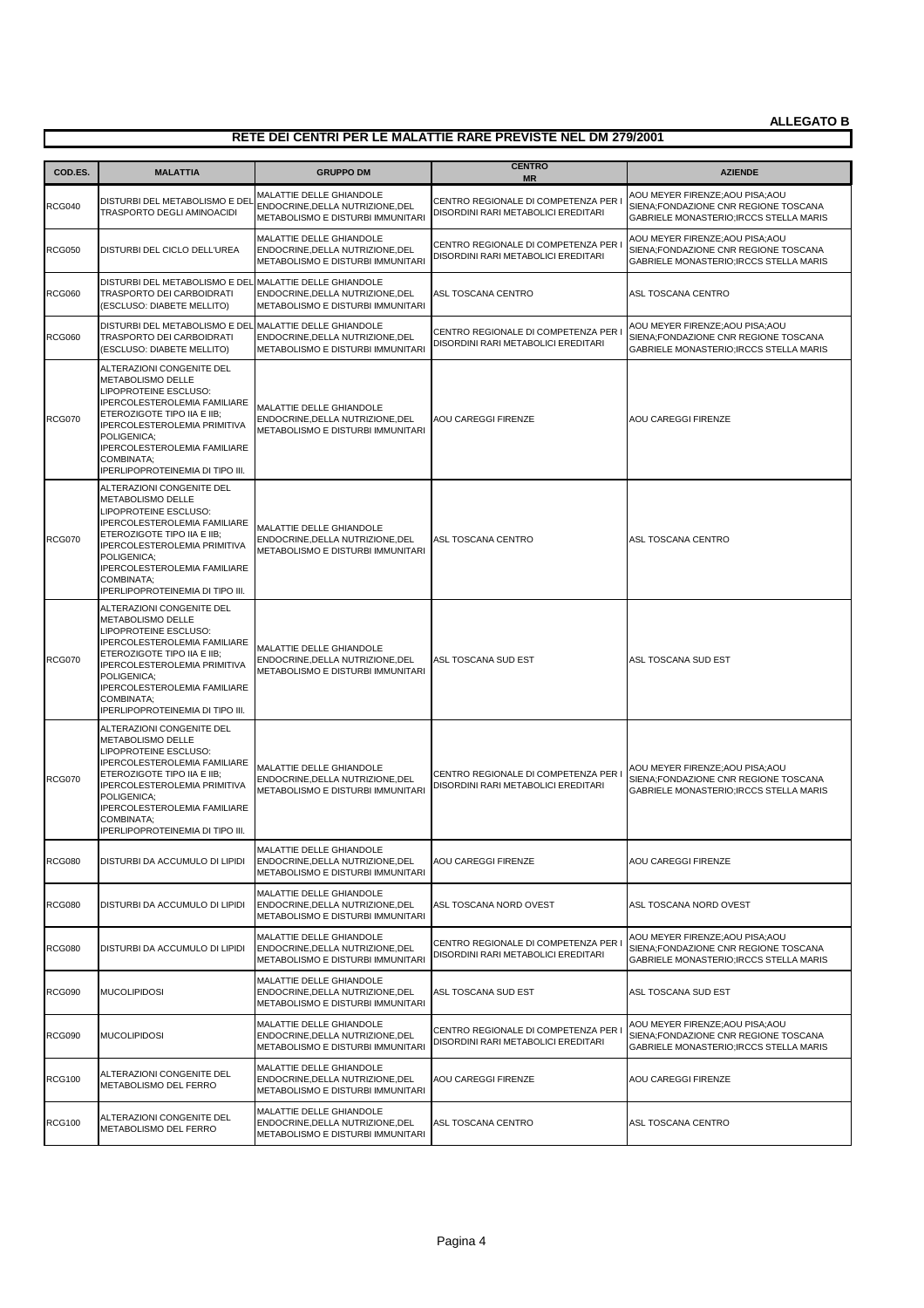| COD.ES.       | <b>MALATTIA</b>                                                                                                                                                                                                                                                                | <b>GRUPPO DM</b>                                                                                  | <b>CENTRO</b><br><b>MR</b>                                                  | <b>AZIENDE</b>                                                                                                       |
|---------------|--------------------------------------------------------------------------------------------------------------------------------------------------------------------------------------------------------------------------------------------------------------------------------|---------------------------------------------------------------------------------------------------|-----------------------------------------------------------------------------|----------------------------------------------------------------------------------------------------------------------|
| <b>RCG040</b> | DISTURBI DEL METABOLISMO E DEL<br>TRASPORTO DEGLI AMINOACIDI                                                                                                                                                                                                                   | MALATTIE DELLE GHIANDOLE<br>ENDOCRINE.DELLA NUTRIZIONE.DEL<br>METABOLISMO E DISTURBI IMMUNITARI   | CENTRO REGIONALE DI COMPETENZA PER<br>DISORDINI RARI METABOLICI EREDITARI   | AOU MEYER FIRENZE; AOU PISA; AOU<br>SIENA: FONDAZIONE CNR REGIONE TOSCANA<br>GABRIELE MONASTERIO; IRCCS STELLA MARIS |
| <b>RCG050</b> | DISTURBI DEL CICLO DELL'UREA                                                                                                                                                                                                                                                   | MALATTIE DELLE GHIANDOLE<br>ENDOCRINE, DELLA NUTRIZIONE, DEL<br>METABOLISMO E DISTURBI IMMUNITARI | CENTRO REGIONALE DI COMPETENZA PER<br>DISORDINI RARI METABOLICI EREDITARI   | AOU MEYER FIRENZE: AOU PISA: AOU<br>SIENA;FONDAZIONE CNR REGIONE TOSCANA<br>GABRIELE MONASTERIO; IRCCS STELLA MARIS  |
| <b>RCG060</b> | DISTURBI DEL METABOLISMO E DEL MALATTIE DELLE GHIANDOLE<br>TRASPORTO DEI CARBOIDRATI<br>(ESCLUSO: DIABETE MELLITO)                                                                                                                                                             | ENDOCRINE, DELLA NUTRIZIONE, DEL<br>METABOLISMO E DISTURBI IMMUNITARI                             | ASL TOSCANA CENTRO                                                          | ASL TOSCANA CENTRO                                                                                                   |
| <b>RCG060</b> | DISTURBI DEL METABOLISMO E DEL MALATTIE DELLE GHIANDOLE<br>TRASPORTO DEI CARBOIDRATI<br>(ESCLUSO: DIABETE MELLITO)                                                                                                                                                             | ENDOCRINE, DELLA NUTRIZIONE, DEL<br>METABOLISMO E DISTURBI IMMUNITARI                             | CENTRO REGIONALE DI COMPETENZA PER I<br>DISORDINI RARI METABOLICI EREDITARI | AOU MEYER FIRENZE; AOU PISA; AOU<br>SIENA;FONDAZIONE CNR REGIONE TOSCANA<br>GABRIELE MONASTERIO; IRCCS STELLA MARIS  |
| <b>RCG070</b> | ALTERAZIONI CONGENITE DEL<br>METABOLISMO DELLE<br>LIPOPROTEINE ESCLUSO:<br>IPERCOLESTEROLEMIA FAMILIARE<br>ETEROZIGOTE TIPO IIA E IIB;<br>IPERCOLESTEROLEMIA PRIMITIVA<br>POLIGENICA;<br>IPERCOLESTEROLEMIA FAMILIARE<br>COMBINATA;<br><b>IPERLIPOPROTEINEMIA DI TIPO III.</b> | MALATTIE DELLE GHIANDOLE<br>ENDOCRINE, DELLA NUTRIZIONE, DEL<br>METABOLISMO E DISTURBI IMMUNITARI | AOU CAREGGI FIRENZE                                                         | <b>AOU CAREGGI FIRENZE</b>                                                                                           |
| <b>RCG070</b> | ALTERAZIONI CONGENITE DEL<br>METABOLISMO DELLE<br>LIPOPROTEINE ESCLUSO:<br><b>IPERCOLESTEROLEMIA FAMILIARE</b><br>ETEROZIGOTE TIPO IIA E IIB:<br>IPERCOLESTEROLEMIA PRIMITIVA<br>POLIGENICA:<br>IPERCOLESTEROLEMIA FAMILIARE<br>COMBINATA;<br>IPERLIPOPROTEINEMIA DI TIPO III. | MALATTIE DELLE GHIANDOLE<br>ENDOCRINE, DELLA NUTRIZIONE, DEL<br>METABOLISMO E DISTURBI IMMUNITARI | ASL TOSCANA CENTRO                                                          | ASL TOSCANA CENTRO                                                                                                   |
| <b>RCG070</b> | ALTERAZIONI CONGENITE DEL<br>METABOLISMO DELLE<br>LIPOPROTEINE ESCLUSO:<br>IPERCOLESTEROLEMIA FAMILIARE<br>ETEROZIGOTE TIPO IIA E IIB;<br>IPERCOLESTEROLEMIA PRIMITIVA<br>POLIGENICA;<br>IPERCOLESTEROLEMIA FAMILIARE<br>COMBINATA;<br>IPERLIPOPROTEINEMIA DI TIPO III.        | MALATTIE DELLE GHIANDOLE<br>ENDOCRINE, DELLA NUTRIZIONE, DEL<br>METABOLISMO E DISTURBI IMMUNITARI | ASL TOSCANA SUD EST                                                         | ASL TOSCANA SUD EST                                                                                                  |
| <b>RCG070</b> | ALTERAZIONI CONGENITE DEL<br>METABOLISMO DELLE<br>LIPOPROTEINE ESCLUSO:<br>IPERCOLESTEROLEMIA FAMILIARE<br>ETEROZIGOTE TIPO IIA E IIB;<br>IPERCOLESTEROLEMIA PRIMITIVA<br>POLIGENICA;<br>IPERCOLESTEROLEMIA FAMILIARE<br>COMBINATA;<br><b>IPERLIPOPROTEINEMIA DI TIPO III.</b> | MALATTIE DELLE GHIANDOLE<br>ENDOCRINE.DELLA NUTRIZIONE.DEL<br>METABOLISMO E DISTURBI IMMUNITARI   | CENTRO REGIONALE DI COMPETENZA PER I<br>DISORDINI RARI METABOLICI EREDITARI | AOU MEYER FIRENZE; AOU PISA; AOU<br>SIENA: FONDAZIONE CNR REGIONE TOSCANA<br>GABRIELE MONASTERIO; IRCCS STELLA MARIS |
| <b>RCG080</b> | DISTURBI DA ACCUMULO DI LIPIDI                                                                                                                                                                                                                                                 | MALATTIE DELLE GHIANDOLE<br>ENDOCRINE, DELLA NUTRIZIONE, DEL<br>METABOLISMO E DISTURBI IMMUNITARI | AOU CAREGGI FIRENZE                                                         | AOU CAREGGI FIRENZE                                                                                                  |
| <b>RCG080</b> | DISTURBI DA ACCUMULO DI LIPIDI                                                                                                                                                                                                                                                 | MALATTIE DELLE GHIANDOLE<br>ENDOCRINE, DELLA NUTRIZIONE, DEL<br>METABOLISMO E DISTURBI IMMUNITARI | ASL TOSCANA NORD OVEST                                                      | ASL TOSCANA NORD OVEST                                                                                               |
| <b>RCG080</b> | DISTURBI DA ACCUMULO DI LIPIDI                                                                                                                                                                                                                                                 | MALATTIE DELLE GHIANDOLE<br>ENDOCRINE, DELLA NUTRIZIONE, DEL<br>METABOLISMO E DISTURBI IMMUNITARI | CENTRO REGIONALE DI COMPETENZA PER<br>DISORDINI RARI METABOLICI EREDITARI   | AOU MEYER FIRENZE;AOU PISA;AOU<br>SIENA;FONDAZIONE CNR REGIONE TOSCANA<br>GABRIELE MONASTERIO; IRCCS STELLA MARIS    |
| <b>RCG090</b> | <b>MUCOLIPIDOSI</b>                                                                                                                                                                                                                                                            | MALATTIE DELLE GHIANDOLE<br>ENDOCRINE, DELLA NUTRIZIONE, DEL<br>METABOLISMO E DISTURBI IMMUNITARI | ASL TOSCANA SUD EST                                                         | ASL TOSCANA SUD EST                                                                                                  |
| <b>RCG090</b> | <b>MUCOLIPIDOSI</b>                                                                                                                                                                                                                                                            | MALATTIE DELLE GHIANDOLE<br>ENDOCRINE, DELLA NUTRIZIONE, DEL<br>METABOLISMO E DISTURBI IMMUNITARI | CENTRO REGIONALE DI COMPETENZA PER<br>DISORDINI RARI METABOLICI EREDITARI   | AOU MEYER FIRENZE; AOU PISA; AOU<br>SIENA;FONDAZIONE CNR REGIONE TOSCANA<br>GABRIELE MONASTERIO; IRCCS STELLA MARIS  |
| <b>RCG100</b> | ALTERAZIONI CONGENITE DEL<br>METABOLISMO DEL FERRO                                                                                                                                                                                                                             | MALATTIE DELLE GHIANDOLE<br>ENDOCRINE, DELLA NUTRIZIONE, DEL<br>METABOLISMO E DISTURBI IMMUNITARI | AOU CAREGGI FIRENZE                                                         | AOU CAREGGI FIRENZE                                                                                                  |
| <b>RCG100</b> | ALTERAZIONI CONGENITE DEL<br>METABOLISMO DEL FERRO                                                                                                                                                                                                                             | MALATTIE DELLE GHIANDOLE<br>ENDOCRINE, DELLA NUTRIZIONE, DEL<br>METABOLISMO E DISTURBI IMMUNITARI | ASL TOSCANA CENTRO                                                          | ASL TOSCANA CENTRO                                                                                                   |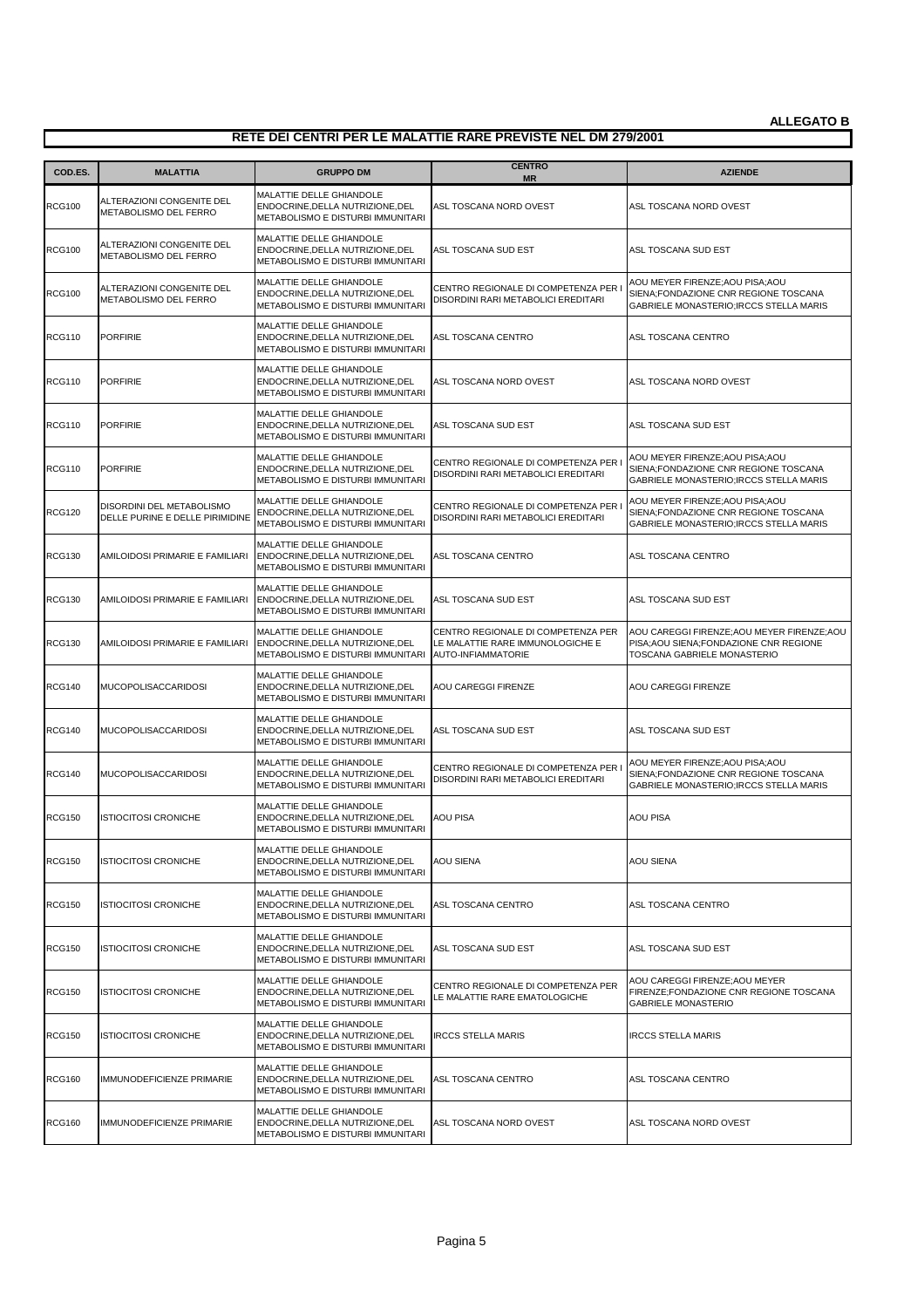| COD.ES.       | <b>MALATTIA</b>                                              | <b>GRUPPO DM</b>                                                                                  | <b>CENTRO</b><br><b>MR</b>                                                                          | <b>AZIENDE</b>                                                                                                            |
|---------------|--------------------------------------------------------------|---------------------------------------------------------------------------------------------------|-----------------------------------------------------------------------------------------------------|---------------------------------------------------------------------------------------------------------------------------|
| <b>RCG100</b> | ALTERAZIONI CONGENITE DEL<br>METABOLISMO DEL FERRO           | MALATTIE DELLE GHIANDOLE<br>ENDOCRINE, DELLA NUTRIZIONE, DEL<br>METABOLISMO E DISTURBI IMMUNITARI | ASL TOSCANA NORD OVEST                                                                              | ASL TOSCANA NORD OVEST                                                                                                    |
| <b>RCG100</b> | ALTERAZIONI CONGENITE DEL<br><b>METABOLISMO DEL FERRO</b>    | MALATTIE DELLE GHIANDOLE<br>ENDOCRINE, DELLA NUTRIZIONE, DEL<br>METABOLISMO E DISTURBI IMMUNITARI | ASL TOSCANA SUD EST                                                                                 | ASL TOSCANA SUD EST                                                                                                       |
| <b>RCG100</b> | ALTERAZIONI CONGENITE DEL<br>METABOLISMO DEL FERRO           | MALATTIE DELLE GHIANDOLE<br>ENDOCRINE, DELLA NUTRIZIONE, DEL<br>METABOLISMO E DISTURBI IMMUNITARI | CENTRO REGIONALE DI COMPETENZA PER<br>DISORDINI RARI METABOLICI EREDITARI                           | AOU MEYER FIRENZE;AOU PISA;AOU<br>SIENA;FONDAZIONE CNR REGIONE TOSCANA<br>GABRIELE MONASTERIO; IRCCS STELLA MARIS         |
| <b>RCG110</b> | <b>PORFIRIE</b>                                              | MALATTIE DELLE GHIANDOLE<br>ENDOCRINE, DELLA NUTRIZIONE, DEL<br>METABOLISMO E DISTURBI IMMUNITARI | ASL TOSCANA CENTRO                                                                                  | ASL TOSCANA CENTRO                                                                                                        |
| <b>RCG110</b> | <b>PORFIRIE</b>                                              | MALATTIE DELLE GHIANDOLE<br>ENDOCRINE, DELLA NUTRIZIONE, DEL<br>METABOLISMO E DISTURBI IMMUNITARI | ASL TOSCANA NORD OVEST                                                                              | ASL TOSCANA NORD OVEST                                                                                                    |
| <b>RCG110</b> | <b>PORFIRIE</b>                                              | MALATTIE DELLE GHIANDOLE<br>ENDOCRINE, DELLA NUTRIZIONE, DEL<br>METABOLISMO E DISTURBI IMMUNITARI | ASL TOSCANA SUD EST                                                                                 | ASL TOSCANA SUD EST                                                                                                       |
| <b>RCG110</b> | <b>PORFIRIE</b>                                              | MALATTIE DELLE GHIANDOLE<br>ENDOCRINE, DELLA NUTRIZIONE, DEL<br>METABOLISMO E DISTURBI IMMUNITARI | CENTRO REGIONALE DI COMPETENZA PER I<br>DISORDINI RARI METABOLICI EREDITARI                         | AOU MEYER FIRENZE; AOU PISA; AOU<br>SIENA;FONDAZIONE CNR REGIONE TOSCANA<br>GABRIELE MONASTERIO; IRCCS STELLA MARIS       |
| <b>RCG120</b> | DISORDINI DEL METABOLISMO<br>DELLE PURINE E DELLE PIRIMIDINE | MALATTIE DELLE GHIANDOLE<br>ENDOCRINE, DELLA NUTRIZIONE, DEL<br>METABOLISMO E DISTURBI IMMUNITARI | CENTRO REGIONALE DI COMPETENZA PER<br>DISORDINI RARI METABOLICI EREDITARI                           | AOU MEYER FIRENZE; AOU PISA; AOU<br>SIENA;FONDAZIONE CNR REGIONE TOSCANA<br>GABRIELE MONASTERIO; IRCCS STELLA MARIS       |
| <b>RCG130</b> | AMILOIDOSI PRIMARIE E FAMILIARI                              | MALATTIE DELLE GHIANDOLE<br>ENDOCRINE, DELLA NUTRIZIONE, DEL<br>METABOLISMO E DISTURBI IMMUNITARI | ASL TOSCANA CENTRO                                                                                  | ASL TOSCANA CENTRO                                                                                                        |
| <b>RCG130</b> | AMILOIDOSI PRIMARIE E FAMILIARI                              | MALATTIE DELLE GHIANDOLE<br>ENDOCRINE, DELLA NUTRIZIONE, DEL<br>METABOLISMO E DISTURBI IMMUNITARI | ASL TOSCANA SUD EST                                                                                 | ASL TOSCANA SUD EST                                                                                                       |
| <b>RCG130</b> | AMILOIDOSI PRIMARIE E FAMILIARI                              | MALATTIE DELLE GHIANDOLE<br>ENDOCRINE, DELLA NUTRIZIONE, DEL<br>METABOLISMO E DISTURBI IMMUNITARI | CENTRO REGIONALE DI COMPETENZA PER<br>LE MALATTIE RARE IMMUNOLOGICHE E<br><b>AUTO-INFIAMMATORIE</b> | AOU CAREGGI FIRENZE; AOU MEYER FIRENZE; AOU<br>PISA; AOU SIENA; FONDAZIONE CNR REGIONE<br>TOSCANA GABRIELE MONASTERIO     |
| <b>RCG140</b> | <b>MUCOPOLISACCARIDOSI</b>                                   | MALATTIE DELLE GHIANDOLE<br>ENDOCRINE, DELLA NUTRIZIONE, DEL<br>METABOLISMO E DISTURBI IMMUNITARI | AOU CAREGGI FIRENZE                                                                                 | AOU CAREGGI FIRENZE                                                                                                       |
| <b>RCG140</b> | <b>MUCOPOLISACCARIDOSI</b>                                   | MALATTIE DELLE GHIANDOLE<br>ENDOCRINE, DELLA NUTRIZIONE, DEL<br>METABOLISMO E DISTURBI IMMUNITARI | ASL TOSCANA SUD EST                                                                                 | ASL TOSCANA SUD EST                                                                                                       |
| <b>RCG140</b> | <b>MUCOPOLISACCARIDOSI</b>                                   | MALATTIE DELLE GHIANDOLE<br>ENDOCRINE.DELLA NUTRIZIONE.DEL<br>METABOLISMO E DISTURBI IMMUNITARI   | CENTRO REGIONALE DI COMPETENZA PER<br>DISORDINI RARI METABOLICI EREDITARI                           | AOU MEYER FIRENZE; AOU PISA; AOU<br>SIENA;FONDAZIONE CNR REGIONE TOSCANA<br><b>GABRIELE MONASTERIO:IRCCS STELLA MARIS</b> |
| <b>RCG150</b> | <b>ISTIOCITOSI CRONICHE</b>                                  | MALATTIE DELLE GHIANDOLE<br>ENDOCRINE, DELLA NUTRIZIONE, DEL<br>METABOLISMO E DISTURBI IMMUNITARI | <b>AOU PISA</b>                                                                                     | <b>AOU PISA</b>                                                                                                           |
| <b>RCG150</b> | <b>ISTIOCITOSI CRONICHE</b>                                  | MALATTIE DELLE GHIANDOLE<br>ENDOCRINE, DELLA NUTRIZIONE, DEL<br>METABOLISMO E DISTURBI IMMUNITARI | <b>AOU SIENA</b>                                                                                    | <b>AOU SIENA</b>                                                                                                          |
| <b>RCG150</b> | <b>ISTIOCITOSI CRONICHE</b>                                  | MALATTIE DELLE GHIANDOLE<br>ENDOCRINE, DELLA NUTRIZIONE, DEL<br>METABOLISMO E DISTURBI IMMUNITARI | ASL TOSCANA CENTRO                                                                                  | ASL TOSCANA CENTRO                                                                                                        |
| <b>RCG150</b> | <b>ISTIOCITOSI CRONICHE</b>                                  | MALATTIE DELLE GHIANDOLE<br>ENDOCRINE, DELLA NUTRIZIONE, DEL<br>METABOLISMO E DISTURBI IMMUNITARI | ASL TOSCANA SUD EST                                                                                 | ASL TOSCANA SUD EST                                                                                                       |
| <b>RCG150</b> | <b>ISTIOCITOSI CRONICHE</b>                                  | MALATTIE DELLE GHIANDOLE<br>ENDOCRINE, DELLA NUTRIZIONE, DEL<br>METABOLISMO E DISTURBI IMMUNITARI | CENTRO REGIONALE DI COMPETENZA PER<br>LE MALATTIE RARE EMATOLOGICHE                                 | AOU CAREGGI FIRENZE;AOU MEYER<br>FIRENZE;FONDAZIONE CNR REGIONE TOSCANA<br><b>GABRIELE MONASTERIO</b>                     |
| <b>RCG150</b> | <b>ISTIOCITOSI CRONICHE</b>                                  | MALATTIE DELLE GHIANDOLE<br>ENDOCRINE, DELLA NUTRIZIONE, DEL<br>METABOLISMO E DISTURBI IMMUNITARI | <b>IRCCS STELLA MARIS</b>                                                                           | <b>IRCCS STELLA MARIS</b>                                                                                                 |
| <b>RCG160</b> | IMMUNODEFICIENZE PRIMARIE                                    | MALATTIE DELLE GHIANDOLE<br>ENDOCRINE, DELLA NUTRIZIONE, DEL<br>METABOLISMO E DISTURBI IMMUNITARI | ASL TOSCANA CENTRO                                                                                  | ASL TOSCANA CENTRO                                                                                                        |
| <b>RCG160</b> | IMMUNODEFICIENZE PRIMARIE                                    | MALATTIE DELLE GHIANDOLE<br>ENDOCRINE, DELLA NUTRIZIONE, DEL<br>METABOLISMO E DISTURBI IMMUNITARI | ASL TOSCANA NORD OVEST                                                                              | ASL TOSCANA NORD OVEST                                                                                                    |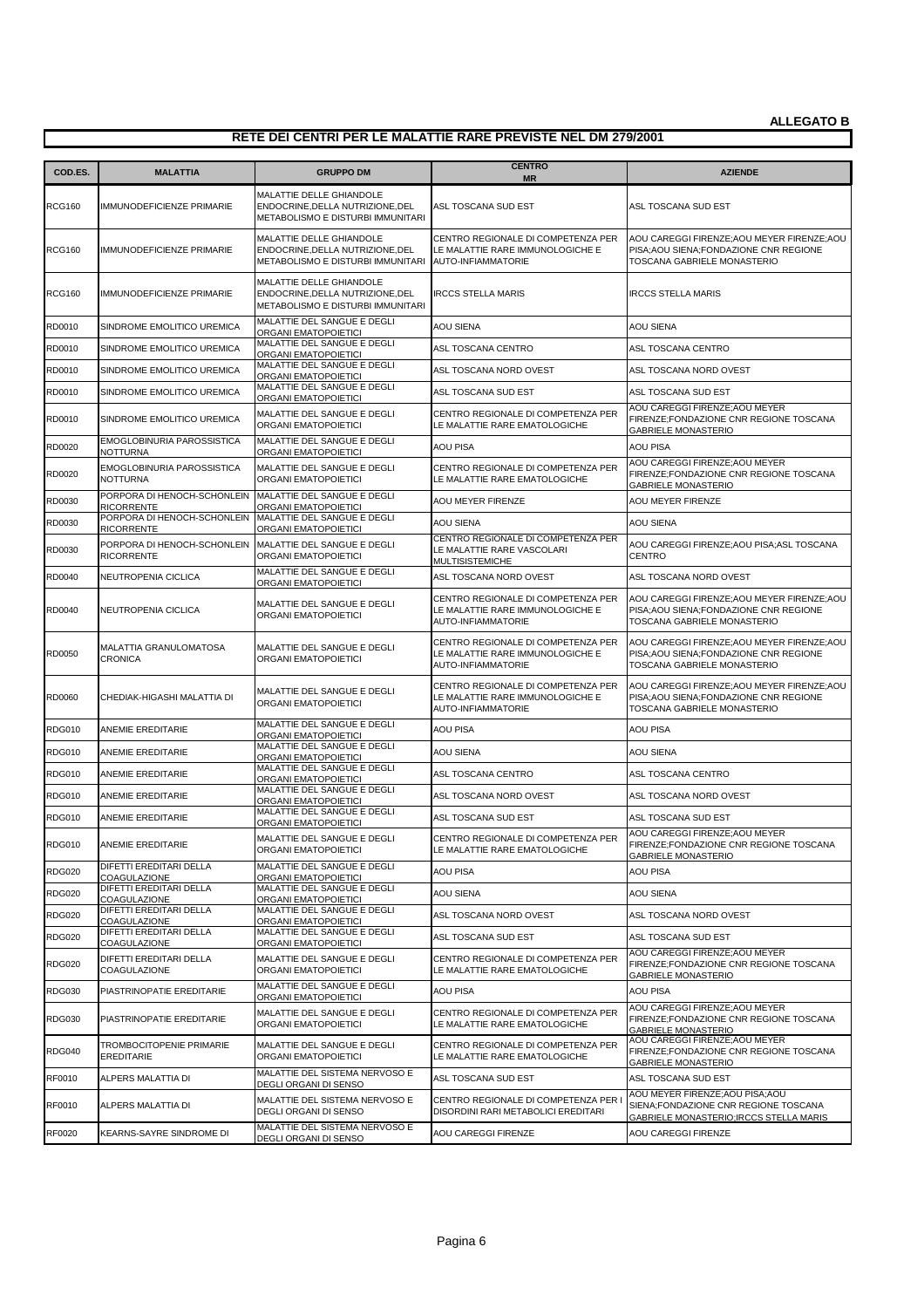| COD.ES.       | <b>MALATTIA</b>                                                              | <b>GRUPPO DM</b>                                                                                  | <b>CENTRO</b><br><b>MR</b>                                                                   | <b>AZIENDE</b>                                                                                                        |
|---------------|------------------------------------------------------------------------------|---------------------------------------------------------------------------------------------------|----------------------------------------------------------------------------------------------|-----------------------------------------------------------------------------------------------------------------------|
| <b>RCG160</b> | <b>IMMUNODEFICIENZE PRIMARIE</b>                                             | MALATTIE DELLE GHIANDOLE<br>ENDOCRINE, DELLA NUTRIZIONE, DEL<br>METABOLISMO E DISTURBI IMMUNITARI | ASL TOSCANA SUD EST                                                                          | ASL TOSCANA SUD EST                                                                                                   |
| <b>RCG160</b> | <b>IMMUNODEFICIENZE PRIMARIE</b>                                             | MALATTIE DELLE GHIANDOLE<br>ENDOCRINE, DELLA NUTRIZIONE, DEL<br>METABOLISMO E DISTURBI IMMUNITARI | CENTRO REGIONALE DI COMPETENZA PER<br>LE MALATTIE RARE IMMUNOLOGICHE E<br>AUTO-INFIAMMATORIE | AOU CAREGGI FIRENZE; AOU MEYER FIRENZE; AOU<br>PISA; AOU SIENA; FONDAZIONE CNR REGIONE<br>TOSCANA GABRIELE MONASTERIO |
| <b>RCG160</b> | <b>IMMUNODEFICIENZE PRIMARIE</b>                                             | MALATTIE DELLE GHIANDOLE<br>ENDOCRINE, DELLA NUTRIZIONE, DEL<br>METABOLISMO E DISTURBI IMMUNITARI | <b>IRCCS STELLA MARIS</b>                                                                    | <b>IRCCS STELLA MARIS</b>                                                                                             |
| RD0010        | SINDROME EMOLITICO UREMICA                                                   | MALATTIE DEL SANGUE E DEGLI<br>ORGANI EMATOPOIETICI                                               | <b>AOU SIENA</b>                                                                             | <b>AOU SIENA</b>                                                                                                      |
| RD0010        | SINDROME EMOLITICO UREMICA                                                   | MALATTIE DEL SANGUE E DEGLI<br>ORGANI EMATOPOIETICI                                               | ASL TOSCANA CENTRO                                                                           | ASL TOSCANA CENTRO                                                                                                    |
| RD0010        | SINDROME EMOLITICO UREMICA                                                   | MALATTIE DEL SANGUE E DEGLI<br>ORGANI EMATOPOIETICI                                               | ASL TOSCANA NORD OVEST                                                                       | ASL TOSCANA NORD OVEST                                                                                                |
| RD0010        | SINDROME EMOLITICO UREMICA                                                   | MALATTIE DEL SANGUE E DEGLI<br>ORGANI EMATOPOIETICI                                               | ASL TOSCANA SUD EST                                                                          | ASL TOSCANA SUD EST                                                                                                   |
| RD0010        | SINDROME EMOLITICO UREMICA                                                   | MALATTIE DEL SANGUE E DEGLI<br>ORGANI EMATOPOIETICI                                               | CENTRO REGIONALE DI COMPETENZA PER<br>LE MALATTIE RARE EMATOLOGICHE                          | AOU CAREGGI FIRENZE; AOU MEYER<br>FIRENZE;FONDAZIONE CNR REGIONE TOSCANA<br><b>GABRIELE MONASTERIO</b>                |
| RD0020        | EMOGLOBINURIA PAROSSISTICA<br><b>NOTTURNA</b>                                | MALATTIE DEL SANGUE E DEGLI<br>ORGANI EMATOPOIETICI                                               | <b>AOU PISA</b>                                                                              | AOU PISA                                                                                                              |
| RD0020        | EMOGLOBINURIA PAROSSISTICA<br><b>NOTTURNA</b>                                | MALATTIE DEL SANGUE E DEGLI<br>ORGANI EMATOPOIETICI                                               | CENTRO REGIONALE DI COMPETENZA PER<br>LE MALATTIE RARE EMATOLOGICHE                          | AOU CAREGGI FIRENZE; AOU MEYER<br>FIRENZE;FONDAZIONE CNR REGIONE TOSCANA<br><b>GABRIELE MONASTERIO</b>                |
| RD0030        | PORPORA DI HENOCH-SCHONLEIN MALATTIE DEL SANGUE E DEGLI<br><b>RICORRENTE</b> | ORGANI EMATOPOIETICI                                                                              | AOU MEYER FIRENZE                                                                            | AOU MEYER FIRENZE                                                                                                     |
| RD0030        | PORPORA DI HENOCH-SCHONLEIN<br><b>RICORRENTE</b>                             | MALATTIE DEL SANGUE E DEGLI<br>ORGANI EMATOPOIETICI                                               | <b>AOU SIENA</b>                                                                             | <b>AOU SIENA</b>                                                                                                      |
| RD0030        | PORPORA DI HENOCH-SCHONLEIN<br><b>RICORRENTE</b>                             | MALATTIE DEL SANGUE E DEGLI<br>ORGANI EMATOPOIETICI                                               | CENTRO REGIONALE DI COMPETENZA PER<br>LE MALATTIE RARE VASCOLARI<br>MULTISISTEMICHE          | AOU CAREGGI FIRENZE: AOU PISA: ASL TOSCANA<br><b>CENTRO</b>                                                           |
| RD0040        | NEUTROPENIA CICLICA                                                          | MALATTIE DEL SANGUE E DEGLI<br>ORGANI EMATOPOIETICI                                               | ASL TOSCANA NORD OVEST                                                                       | ASL TOSCANA NORD OVEST                                                                                                |
| RD0040        | NEUTROPENIA CICLICA                                                          | MALATTIE DEL SANGUE E DEGLI<br>ORGANI EMATOPOIETICI                                               | CENTRO REGIONALE DI COMPETENZA PER<br>LE MALATTIE RARE IMMUNOLOGICHE E<br>AUTO-INFIAMMATORIE | AOU CAREGGI FIRENZE; AOU MEYER FIRENZE; AOU<br>PISA; AOU SIENA; FONDAZIONE CNR REGIONE<br>TOSCANA GABRIELE MONASTERIO |
| RD0050        | MALATTIA GRANULOMATOSA<br><b>CRONICA</b>                                     | MALATTIE DEL SANGUE E DEGLI<br>ORGANI EMATOPOIETICI                                               | CENTRO REGIONALE DI COMPETENZA PER<br>LE MALATTIE RARE IMMUNOLOGICHE E<br>AUTO-INFIAMMATORIE | AOU CAREGGI FIRENZE; AOU MEYER FIRENZE; AOU<br>PISA; AOU SIENA; FONDAZIONE CNR REGIONE<br>TOSCANA GABRIELE MONASTERIO |
| RD0060        | CHEDIAK-HIGASHI MALATTIA DI                                                  | MALATTIE DEL SANGUE E DEGLI<br>ORGANI EMATOPOIETICI                                               | CENTRO REGIONALE DI COMPETENZA PER<br>LE MALATTIE RARE IMMUNOLOGICHE E<br>AUTO-INFIAMMATORIE | AOU CAREGGI FIRENZE; AOU MEYER FIRENZE; AOU<br>PISA; AOU SIENA; FONDAZIONE CNR REGIONE<br>TOSCANA GABRIELE MONASTERIO |
| <b>RDG010</b> | ANEMIE EREDITARIE                                                            | MALATTIE DEL SANGUE E DEGLI<br>ORGANI EMATOPOIETICI                                               | <b>AOU PISA</b>                                                                              | <b>AOU PISA</b>                                                                                                       |
| <b>RDG010</b> | ANEMIE EREDITARIE                                                            | MALATTIE DEL SANGUE E DEGLI<br>ORGANI EMATOPOIETICI                                               | <b>AOU SIENA</b>                                                                             | <b>AOU SIENA</b>                                                                                                      |
| <b>RDG010</b> | ANEMIE EREDITARIE                                                            | MALATTIE DEL SANGUE E DEGLI<br>ORGANI EMATOPOIETICI                                               | ASL TOSCANA CENTRO                                                                           | ASL TOSCANA CENTRO                                                                                                    |
| <b>RDG010</b> | ANEMIE EREDITARIE                                                            | MALATTIE DEL SANGUE E DEGLI<br>ORGANI EMATOPOIETICI                                               | ASL TOSCANA NORD OVEST                                                                       | ASL TOSCANA NORD OVEST                                                                                                |
| <b>RDG010</b> | ANEMIE EREDITARIE                                                            | MALATTIE DEL SANGUE E DEGLI<br>ORGANI EMATOPOIETICI                                               | ASL TOSCANA SUD EST                                                                          | ASL TOSCANA SUD EST                                                                                                   |
| <b>RDG010</b> | ANEMIE EREDITARIE                                                            | MALATTIE DEL SANGUE E DEGLI<br>ORGANI EMATOPOIETICI                                               | CENTRO REGIONALE DI COMPETENZA PER<br>LE MALATTIE RARE EMATOLOGICHE                          | AOU CAREGGI FIRENZE: AOU MEYER<br>FIRENZE:FONDAZIONE CNR REGIONE TOSCANA<br><b>GABRIELE MONASTERIO</b>                |
| <b>RDG020</b> | DIFETTI EREDITARI DELLA<br>COAGULAZIONE                                      | MALATTIE DEL SANGUE E DEGLI<br>ORGANI EMATOPOIETICI                                               | AOU PISA                                                                                     | <b>AOU PISA</b>                                                                                                       |
| <b>RDG020</b> | DIFETTI EREDITARI DELLA<br>COAGULAZIONE                                      | MALATTIE DEL SANGUE E DEGLI<br><b>ORGANI EMATOPOIETICI</b>                                        | AOU SIENA                                                                                    | <b>AOU SIENA</b>                                                                                                      |
| <b>RDG020</b> | DIFETTI EREDITARI DELLA<br>COAGULAZIONE                                      | MALATTIE DEL SANGUE E DEGLI<br>ORGANI EMATOPOIETICI                                               | ASL TOSCANA NORD OVEST                                                                       | ASL TOSCANA NORD OVEST                                                                                                |
| <b>RDG020</b> | DIFETTI EREDITARI DELLA<br>COAGULAZIONE                                      | MALATTIE DEL SANGUE E DEGLI<br>ORGANI EMATOPOIETICI                                               | ASL TOSCANA SUD EST                                                                          | ASL TOSCANA SUD EST                                                                                                   |
| <b>RDG020</b> | DIFETTI EREDITARI DELLA<br>COAGULAZIONE                                      | MALATTIE DEL SANGUE E DEGLI<br>ORGANI EMATOPOIETICI                                               | CENTRO REGIONALE DI COMPETENZA PER<br>LE MALATTIE RARE EMATOLOGICHE                          | AOU CAREGGI FIRENZE; AOU MEYER<br>FIRENZE;FONDAZIONE CNR REGIONE TOSCANA<br><b>GABRIELE MONASTERIO</b>                |
| <b>RDG030</b> | PIASTRINOPATIE EREDITARIE                                                    | MALATTIE DEL SANGUE E DEGLI<br>ORGANI EMATOPOIETICI                                               | AOU PISA                                                                                     | <b>AOU PISA</b>                                                                                                       |
| <b>RDG030</b> | PIASTRINOPATIE EREDITARIE                                                    | MALATTIE DEL SANGUE E DEGLI<br>ORGANI EMATOPOIETICI                                               | CENTRO REGIONALE DI COMPETENZA PER<br>LE MALATTIE RARE EMATOLOGICHE                          | AOU CAREGGI FIRENZE; AOU MEYER<br>FIRENZE; FONDAZIONE CNR REGIONE TOSCANA<br><b>GABRIELE MONASTERIO</b>               |
| <b>RDG040</b> | TROMBOCITOPENIE PRIMARIE<br><b>EREDITARIE</b>                                | MALATTIE DEL SANGUE E DEGLI<br>ORGANI EMATOPOIETICI                                               | CENTRO REGIONALE DI COMPETENZA PER<br>LE MALATTIE RARE EMATOLOGICHE                          | AOU CAREGGI FIRENZE; AOU MEYER<br>FIRENZE;FONDAZIONE CNR REGIONE TOSCANA<br><b>GABRIELE MONASTERIO</b>                |
| RF0010        | ALPERS MALATTIA DI                                                           | MALATTIE DEL SISTEMA NERVOSO E<br>DEGLI ORGANI DI SENSO                                           | ASL TOSCANA SUD EST                                                                          | ASL TOSCANA SUD EST                                                                                                   |
| RF0010        | ALPERS MALATTIA DI                                                           | MALATTIE DEL SISTEMA NERVOSO E<br>DEGLI ORGANI DI SENSO                                           | CENTRO REGIONALE DI COMPETENZA PER<br>DISORDINI RARI METABOLICI EREDITARI                    | AOU MEYER FIRENZE; AOU PISA; AOU<br>SIENA;FONDAZIONE CNR REGIONE TOSCANA<br>GABRIELE MONASTERIO; IRCCS STELLA MARIS   |
| <b>RF0020</b> | KEARNS-SAYRE SINDROME DI                                                     | MALATTIE DEL SISTEMA NERVOSO E<br>DEGLI ORGANI DI SENSO                                           | AOU CAREGGI FIRENZE                                                                          | AOU CAREGGI FIRENZE                                                                                                   |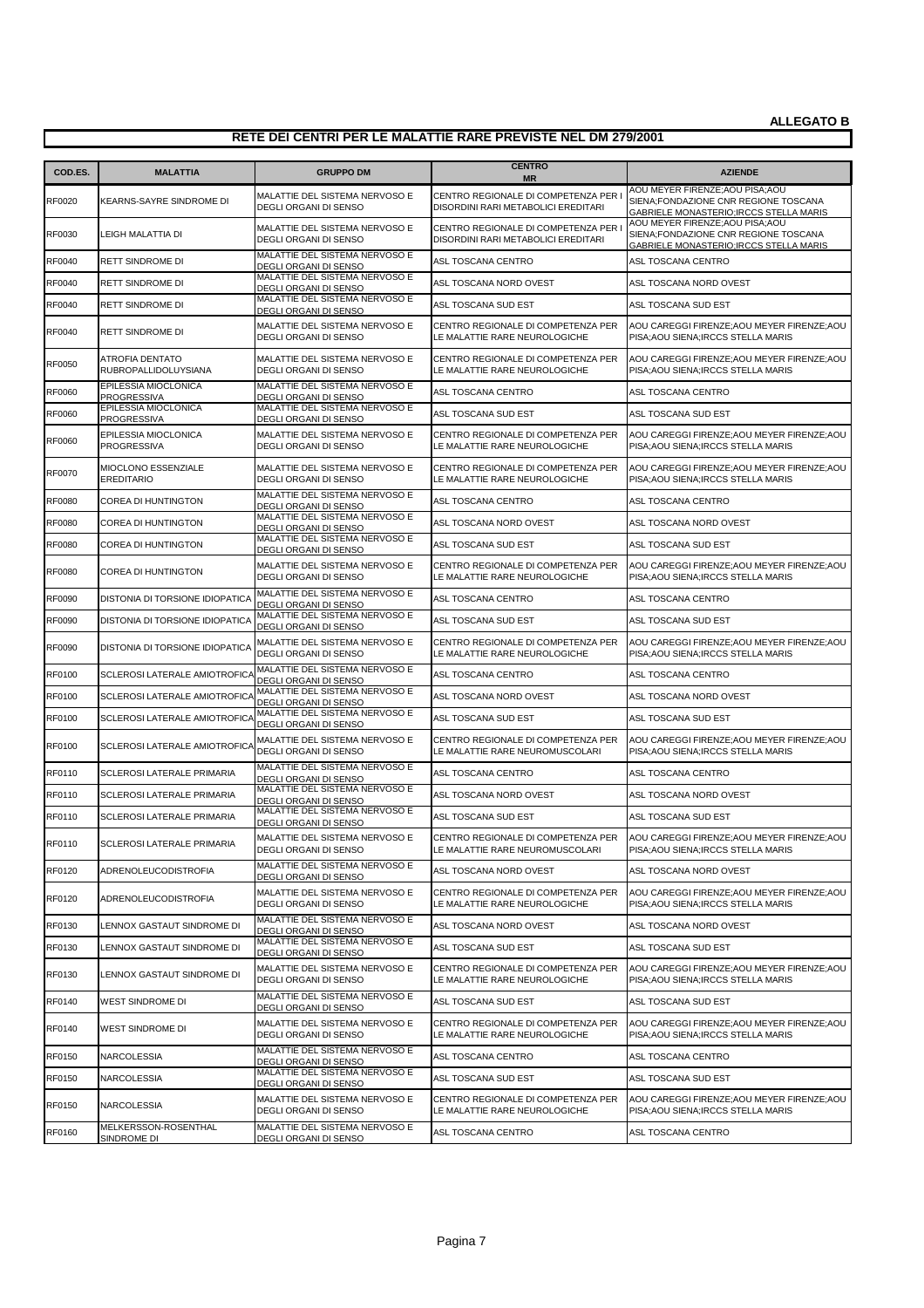| COD.ES.       | <b>MALATTIA</b>                            | <b>GRUPPO DM</b>                                               | <b>CENTRO</b><br><b>MR</b>                                                  | <b>AZIENDE</b>                                                                                                      |
|---------------|--------------------------------------------|----------------------------------------------------------------|-----------------------------------------------------------------------------|---------------------------------------------------------------------------------------------------------------------|
| <b>RF0020</b> | KEARNS-SAYRE SINDROME DI                   | MALATTIE DEL SISTEMA NERVOSO E<br><b>DEGLI ORGANI DI SENSO</b> | CENTRO REGIONALE DI COMPETENZA PER I<br>DISORDINI RARI METABOLICI EREDITARI | AOU MEYER FIRENZE; AOU PISA; AOU<br>SIENA:FONDAZIONE CNR REGIONE TOSCANA<br>GABRIELE MONASTERIO; IRCCS STELLA MARIS |
| <b>RF0030</b> | LEIGH MALATTIA DI                          | MALATTIE DEL SISTEMA NERVOSO E<br>DEGLI ORGANI DI SENSO        | CENTRO REGIONALE DI COMPETENZA PER<br>DISORDINI RARI METABOLICI EREDITARI   | AOU MEYER FIRENZE; AOU PISA; AOU<br>SIENA;FONDAZIONE CNR REGIONE TOSCANA<br>GABRIELE MONASTERIO; IRCCS STELLA MARIS |
| <b>RF0040</b> | RETT SINDROME DI                           | MALATTIE DEL SISTEMA NERVOSO E<br>DEGLI ORGANI DI SENSO        | ASL TOSCANA CENTRO                                                          | ASL TOSCANA CENTRO                                                                                                  |
| RF0040        | RETT SINDROME DI                           | MALATTIE DEL SISTEMA NERVOSO E<br>DEGLI ORGANI DI SENSO        | ASL TOSCANA NORD OVEST                                                      | ASL TOSCANA NORD OVEST                                                                                              |
| RF0040        | RETT SINDROME DI                           | MALATTIE DEL SISTEMA NERVOSO E<br>DEGLI ORGANI DI SENSO        | ASL TOSCANA SUD EST                                                         | ASL TOSCANA SUD EST                                                                                                 |
| <b>RF0040</b> | RETT SINDROME DI                           | MALATTIE DEL SISTEMA NERVOSO E<br>DEGLI ORGANI DI SENSO        | CENTRO REGIONALE DI COMPETENZA PER<br>LE MALATTIE RARE NEUROLOGICHE         | AOU CAREGGI FIRENZE; AOU MEYER FIRENZE; AOU<br>PISA; AOU SIENA; IRCCS STELLA MARIS                                  |
| RF0050        | ATROFIA DENTATO<br>RUBROPALLIDOLUYSIANA    | MALATTIE DEL SISTEMA NERVOSO E<br>DEGLI ORGANI DI SENSO        | CENTRO REGIONALE DI COMPETENZA PER<br>LE MALATTIE RARE NEUROLOGICHE         | AOU CAREGGI FIRENZE; AOU MEYER FIRENZE; AOU<br>PISA; AOU SIENA; IRCCS STELLA MARIS                                  |
| RF0060        | EPILESSIA MIOCLONICA<br><b>PROGRESSIVA</b> | MALATTIE DEL SISTEMA NERVOSO E<br>DEGLI ORGANI DI SENSO        | ASL TOSCANA CENTRO                                                          | ASL TOSCANA CENTRO                                                                                                  |
| RF0060        | EPILESSIA MIOCLONICA<br><b>PROGRESSIVA</b> | MALATTIE DEL SISTEMA NERVOSO E<br>DEGLI ORGANI DI SENSO        | ASL TOSCANA SUD EST                                                         | ASL TOSCANA SUD EST                                                                                                 |
| <b>RF0060</b> | EPILESSIA MIOCLONICA<br><b>PROGRESSIVA</b> | MALATTIE DEL SISTEMA NERVOSO E<br>DEGLI ORGANI DI SENSO        | CENTRO REGIONALE DI COMPETENZA PER<br>LE MALATTIE RARE NEUROLOGICHE         | AOU CAREGGI FIRENZE; AOU MEYER FIRENZE; AOU<br>PISA; AOU SIENA; IRCCS STELLA MARIS                                  |
| <b>RF0070</b> | MIOCLONO ESSENZIALE<br><b>EREDITARIO</b>   | MALATTIE DEL SISTEMA NERVOSO E<br>DEGLI ORGANI DI SENSO        | CENTRO REGIONALE DI COMPETENZA PER<br>LE MALATTIE RARE NEUROLOGICHE         | AOU CAREGGI FIRENZE; AOU MEYER FIRENZE; AOU<br>PISA; AOU SIENA; IRCCS STELLA MARIS                                  |
| <b>RF0080</b> | COREA DI HUNTINGTON                        | MALATTIE DEL SISTEMA NERVOSO E<br>DEGLI ORGANI DI SENSO        | ASL TOSCANA CENTRO                                                          | ASL TOSCANA CENTRO                                                                                                  |
| RF0080        | <b>COREA DI HUNTINGTON</b>                 | MALATTIE DEL SISTEMA NERVOSO E<br>DEGLI ORGANI DI SENSO        | ASL TOSCANA NORD OVEST                                                      | ASL TOSCANA NORD OVEST                                                                                              |
| RF0080        | COREA DI HUNTINGTON                        | MALATTIE DEL SISTEMA NERVOSO E<br>DEGLI ORGANI DI SENSO        | ASL TOSCANA SUD EST                                                         | ASL TOSCANA SUD EST                                                                                                 |
| <b>RF0080</b> | COREA DI HUNTINGTON                        | MALATTIE DEL SISTEMA NERVOSO E<br>DEGLI ORGANI DI SENSO        | CENTRO REGIONALE DI COMPETENZA PER<br>LE MALATTIE RARE NEUROLOGICHE         | AOU CAREGGI FIRENZE; AOU MEYER FIRENZE; AOU<br>PISA; AOU SIENA; IRCCS STELLA MARIS                                  |
| <b>RF0090</b> | DISTONIA DI TORSIONE IDIOPATICA            | MALATTIE DEL SISTEMA NERVOSO E<br>DEGLI ORGANI DI SENSO        | ASL TOSCANA CENTRO                                                          | ASL TOSCANA CENTRO                                                                                                  |
| <b>RF0090</b> | DISTONIA DI TORSIONE IDIOPATICA            | MALATTIE DEL SISTEMA NERVOSO E<br>DEGLI ORGANI DI SENSO        | ASL TOSCANA SUD EST                                                         | ASL TOSCANA SUD EST                                                                                                 |
| <b>RF0090</b> | DISTONIA DI TORSIONE IDIOPATICA            | MALATTIE DEL SISTEMA NERVOSO E<br>DEGLI ORGANI DI SENSO        | CENTRO REGIONALE DI COMPETENZA PER<br>LE MALATTIE RARE NEUROLOGICHE         | AOU CAREGGI FIRENZE; AOU MEYER FIRENZE; AOU<br>PISA; AOU SIENA; IRCCS STELLA MARIS                                  |
| RF0100        | SCLEROSI LATERALE AMIOTROFICA              | MALATTIE DEL SISTEMA NERVOSO E<br>DEGLI ORGANI DI SENSO        | ASL TOSCANA CENTRO                                                          | ASL TOSCANA CENTRO                                                                                                  |
| <b>RF0100</b> | SCLEROSI LATERALE AMIOTROFICA              | MALATTIE DEL SISTEMA NERVOSO E<br>DEGLI ORGANI DI SENSO        | ASL TOSCANA NORD OVEST                                                      | ASL TOSCANA NORD OVEST                                                                                              |
| RF0100        | SCLEROSI LATERALE AMIOTROFICA              | MALATTIE DEL SISTEMA NERVOSO E<br>DEGLI ORGANI DI SENSO        | ASL TOSCANA SUD EST                                                         | ASL TOSCANA SUD EST                                                                                                 |
| RF0100        | SCLEROSI LATERALE AMIOTROFICA              | MALATTIE DEL SISTEMA NERVOSO E<br>DEGLI ORGANI DI SENSO        | CENTRO REGIONALE DI COMPETENZA PER<br>LE MALATTIE RARE NEUROMUSCOLARI       | AOU CAREGGI FIRENZE; AOU MEYER FIRENZE; AOU<br>PISA; AOU SIENA; IRCCS STELLA MARIS                                  |
| RF0110        | SCLEROSI LATERALE PRIMARIA                 | MALATTIE DEL SISTEMA NERVOSO E<br>DEGLI ORGANI DI SENSO        | ASL TOSCANA CENTRO                                                          | ASL TOSCANA CENTRO                                                                                                  |
| RF0110        | <b>SCLEROSI LATERALE PRIMARIA</b>          | MALATTIE DEL SISTEMA NERVOSO E<br>DEGLI ORGANI DI SENSO        | ASL TOSCANA NORD OVEST                                                      | ASL TOSCANA NORD OVEST                                                                                              |
| RF0110        | SCLEROSI LATERALE PRIMARIA                 | MALATTIE DEL SISTEMA NERVOSO E<br>DEGLI ORGANI DI SENSO        | ASL TOSCANA SUD EST                                                         | ASL TOSCANA SUD EST                                                                                                 |
| RF0110        | SCLEROSI LATERALE PRIMARIA                 | MALATTIE DEL SISTEMA NERVOSO E<br>DEGLI ORGANI DI SENSO        | CENTRO REGIONALE DI COMPETENZA PER<br>LE MALATTIE RARE NEUROMUSCOLARI       | AOU CAREGGI FIRENZE; AOU MEYER FIRENZE; AOU<br>PISA; AOU SIENA; IRCCS STELLA MARIS                                  |
| <b>RF0120</b> | ADRENOLEUCODISTROFIA                       | MALATTIE DEL SISTEMA NERVOSO E<br>DEGLI ORGANI DI SENSO        | ASL TOSCANA NORD OVEST                                                      | ASL TOSCANA NORD OVEST                                                                                              |
| <b>RF0120</b> | ADRENOLEUCODISTROFIA                       | MALATTIE DEL SISTEMA NERVOSO E<br>DEGLI ORGANI DI SENSO        | CENTRO REGIONALE DI COMPETENZA PER<br>LE MALATTIE RARE NEUROLOGICHE         | AOU CAREGGI FIRENZE; AOU MEYER FIRENZE; AOU<br>PISA; AOU SIENA; IRCCS STELLA MARIS                                  |
| RF0130        | LENNOX GASTAUT SINDROME DI                 | MALATTIE DEL SISTEMA NERVOSO E<br>DEGLI ORGANI DI SENSO        | ASL TOSCANA NORD OVEST                                                      | ASL TOSCANA NORD OVEST                                                                                              |
| RF0130        | LENNOX GASTAUT SINDROME DI                 | MALATTIE DEL SISTEMA NERVOSO E<br>DEGLI ORGANI DI SENSO        | ASL TOSCANA SUD EST                                                         | ASL TOSCANA SUD EST                                                                                                 |
| RF0130        | LENNOX GASTAUT SINDROME DI                 | MALATTIE DEL SISTEMA NERVOSO E<br>DEGLI ORGANI DI SENSO        | CENTRO REGIONALE DI COMPETENZA PER<br>LE MALATTIE RARE NEUROLOGICHE         | AOU CAREGGI FIRENZE; AOU MEYER FIRENZE; AOU<br>PISA; AOU SIENA; IRCCS STELLA MARIS                                  |
| <b>RF0140</b> | WEST SINDROME DI                           | MALATTIE DEL SISTEMA NERVOSO E<br>DEGLI ORGANI DI SENSO        | ASL TOSCANA SUD EST                                                         | ASL TOSCANA SUD EST                                                                                                 |
| <b>RF0140</b> | WEST SINDROME DI                           | MALATTIE DEL SISTEMA NERVOSO E<br>DEGLI ORGANI DI SENSO        | CENTRO REGIONALE DI COMPETENZA PER<br>LE MALATTIE RARE NEUROLOGICHE         | AOU CAREGGI FIRENZE; AOU MEYER FIRENZE; AOU<br>PISA; AOU SIENA; IRCCS STELLA MARIS                                  |
| RF0150        | NARCOLESSIA                                | MALATTIE DEL SISTEMA NERVOSO E<br>DEGLI ORGANI DI SENSO        | ASL TOSCANA CENTRO                                                          | ASL TOSCANA CENTRO                                                                                                  |
| <b>RF0150</b> | NARCOLESSIA                                | MALATTIE DEL SISTEMA NERVOSO E<br>DEGLI ORGANI DI SENSO        | ASL TOSCANA SUD EST                                                         | ASL TOSCANA SUD EST                                                                                                 |
| <b>RF0150</b> | NARCOLESSIA                                | MALATTIE DEL SISTEMA NERVOSO E<br>DEGLI ORGANI DI SENSO        | CENTRO REGIONALE DI COMPETENZA PER<br>LE MALATTIE RARE NEUROLOGICHE         | AOU CAREGGI FIRENZE; AOU MEYER FIRENZE; AOU<br>PISA; AOU SIENA; IRCCS STELLA MARIS                                  |
| RF0160        | MELKERSSON-ROSENTHAL<br>SINDROME DI        | MALATTIE DEL SISTEMA NERVOSO E<br>DEGLI ORGANI DI SENSO        | ASL TOSCANA CENTRO                                                          | ASL TOSCANA CENTRO                                                                                                  |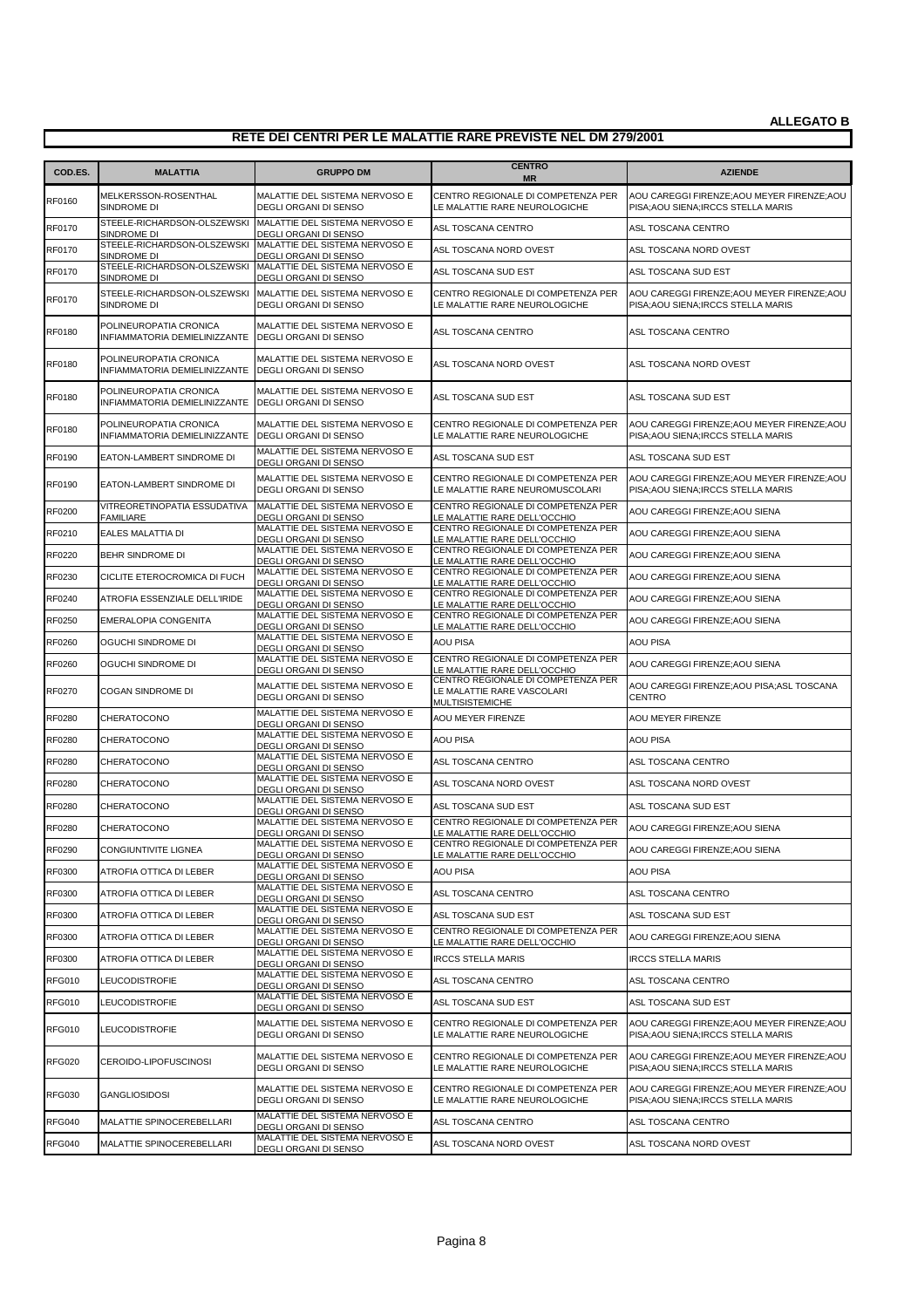| COD.ES.       | <b>MALATTIA</b>                                         | <b>GRUPPO DM</b>                                                                           | <b>CENTRO</b><br><b>MR</b>                                                                       | <b>AZIENDE</b>                                                                     |
|---------------|---------------------------------------------------------|--------------------------------------------------------------------------------------------|--------------------------------------------------------------------------------------------------|------------------------------------------------------------------------------------|
| RF0160        | MELKERSSON-ROSENTHAL                                    | MALATTIE DEL SISTEMA NERVOSO E                                                             | CENTRO REGIONALE DI COMPETENZA PER                                                               | AOU CAREGGI FIRENZE; AOU MEYER FIRENZE; AOU                                        |
| RF0170        | SINDROME DI                                             | <b>DEGLI ORGANI DI SENSO</b><br>STEELE-RICHARDSON-OLSZEWSKI MALATTIE DEL SISTEMA NERVOSO E | LE MALATTIE RARE NEUROLOGICHE<br>ASL TOSCANA CENTRO                                              | PISA; AOU SIENA; IRCCS STELLA MARIS<br>ASL TOSCANA CENTRO                          |
| <b>RF0170</b> | SINDROME DI                                             | DEGLI ORGANI DI SENSO<br>STEELE-RICHARDSON-OLSZEWSKI MALATTIE DEL SISTEMA NERVOSO E        | ASL TOSCANA NORD OVEST                                                                           | ASL TOSCANA NORD OVEST                                                             |
| <b>RF0170</b> | Sindrome di<br>STEELE-RICHARDSON-OLSZEWSKI              | DEGLI ORGANI DI SENSO<br>MALATTIE DEL SISTEMA NERVOSO E                                    | ASL TOSCANA SUD EST                                                                              | ASL TOSCANA SUD EST                                                                |
|               | SINDROME DI                                             | DEGLI ORGANI DI SENSO                                                                      |                                                                                                  |                                                                                    |
| <b>RF0170</b> | STEELE-RICHARDSON-OLSZEWSKI<br>SINDROME DI              | MALATTIE DEL SISTEMA NERVOSO E<br><b>DEGLI ORGANI DI SENSO</b>                             | CENTRO REGIONALE DI COMPETENZA PER<br>LE MALATTIE RARE NEUROLOGICHE                              | AOU CAREGGI FIRENZE; AOU MEYER FIRENZE; AOU<br>PISA: AOU SIENA: IRCCS STELLA MARIS |
| <b>RF0180</b> | POLINEUROPATIA CRONICA<br>INFIAMMATORIA DEMIELINIZZANTE | MALATTIE DEL SISTEMA NERVOSO E<br><b>DEGLI ORGANI DI SENSO</b>                             | ASL TOSCANA CENTRO                                                                               | ASL TOSCANA CENTRO                                                                 |
| <b>RF0180</b> | POLINEUROPATIA CRONICA<br>INFIAMMATORIA DEMIELINIZZANTE | MALATTIE DEL SISTEMA NERVOSO E<br><b>DEGLI ORGANI DI SENSO</b>                             | ASL TOSCANA NORD OVEST                                                                           | ASL TOSCANA NORD OVEST                                                             |
| <b>RF0180</b> | POLINEUROPATIA CRONICA<br>INFIAMMATORIA DEMIELINIZZANTE | MALATTIE DEL SISTEMA NERVOSO E<br><b>DEGLI ORGANI DI SENSO</b>                             | ASL TOSCANA SUD EST                                                                              | ASL TOSCANA SUD EST                                                                |
| RF0180        | POLINEUROPATIA CRONICA<br>INFIAMMATORIA DEMIELINIZZANTE | MALATTIE DEL SISTEMA NERVOSO E<br><b>DEGLI ORGANI DI SENSO</b>                             | CENTRO REGIONALE DI COMPETENZA PER<br>LE MALATTIE RARE NEUROLOGICHE                              | AOU CAREGGI FIRENZE; AOU MEYER FIRENZE; AOU<br>PISA; AOU SIENA; IRCCS STELLA MARIS |
| RF0190        | EATON-LAMBERT SINDROME DI                               | MALATTIE DEL SISTEMA NERVOSO E<br>DEGLI ORGANI DI SENSO                                    | ASL TOSCANA SUD EST                                                                              | ASL TOSCANA SUD EST                                                                |
| <b>RF0190</b> | EATON-LAMBERT SINDROME DI                               | MALATTIE DEL SISTEMA NERVOSO E<br>DEGLI ORGANI DI SENSO                                    | CENTRO REGIONALE DI COMPETENZA PER<br>LE MALATTIE RARE NEUROMUSCOLARI                            | AOU CAREGGI FIRENZE; AOU MEYER FIRENZE; AOU<br>PISA; AOU SIENA; IRCCS STELLA MARIS |
| RF0200        | VITREORETINOPATIA ESSUDATIVA<br><b>FAMILIARE</b>        | MALATTIE DEL SISTEMA NERVOSO E<br>DEGLI ORGANI DI SENSO                                    | CENTRO REGIONALE DI COMPETENZA PER<br>LE MALATTIE RARE DELL'OCCHIO                               | AOU CAREGGI FIRENZE; AOU SIENA                                                     |
| RF0210        | EALES MALATTIA DI                                       | MALATTIE DEL SISTEMA NERVOSO E<br>DEGLI ORGANI DI SENSO                                    | CENTRO REGIONALE DI COMPETENZA PER<br>LE MALATTIE RARE DELL'OCCHIO                               | AOU CAREGGI FIRENZE; AOU SIENA                                                     |
| RF0220        | BEHR SINDROME DI                                        | MALATTIE DEL SISTEMA NERVOSO E<br>DEGLI ORGANI DI SENSO                                    | CENTRO REGIONALE DI COMPETENZA PER<br>LE MALATTIE RARE DELL'OCCHIO                               | AOU CAREGGI FIRENZE; AOU SIENA                                                     |
| RF0230        | CICLITE ETEROCROMICA DI FUCH                            | MALATTIE DEL SISTEMA NERVOSO E<br>DEGLI ORGANI DI SENSO                                    | CENTRO REGIONALE DI COMPETENZA PER<br>LE MALATTIE RARE DELL'OCCHIO                               | AOU CAREGGI FIRENZE; AOU SIENA                                                     |
| RF0240        | ATROFIA ESSENZIALE DELL'IRIDE                           | MALATTIE DEL SISTEMA NERVOSO E<br>DEGLI ORGANI DI SENSO                                    | CENTRO REGIONALE DI COMPETENZA PER                                                               | AOU CAREGGI FIRENZE; AOU SIENA                                                     |
| RF0250        | EMERALOPIA CONGENITA                                    | MALATTIE DEL SISTEMA NERVOSO E                                                             | LE MALATTIE RARE DELL'OCCHIO<br>CENTRO REGIONALE DI COMPETENZA PER                               | AOU CAREGGI FIRENZE; AOU SIENA                                                     |
| RF0260        | OGUCHI SINDROME DI                                      | DEGLI ORGANI DI SENSO<br>MALATTIE DEL SISTEMA NERVOSO E                                    | LE MALATTIE RARE DELL'OCCHIO<br><b>AOU PISA</b>                                                  | <b>AOU PISA</b>                                                                    |
| RF0260        | OGUCHI SINDROME DI                                      | DEGLI ORGANI DI SENSO<br>MALATTIE DEL SISTEMA NERVOSO E                                    | CENTRO REGIONALE DI COMPETENZA PER                                                               | AOU CAREGGI FIRENZE; AOU SIENA                                                     |
| RF0270        | COGAN SINDROME DI                                       | DEGLI ORGANI DI SENSO<br>MALATTIE DEL SISTEMA NERVOSO E<br>DEGLI ORGANI DI SENSO           | LE MALATTIE RARE DELL'OCCHIO<br>CENTRO REGIONALE DI COMPETENZA PER<br>LE MALATTIE RARE VASCOLARI | AOU CAREGGI FIRENZE; AOU PISA; ASL TOSCANA<br><b>CENTRO</b>                        |
| RF0280        | CHERATOCONO                                             | MALATTIE DEL SISTEMA NERVOSO E                                                             | <b>MULTISISTEMICHE</b><br><b>AOU MEYER FIRENZE</b>                                               | AOU MEYER FIRENZE                                                                  |
| RF0280        | CHERATOCONO                                             | DEGLI ORGANI DI SENSO<br>MALATTIE DEL SISTEMA NERVOSO E                                    | <b>AOU PISA</b>                                                                                  | AOU PISA                                                                           |
|               |                                                         | DEGLI ORGANI DI SENSO<br>MALATTIE DEL SISTEMA NERVOSO E                                    |                                                                                                  |                                                                                    |
| RF0280        | CHERATOCONO                                             | DEGLI ORGANI DI SENSO<br>MALATTIE DEL SISTEMA NERVOSO E                                    | ASL TOSCANA CENTRO                                                                               | ASL TOSCANA CENTRO                                                                 |
| <b>RF0280</b> | CHERATOCONO                                             | DEGLI ORGANI DI SENSO                                                                      | ASL TOSCANA NORD OVEST                                                                           | ASL TOSCANA NORD OVEST                                                             |
| RF0280        | CHERATOCONO                                             | MALATTIE DEL SISTEMA NERVOSO E<br>DEGLI ORGANI DI SENSO                                    | ASL TOSCANA SUD EST                                                                              | ASL TOSCANA SUD EST                                                                |
| <b>RF0280</b> | CHERATOCONO                                             | MALATTIE DEL SISTEMA NERVOSO E<br>DEGLI ORGANI DI SENSO                                    | CENTRO REGIONALE DI COMPETENZA PER<br>LE MALATTIE RARE DELL'OCCHIO                               | AOU CAREGGI FIRENZE; AOU SIENA                                                     |
| RF0290        | CONGIUNTIVITE LIGNEA                                    | MALATTIE DEL SISTEMA NERVOSO E<br>DEGLI ORGANI DI SENSO                                    | CENTRO REGIONALE DI COMPETENZA PER<br>LE MALATTIE RARE DELL'OCCHIO                               | AOU CAREGGI FIRENZE;AOU SIENA                                                      |
| RF0300        | ATROFIA OTTICA DI LEBER                                 | MALATTIE DEL SISTEMA NERVOSO E<br>DEGLI ORGANI DI SENSO                                    | <b>AOU PISA</b>                                                                                  | <b>AOU PISA</b>                                                                    |
| RF0300        | ATROFIA OTTICA DI LEBER                                 | MALATTIE DEL SISTEMA NERVOSO E<br>DEGLI ORGANI DI SENSO                                    | ASL TOSCANA CENTRO                                                                               | ASL TOSCANA CENTRO                                                                 |
| RF0300        | ATROFIA OTTICA DI LEBER                                 | MALATTIE DEL SISTEMA NERVOSO E<br>DEGLI ORGANI DI SENSO                                    | ASL TOSCANA SUD EST                                                                              | ASL TOSCANA SUD EST                                                                |
| RF0300        | ATROFIA OTTICA DI LEBER                                 | MALATTIE DEL SISTEMA NERVOSO E<br><b>DEGLI ORGANI DI SENSO</b>                             | CENTRO REGIONALE DI COMPETENZA PER                                                               | AOU CAREGGI FIRENZE; AOU SIENA                                                     |
| RF0300        | ATROFIA OTTICA DI LEBER                                 | MALATTIE DEL SISTEMA NERVOSO E                                                             | LE MALATTIE RARE DELL'OCCHIO<br><b>IRCCS STELLA MARIS</b>                                        | <b>IRCCS STELLA MARIS</b>                                                          |
| <b>RFG010</b> | LEUCODISTROFIE                                          | DEGLI ORGANI DI SENSO<br>MALATTIE DEL SISTEMA NERVOSO E                                    | ASL TOSCANA CENTRO                                                                               | ASL TOSCANA CENTRO                                                                 |
| <b>RFG010</b> | LEUCODISTROFIE                                          | DEGLI ORGANI DI SENSO<br>MALATTIE DEL SISTEMA NERVOSO E                                    | ASL TOSCANA SUD EST                                                                              | ASL TOSCANA SUD EST                                                                |
| <b>RFG010</b> | LEUCODISTROFIE                                          | DEGLI ORGANI DI SENSO<br>MALATTIE DEL SISTEMA NERVOSO E<br>DEGLI ORGANI DI SENSO           | CENTRO REGIONALE DI COMPETENZA PER<br>LE MALATTIE RARE NEUROLOGICHE                              | AOU CAREGGI FIRENZE; AOU MEYER FIRENZE; AOU<br>PISA; AOU SIENA; IRCCS STELLA MARIS |
| <b>RFG020</b> | CEROIDO-LIPOFUSCINOSI                                   | MALATTIE DEL SISTEMA NERVOSO E<br>DEGLI ORGANI DI SENSO                                    | CENTRO REGIONALE DI COMPETENZA PER<br>LE MALATTIE RARE NEUROLOGICHE                              | AOU CAREGGI FIRENZE; AOU MEYER FIRENZE; AOU<br>PISA; AOU SIENA; IRCCS STELLA MARIS |
| <b>RFG030</b> | <b>GANGLIOSIDOSI</b>                                    | MALATTIE DEL SISTEMA NERVOSO E<br>DEGLI ORGANI DI SENSO                                    | CENTRO REGIONALE DI COMPETENZA PER<br>LE MALATTIE RARE NEUROLOGICHE                              | AOU CAREGGI FIRENZE; AOU MEYER FIRENZE; AOU<br>PISA; AOU SIENA; IRCCS STELLA MARIS |
| <b>RFG040</b> | MALATTIE SPINOCEREBELLARI                               | MALATTIE DEL SISTEMA NERVOSO E<br>DEGLI ORGANI DI SENSO                                    | ASL TOSCANA CENTRO                                                                               | ASL TOSCANA CENTRO                                                                 |
| <b>RFG040</b> | MALATTIE SPINOCEREBELLARI                               | MALATTIE DEL SISTEMA NERVOSO E<br>DEGLI ORGANI DI SENSO                                    | ASL TOSCANA NORD OVEST                                                                           | ASL TOSCANA NORD OVEST                                                             |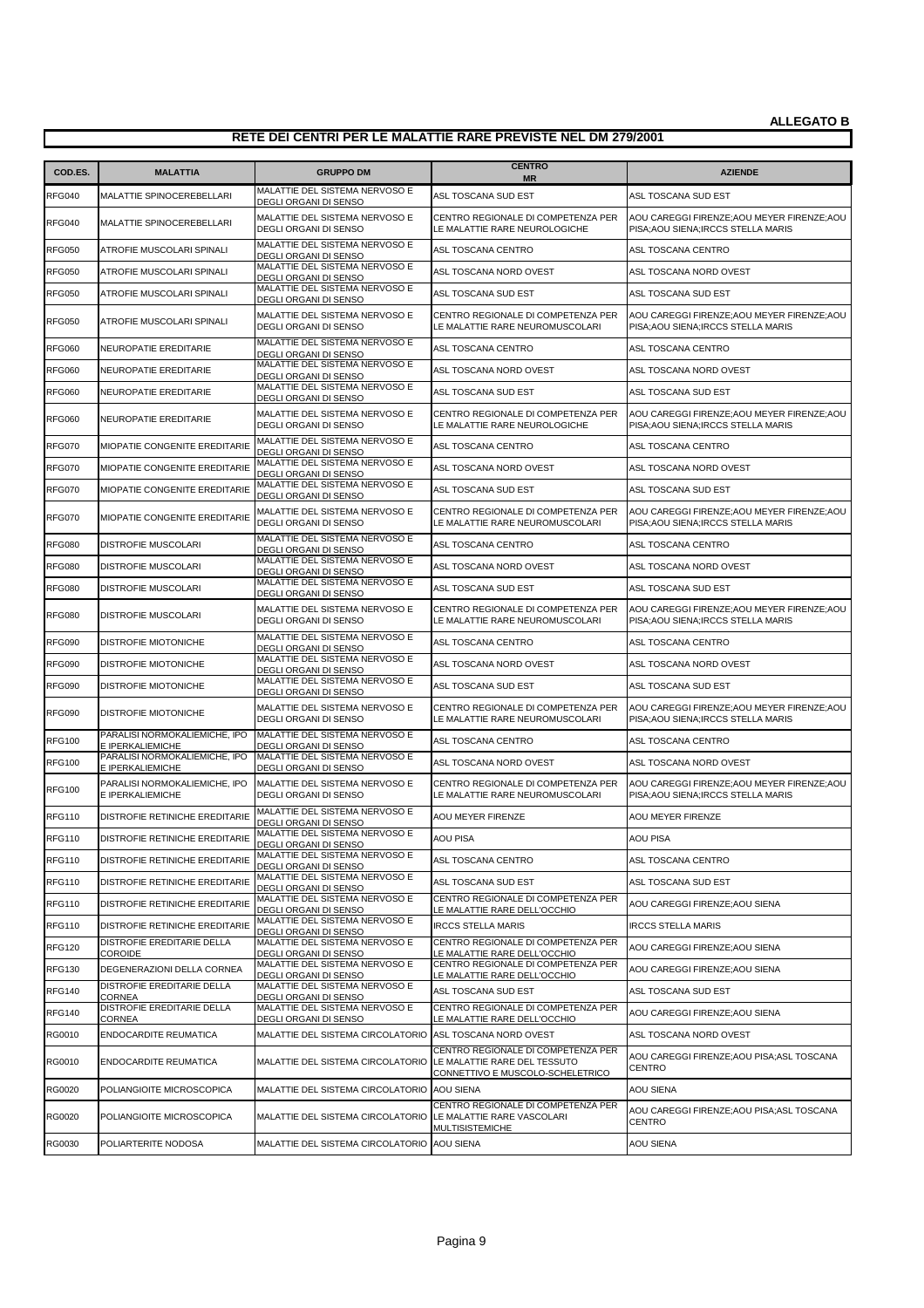| MALATTIE DEL SISTEMA NERVOSO E<br>ASL TOSCANA SUD EST<br>ASL TOSCANA SUD EST<br><b>RFG040</b><br><b>MALATTIE SPINOCEREBELLARI</b><br>DEGLI ORGANI DI SENSO<br>MALATTIE DEL SISTEMA NERVOSO E<br>CENTRO REGIONALE DI COMPETENZA PER<br>AOU CAREGGI FIRENZE; AOU MEYER FIRENZE; AOU<br><b>RFG040</b><br>MALATTIE SPINOCEREBELLARI<br><b>DEGLI ORGANI DI SENSO</b><br>LE MALATTIE RARE NEUROLOGICHE<br>PISA; AOU SIENA; IRCCS STELLA MARIS<br>MALATTIE DEL SISTEMA NERVOSO E<br><b>RFG050</b><br>ATROFIE MUSCOLARI SPINALI<br>ASL TOSCANA CENTRO<br>ASL TOSCANA CENTRO<br>DEGLI ORGANI DI SENSO<br>MALATTIE DEL SISTEMA NERVOSO E<br><b>RFG050</b><br>ASL TOSCANA NORD OVEST<br>ASL TOSCANA NORD OVEST<br>ATROFIE MUSCOLARI SPINALI<br>DEGLI ORGANI DI SENSO<br>MALATTIE DEL SISTEMA NERVOSO E<br><b>RFG050</b><br>ATROFIE MUSCOLARI SPINALI<br>ASL TOSCANA SUD EST<br>ASL TOSCANA SUD EST<br>DEGLI ORGANI DI SENSO<br>MALATTIE DEL SISTEMA NERVOSO E<br>CENTRO REGIONALE DI COMPETENZA PER<br>AOU CAREGGI FIRENZE; AOU MEYER FIRENZE; AOU<br><b>RFG050</b><br>ATROFIE MUSCOLARI SPINALI<br>DEGLI ORGANI DI SENSO<br>LE MALATTIE RARE NEUROMUSCOLARI<br>PISA; AOU SIENA; IRCCS STELLA MARIS<br>MALATTIE DEL SISTEMA NERVOSO E<br><b>RFG060</b><br>ASL TOSCANA CENTRO<br>ASL TOSCANA CENTRO<br>NEUROPATIE EREDITARIE<br>DEGLI ORGANI DI SENSO<br>MALATTIE DEL SISTEMA NERVOSO E<br><b>RFG060</b><br>ASL TOSCANA NORD OVEST<br>ASL TOSCANA NORD OVEST<br>NEUROPATIE EREDITARIE<br>DEGLI ORGANI DI SENSO<br>MALATTIE DEL SISTEMA NERVOSO E<br><b>RFG060</b><br>NEUROPATIE EREDITARIE<br>ASL TOSCANA SUD EST<br>ASL TOSCANA SUD EST<br>DEGLI ORGANI DI SENSO<br>MALATTIE DEL SISTEMA NERVOSO E<br>CENTRO REGIONALE DI COMPETENZA PER<br>AOU CAREGGI FIRENZE; AOU MEYER FIRENZE; AOU<br><b>RFG060</b><br>NEUROPATIE EREDITARIE<br>DEGLI ORGANI DI SENSO<br>LE MALATTIE RARE NEUROLOGICHE<br>PISA; AOU SIENA; IRCCS STELLA MARIS<br>MALATTIE DEL SISTEMA NERVOSO E<br>MIOPATIE CONGENITE EREDITARIE<br><b>RFG070</b><br>ASL TOSCANA CENTRO<br>ASL TOSCANA CENTRO<br>DEGLI ORGANI DI SENSO<br>MALATTIE DEL SISTEMA NERVOSO E<br><b>RFG070</b><br>MIOPATIE CONGENITE EREDITARIE<br>ASL TOSCANA NORD OVEST<br>ASL TOSCANA NORD OVEST<br>DEGLI ORGANI DI SENSO<br>MALATTIE DEL SISTEMA NERVOSO E<br><b>RFG070</b><br>ASL TOSCANA SUD EST<br>MIOPATIE CONGENITE EREDITARIE<br>ASL TOSCANA SUD EST<br>DEGLI ORGANI DI SENSO<br>MALATTIE DEL SISTEMA NERVOSO E<br>CENTRO REGIONALE DI COMPETENZA PER<br>AOU CAREGGI FIRENZE; AOU MEYER FIRENZE; AOU<br><b>RFG070</b><br>MIOPATIE CONGENITE EREDITARIE<br><b>DEGLI ORGANI DI SENSO</b><br>PISA; AOU SIENA; IRCCS STELLA MARIS<br>LE MALATTIE RARE NEUROMUSCOLARI<br>MALATTIE DEL SISTEMA NERVOSO E<br><b>RFG080</b><br>DISTROFIE MUSCOLARI<br>ASL TOSCANA CENTRO<br>ASL TOSCANA CENTRO<br>DEGLI ORGANI DI SENSO<br>MALATTIE DEL SISTEMA NERVOSO E<br><b>RFG080</b><br><b>DISTROFIE MUSCOLARI</b><br>ASL TOSCANA NORD OVEST<br>ASL TOSCANA NORD OVEST<br>DEGLI ORGANI DI SENSO<br>MALATTIE DEL SISTEMA NERVOSO E<br><b>RFG080</b><br>ASL TOSCANA SUD EST<br>ASL TOSCANA SUD EST<br>DISTROFIE MUSCOLARI<br>DEGLI ORGANI DI SENSO<br>MALATTIE DEL SISTEMA NERVOSO E<br>CENTRO REGIONALE DI COMPETENZA PER<br>AOU CAREGGI FIRENZE; AOU MEYER FIRENZE; AOU<br><b>RFG080</b><br>DISTROFIE MUSCOLARI<br>DEGLI ORGANI DI SENSO<br>LE MALATTIE RARE NEUROMUSCOLARI<br>PISA; AOU SIENA; IRCCS STELLA MARIS<br>MALATTIE DEL SISTEMA NERVOSO E<br><b>RFG090</b><br><b>DISTROFIE MIOTONICHE</b><br>ASL TOSCANA CENTRO<br>ASL TOSCANA CENTRO<br>DEGLI ORGANI DI SENSO<br>MALATTIE DEL SISTEMA NERVOSO E<br><b>RFG090</b><br><b>DISTROFIE MIOTONICHE</b><br>ASL TOSCANA NORD OVEST<br>ASL TOSCANA NORD OVEST<br>DEGLI ORGANI DI SENSO<br>MALATTIE DEL SISTEMA NERVOSO E<br><b>RFG090</b><br>DISTROFIE MIOTONICHE<br>ASL TOSCANA SUD EST<br>ASL TOSCANA SUD EST<br>DEGLI ORGANI DI SENSO<br>MALATTIE DEL SISTEMA NERVOSO E<br>AOU CAREGGI FIRENZE; AOU MEYER FIRENZE; AOU<br>CENTRO REGIONALE DI COMPETENZA PER<br><b>RFG090</b><br>DISTROFIE MIOTONICHE<br>DEGLI ORGANI DI SENSO<br>LE MALATTIE RARE NEUROMUSCOLARI<br>PISA; AOU SIENA; IRCCS STELLA MARIS<br>PARALISI NORMOKALIEMICHE, IPO<br>MALATTIE DEL SISTEMA NERVOSO E<br><b>RFG100</b><br>ASL TOSCANA CENTRO<br>ASL TOSCANA CENTRO<br>E IPERKALIEMICHE<br>DEGLI ORGANI DI SENSO<br>PARALISI NORMOKALIEMICHE, IPO<br>MALATTIE DEL SISTEMA NERVOSO E<br><b>RFG100</b><br>ASL TOSCANA NORD OVEST<br>ASL TOSCANA NORD OVEST<br>E IPERKALIEMICHE<br><b>DEGLI ORGANI DI SENSO</b><br>PARALISI NORMOKALIEMICHE, IPO<br>MALATTIE DEL SISTEMA NERVOSO E<br>CENTRO REGIONALE DI COMPETENZA PER<br>AOU CAREGGI FIRENZE; AOU MEYER FIRENZE; AOU<br><b>RFG100</b><br>E IPERKALIEMICHE<br>DEGLI ORGANI DI SENSO<br>LE MALATTIE RARE NEUROMUSCOLARI<br>PISA; AOU SIENA; IRCCS STELLA MARIS<br>MALATTIE DEL SISTEMA NERVOSO E<br><b>RFG110</b><br>DISTROFIE RETINICHE EREDITARIE<br><b>AOU MEYER FIRENZE</b><br>AOU MEYER FIRENZE<br>DEGLI ORGANI DI SENSO<br>MALATTIE DEL SISTEMA NERVOSO E<br><b>AOU PISA</b><br><b>RFG110</b><br>DISTROFIE RETINICHE EREDITARIE<br>AOU PISA<br>DEGLI ORGANI DI SENSO<br>MALATTIE DEL SISTEMA NERVOSO E<br><b>RFG110</b><br>DISTROFIE RETINICHE EREDITARIE<br>ASL TOSCANA CENTRO<br>ASL TOSCANA CENTRO<br>DEGLI ORGANI DI SENSO<br>MALATTIE DEL SISTEMA NERVOSO E<br><b>RFG110</b><br>DISTROFIE RETINICHE EREDITARIE<br>ASL TOSCANA SUD EST<br>ASL TOSCANA SUD EST<br>DEGLI ORGANI DI SENSO<br>MALATTIE DEL SISTEMA NERVOSO E<br>CENTRO REGIONALE DI COMPETENZA PER<br>DISTROFIE RETINICHE EREDITARIE<br><b>RFG110</b><br>AOU CAREGGI FIRENZE; AOU SIENA<br>DEGLI ORGANI DI SENSO<br>LE MALATTIE RARE DELL'OCCHIO<br>MALATTIE DEL SISTEMA NERVOSO E<br><b>RFG110</b><br>DISTROFIE RETINICHE EREDITARIE<br><b>IRCCS STELLA MARIS</b><br><b>IRCCS STELLA MARIS</b><br>DEGLI ORGANI DI SENSO<br>DISTROFIE EREDITARIE DELLA<br>MALATTIE DEL SISTEMA NERVOSO E<br>CENTRO REGIONALE DI COMPETENZA PER<br><b>RFG120</b><br>AOU CAREGGI FIRENZE; AOU SIENA<br>COROIDE<br>DEGLI ORGANI DI SENSO<br>LE MALATTIE RARE DELL'OCCHIO<br>MALATTIE DEL SISTEMA NERVOSO E<br>CENTRO REGIONALE DI COMPETENZA PER<br><b>RFG130</b><br>DEGENERAZIONI DELLA CORNEA<br>AOU CAREGGI FIRENZE; AOU SIENA<br>DEGLI ORGANI DI SENSO<br>LE MALATTIE RARE DELL'OCCHIO<br>DISTROFIE EREDITARIE DELLA<br>MALATTIE DEL SISTEMA NERVOSO E<br><b>RFG140</b><br>ASL TOSCANA SUD EST<br>ASL TOSCANA SUD EST<br>CORNEA<br>DEGLI ORGANI DI SENSO<br>DISTROFIE EREDITARIE DELLA<br>MALATTIE DEL SISTEMA NERVOSO E<br>CENTRO REGIONALE DI COMPETENZA PER<br><b>RFG140</b><br>AOU CAREGGI FIRENZE: AOU SIENA<br>CORNEA<br>DEGLI ORGANI DI SENSO<br>LE MALATTIE RARE DELL'OCCHIO<br>RG0010<br>ENDOCARDITE REUMATICA<br>MALATTIE DEL SISTEMA CIRCOLATORIO<br>ASL TOSCANA NORD OVEST<br>ASL TOSCANA NORD OVEST<br>CENTRO REGIONALE DI COMPETENZA PER<br>AOU CAREGGI FIRENZE; AOU PISA; ASL TOSCANA<br>RG0010<br>MALATTIE DEL SISTEMA CIRCOLATORIO<br>LE MALATTIE RARE DEL TESSUTO<br>ENDOCARDITE REUMATICA<br>CENTRO<br>CONNETTIVO E MUSCOLO-SCHELETRICO<br>MALATTIE DEL SISTEMA CIRCOLATORIO AOU SIENA<br><b>RG0020</b><br><b>AOU SIENA</b><br>POLIANGIOITE MICROSCOPICA<br>CENTRO REGIONALE DI COMPETENZA PER<br>AOU CAREGGI FIRENZE; AOU PISA; ASL TOSCANA<br><b>RG0020</b><br>MALATTIE DEL SISTEMA CIRCOLATORIO LE MALATTIE RARE VASCOLARI<br>POLIANGIOITE MICROSCOPICA<br><b>CENTRO</b><br>MULTISISTEMICHE<br>RG0030<br>POLIARTERITE NODOSA<br>MALATTIE DEL SISTEMA CIRCOLATORIO AOU SIENA<br>AOU SIENA | COD.ES. | <b>MALATTIA</b> | <b>GRUPPO DM</b> | <b>CENTRO</b> | <b>AZIENDE</b> |
|------------------------------------------------------------------------------------------------------------------------------------------------------------------------------------------------------------------------------------------------------------------------------------------------------------------------------------------------------------------------------------------------------------------------------------------------------------------------------------------------------------------------------------------------------------------------------------------------------------------------------------------------------------------------------------------------------------------------------------------------------------------------------------------------------------------------------------------------------------------------------------------------------------------------------------------------------------------------------------------------------------------------------------------------------------------------------------------------------------------------------------------------------------------------------------------------------------------------------------------------------------------------------------------------------------------------------------------------------------------------------------------------------------------------------------------------------------------------------------------------------------------------------------------------------------------------------------------------------------------------------------------------------------------------------------------------------------------------------------------------------------------------------------------------------------------------------------------------------------------------------------------------------------------------------------------------------------------------------------------------------------------------------------------------------------------------------------------------------------------------------------------------------------------------------------------------------------------------------------------------------------------------------------------------------------------------------------------------------------------------------------------------------------------------------------------------------------------------------------------------------------------------------------------------------------------------------------------------------------------------------------------------------------------------------------------------------------------------------------------------------------------------------------------------------------------------------------------------------------------------------------------------------------------------------------------------------------------------------------------------------------------------------------------------------------------------------------------------------------------------------------------------------------------------------------------------------------------------------------------------------------------------------------------------------------------------------------------------------------------------------------------------------------------------------------------------------------------------------------------------------------------------------------------------------------------------------------------------------------------------------------------------------------------------------------------------------------------------------------------------------------------------------------------------------------------------------------------------------------------------------------------------------------------------------------------------------------------------------------------------------------------------------------------------------------------------------------------------------------------------------------------------------------------------------------------------------------------------------------------------------------------------------------------------------------------------------------------------------------------------------------------------------------------------------------------------------------------------------------------------------------------------------------------------------------------------------------------------------------------------------------------------------------------------------------------------------------------------------------------------------------------------------------------------------------------------------------------------------------------------------------------------------------------------------------------------------------------------------------------------------------------------------------------------------------------------------------------------------------------------------------------------------------------------------------------------------------------------------------------------------------------------------------------------------------------------------------------------------------------------------------------------------------------------------------------------------------------------------------------------------------------------------------------------------------------------------------------------------------------------------------------------------------------------------------------------------------------------------------------------------------------------------------------------------------------------------------------------------------------------------------------------------------------------------------------------------------------------------------------------------------------------------------------------------------------------------------------------------------------------------------------------------------------------------------------------------------------------------------------------------------------------------------------------------------------------------------------------------------------------------------------------------------------------------------------------------------------------------------------------------------------------------------------------------------------------------------------------------------------------------------------------------------------------------------------------------------------------------------------------------------------------------------------------------------------------------------------------------------------------------------------------------------------------------------------------------------------------------------------------------------------------------------------------------------------------------------------------------------------------------------------------------------------------------------------------------------------------------------------------------------------------------------------------------------------------------------------------------------------------------------------------------------------------------------------------------------------------------------------------------------------------------------------------------------|---------|-----------------|------------------|---------------|----------------|
|                                                                                                                                                                                                                                                                                                                                                                                                                                                                                                                                                                                                                                                                                                                                                                                                                                                                                                                                                                                                                                                                                                                                                                                                                                                                                                                                                                                                                                                                                                                                                                                                                                                                                                                                                                                                                                                                                                                                                                                                                                                                                                                                                                                                                                                                                                                                                                                                                                                                                                                                                                                                                                                                                                                                                                                                                                                                                                                                                                                                                                                                                                                                                                                                                                                                                                                                                                                                                                                                                                                                                                                                                                                                                                                                                                                                                                                                                                                                                                                                                                                                                                                                                                                                                                                                                                                                                                                                                                                                                                                                                                                                                                                                                                                                                                                                                                                                                                                                                                                                                                                                                                                                                                                                                                                                                                                                                                                                                                                                                                                                                                                                                                                                                                                                                                                                                                                                                                                                                                                                                                                                                                                                                                                                                                                                                                                                                                                                                                                                                                                                                                                                                                                                                                                                                                                                                                                                                                                                                                                                                                                                                                                                                                                                                                                                                                                                                                                                                                                                                                                                                            |         |                 |                  | <b>MR</b>     |                |
|                                                                                                                                                                                                                                                                                                                                                                                                                                                                                                                                                                                                                                                                                                                                                                                                                                                                                                                                                                                                                                                                                                                                                                                                                                                                                                                                                                                                                                                                                                                                                                                                                                                                                                                                                                                                                                                                                                                                                                                                                                                                                                                                                                                                                                                                                                                                                                                                                                                                                                                                                                                                                                                                                                                                                                                                                                                                                                                                                                                                                                                                                                                                                                                                                                                                                                                                                                                                                                                                                                                                                                                                                                                                                                                                                                                                                                                                                                                                                                                                                                                                                                                                                                                                                                                                                                                                                                                                                                                                                                                                                                                                                                                                                                                                                                                                                                                                                                                                                                                                                                                                                                                                                                                                                                                                                                                                                                                                                                                                                                                                                                                                                                                                                                                                                                                                                                                                                                                                                                                                                                                                                                                                                                                                                                                                                                                                                                                                                                                                                                                                                                                                                                                                                                                                                                                                                                                                                                                                                                                                                                                                                                                                                                                                                                                                                                                                                                                                                                                                                                                                                            |         |                 |                  |               |                |
|                                                                                                                                                                                                                                                                                                                                                                                                                                                                                                                                                                                                                                                                                                                                                                                                                                                                                                                                                                                                                                                                                                                                                                                                                                                                                                                                                                                                                                                                                                                                                                                                                                                                                                                                                                                                                                                                                                                                                                                                                                                                                                                                                                                                                                                                                                                                                                                                                                                                                                                                                                                                                                                                                                                                                                                                                                                                                                                                                                                                                                                                                                                                                                                                                                                                                                                                                                                                                                                                                                                                                                                                                                                                                                                                                                                                                                                                                                                                                                                                                                                                                                                                                                                                                                                                                                                                                                                                                                                                                                                                                                                                                                                                                                                                                                                                                                                                                                                                                                                                                                                                                                                                                                                                                                                                                                                                                                                                                                                                                                                                                                                                                                                                                                                                                                                                                                                                                                                                                                                                                                                                                                                                                                                                                                                                                                                                                                                                                                                                                                                                                                                                                                                                                                                                                                                                                                                                                                                                                                                                                                                                                                                                                                                                                                                                                                                                                                                                                                                                                                                                                            |         |                 |                  |               |                |
|                                                                                                                                                                                                                                                                                                                                                                                                                                                                                                                                                                                                                                                                                                                                                                                                                                                                                                                                                                                                                                                                                                                                                                                                                                                                                                                                                                                                                                                                                                                                                                                                                                                                                                                                                                                                                                                                                                                                                                                                                                                                                                                                                                                                                                                                                                                                                                                                                                                                                                                                                                                                                                                                                                                                                                                                                                                                                                                                                                                                                                                                                                                                                                                                                                                                                                                                                                                                                                                                                                                                                                                                                                                                                                                                                                                                                                                                                                                                                                                                                                                                                                                                                                                                                                                                                                                                                                                                                                                                                                                                                                                                                                                                                                                                                                                                                                                                                                                                                                                                                                                                                                                                                                                                                                                                                                                                                                                                                                                                                                                                                                                                                                                                                                                                                                                                                                                                                                                                                                                                                                                                                                                                                                                                                                                                                                                                                                                                                                                                                                                                                                                                                                                                                                                                                                                                                                                                                                                                                                                                                                                                                                                                                                                                                                                                                                                                                                                                                                                                                                                                                            |         |                 |                  |               |                |
|                                                                                                                                                                                                                                                                                                                                                                                                                                                                                                                                                                                                                                                                                                                                                                                                                                                                                                                                                                                                                                                                                                                                                                                                                                                                                                                                                                                                                                                                                                                                                                                                                                                                                                                                                                                                                                                                                                                                                                                                                                                                                                                                                                                                                                                                                                                                                                                                                                                                                                                                                                                                                                                                                                                                                                                                                                                                                                                                                                                                                                                                                                                                                                                                                                                                                                                                                                                                                                                                                                                                                                                                                                                                                                                                                                                                                                                                                                                                                                                                                                                                                                                                                                                                                                                                                                                                                                                                                                                                                                                                                                                                                                                                                                                                                                                                                                                                                                                                                                                                                                                                                                                                                                                                                                                                                                                                                                                                                                                                                                                                                                                                                                                                                                                                                                                                                                                                                                                                                                                                                                                                                                                                                                                                                                                                                                                                                                                                                                                                                                                                                                                                                                                                                                                                                                                                                                                                                                                                                                                                                                                                                                                                                                                                                                                                                                                                                                                                                                                                                                                                                            |         |                 |                  |               |                |
|                                                                                                                                                                                                                                                                                                                                                                                                                                                                                                                                                                                                                                                                                                                                                                                                                                                                                                                                                                                                                                                                                                                                                                                                                                                                                                                                                                                                                                                                                                                                                                                                                                                                                                                                                                                                                                                                                                                                                                                                                                                                                                                                                                                                                                                                                                                                                                                                                                                                                                                                                                                                                                                                                                                                                                                                                                                                                                                                                                                                                                                                                                                                                                                                                                                                                                                                                                                                                                                                                                                                                                                                                                                                                                                                                                                                                                                                                                                                                                                                                                                                                                                                                                                                                                                                                                                                                                                                                                                                                                                                                                                                                                                                                                                                                                                                                                                                                                                                                                                                                                                                                                                                                                                                                                                                                                                                                                                                                                                                                                                                                                                                                                                                                                                                                                                                                                                                                                                                                                                                                                                                                                                                                                                                                                                                                                                                                                                                                                                                                                                                                                                                                                                                                                                                                                                                                                                                                                                                                                                                                                                                                                                                                                                                                                                                                                                                                                                                                                                                                                                                                            |         |                 |                  |               |                |
|                                                                                                                                                                                                                                                                                                                                                                                                                                                                                                                                                                                                                                                                                                                                                                                                                                                                                                                                                                                                                                                                                                                                                                                                                                                                                                                                                                                                                                                                                                                                                                                                                                                                                                                                                                                                                                                                                                                                                                                                                                                                                                                                                                                                                                                                                                                                                                                                                                                                                                                                                                                                                                                                                                                                                                                                                                                                                                                                                                                                                                                                                                                                                                                                                                                                                                                                                                                                                                                                                                                                                                                                                                                                                                                                                                                                                                                                                                                                                                                                                                                                                                                                                                                                                                                                                                                                                                                                                                                                                                                                                                                                                                                                                                                                                                                                                                                                                                                                                                                                                                                                                                                                                                                                                                                                                                                                                                                                                                                                                                                                                                                                                                                                                                                                                                                                                                                                                                                                                                                                                                                                                                                                                                                                                                                                                                                                                                                                                                                                                                                                                                                                                                                                                                                                                                                                                                                                                                                                                                                                                                                                                                                                                                                                                                                                                                                                                                                                                                                                                                                                                            |         |                 |                  |               |                |
|                                                                                                                                                                                                                                                                                                                                                                                                                                                                                                                                                                                                                                                                                                                                                                                                                                                                                                                                                                                                                                                                                                                                                                                                                                                                                                                                                                                                                                                                                                                                                                                                                                                                                                                                                                                                                                                                                                                                                                                                                                                                                                                                                                                                                                                                                                                                                                                                                                                                                                                                                                                                                                                                                                                                                                                                                                                                                                                                                                                                                                                                                                                                                                                                                                                                                                                                                                                                                                                                                                                                                                                                                                                                                                                                                                                                                                                                                                                                                                                                                                                                                                                                                                                                                                                                                                                                                                                                                                                                                                                                                                                                                                                                                                                                                                                                                                                                                                                                                                                                                                                                                                                                                                                                                                                                                                                                                                                                                                                                                                                                                                                                                                                                                                                                                                                                                                                                                                                                                                                                                                                                                                                                                                                                                                                                                                                                                                                                                                                                                                                                                                                                                                                                                                                                                                                                                                                                                                                                                                                                                                                                                                                                                                                                                                                                                                                                                                                                                                                                                                                                                            |         |                 |                  |               |                |
|                                                                                                                                                                                                                                                                                                                                                                                                                                                                                                                                                                                                                                                                                                                                                                                                                                                                                                                                                                                                                                                                                                                                                                                                                                                                                                                                                                                                                                                                                                                                                                                                                                                                                                                                                                                                                                                                                                                                                                                                                                                                                                                                                                                                                                                                                                                                                                                                                                                                                                                                                                                                                                                                                                                                                                                                                                                                                                                                                                                                                                                                                                                                                                                                                                                                                                                                                                                                                                                                                                                                                                                                                                                                                                                                                                                                                                                                                                                                                                                                                                                                                                                                                                                                                                                                                                                                                                                                                                                                                                                                                                                                                                                                                                                                                                                                                                                                                                                                                                                                                                                                                                                                                                                                                                                                                                                                                                                                                                                                                                                                                                                                                                                                                                                                                                                                                                                                                                                                                                                                                                                                                                                                                                                                                                                                                                                                                                                                                                                                                                                                                                                                                                                                                                                                                                                                                                                                                                                                                                                                                                                                                                                                                                                                                                                                                                                                                                                                                                                                                                                                                            |         |                 |                  |               |                |
|                                                                                                                                                                                                                                                                                                                                                                                                                                                                                                                                                                                                                                                                                                                                                                                                                                                                                                                                                                                                                                                                                                                                                                                                                                                                                                                                                                                                                                                                                                                                                                                                                                                                                                                                                                                                                                                                                                                                                                                                                                                                                                                                                                                                                                                                                                                                                                                                                                                                                                                                                                                                                                                                                                                                                                                                                                                                                                                                                                                                                                                                                                                                                                                                                                                                                                                                                                                                                                                                                                                                                                                                                                                                                                                                                                                                                                                                                                                                                                                                                                                                                                                                                                                                                                                                                                                                                                                                                                                                                                                                                                                                                                                                                                                                                                                                                                                                                                                                                                                                                                                                                                                                                                                                                                                                                                                                                                                                                                                                                                                                                                                                                                                                                                                                                                                                                                                                                                                                                                                                                                                                                                                                                                                                                                                                                                                                                                                                                                                                                                                                                                                                                                                                                                                                                                                                                                                                                                                                                                                                                                                                                                                                                                                                                                                                                                                                                                                                                                                                                                                                                            |         |                 |                  |               |                |
|                                                                                                                                                                                                                                                                                                                                                                                                                                                                                                                                                                                                                                                                                                                                                                                                                                                                                                                                                                                                                                                                                                                                                                                                                                                                                                                                                                                                                                                                                                                                                                                                                                                                                                                                                                                                                                                                                                                                                                                                                                                                                                                                                                                                                                                                                                                                                                                                                                                                                                                                                                                                                                                                                                                                                                                                                                                                                                                                                                                                                                                                                                                                                                                                                                                                                                                                                                                                                                                                                                                                                                                                                                                                                                                                                                                                                                                                                                                                                                                                                                                                                                                                                                                                                                                                                                                                                                                                                                                                                                                                                                                                                                                                                                                                                                                                                                                                                                                                                                                                                                                                                                                                                                                                                                                                                                                                                                                                                                                                                                                                                                                                                                                                                                                                                                                                                                                                                                                                                                                                                                                                                                                                                                                                                                                                                                                                                                                                                                                                                                                                                                                                                                                                                                                                                                                                                                                                                                                                                                                                                                                                                                                                                                                                                                                                                                                                                                                                                                                                                                                                                            |         |                 |                  |               |                |
|                                                                                                                                                                                                                                                                                                                                                                                                                                                                                                                                                                                                                                                                                                                                                                                                                                                                                                                                                                                                                                                                                                                                                                                                                                                                                                                                                                                                                                                                                                                                                                                                                                                                                                                                                                                                                                                                                                                                                                                                                                                                                                                                                                                                                                                                                                                                                                                                                                                                                                                                                                                                                                                                                                                                                                                                                                                                                                                                                                                                                                                                                                                                                                                                                                                                                                                                                                                                                                                                                                                                                                                                                                                                                                                                                                                                                                                                                                                                                                                                                                                                                                                                                                                                                                                                                                                                                                                                                                                                                                                                                                                                                                                                                                                                                                                                                                                                                                                                                                                                                                                                                                                                                                                                                                                                                                                                                                                                                                                                                                                                                                                                                                                                                                                                                                                                                                                                                                                                                                                                                                                                                                                                                                                                                                                                                                                                                                                                                                                                                                                                                                                                                                                                                                                                                                                                                                                                                                                                                                                                                                                                                                                                                                                                                                                                                                                                                                                                                                                                                                                                                            |         |                 |                  |               |                |
|                                                                                                                                                                                                                                                                                                                                                                                                                                                                                                                                                                                                                                                                                                                                                                                                                                                                                                                                                                                                                                                                                                                                                                                                                                                                                                                                                                                                                                                                                                                                                                                                                                                                                                                                                                                                                                                                                                                                                                                                                                                                                                                                                                                                                                                                                                                                                                                                                                                                                                                                                                                                                                                                                                                                                                                                                                                                                                                                                                                                                                                                                                                                                                                                                                                                                                                                                                                                                                                                                                                                                                                                                                                                                                                                                                                                                                                                                                                                                                                                                                                                                                                                                                                                                                                                                                                                                                                                                                                                                                                                                                                                                                                                                                                                                                                                                                                                                                                                                                                                                                                                                                                                                                                                                                                                                                                                                                                                                                                                                                                                                                                                                                                                                                                                                                                                                                                                                                                                                                                                                                                                                                                                                                                                                                                                                                                                                                                                                                                                                                                                                                                                                                                                                                                                                                                                                                                                                                                                                                                                                                                                                                                                                                                                                                                                                                                                                                                                                                                                                                                                                            |         |                 |                  |               |                |
|                                                                                                                                                                                                                                                                                                                                                                                                                                                                                                                                                                                                                                                                                                                                                                                                                                                                                                                                                                                                                                                                                                                                                                                                                                                                                                                                                                                                                                                                                                                                                                                                                                                                                                                                                                                                                                                                                                                                                                                                                                                                                                                                                                                                                                                                                                                                                                                                                                                                                                                                                                                                                                                                                                                                                                                                                                                                                                                                                                                                                                                                                                                                                                                                                                                                                                                                                                                                                                                                                                                                                                                                                                                                                                                                                                                                                                                                                                                                                                                                                                                                                                                                                                                                                                                                                                                                                                                                                                                                                                                                                                                                                                                                                                                                                                                                                                                                                                                                                                                                                                                                                                                                                                                                                                                                                                                                                                                                                                                                                                                                                                                                                                                                                                                                                                                                                                                                                                                                                                                                                                                                                                                                                                                                                                                                                                                                                                                                                                                                                                                                                                                                                                                                                                                                                                                                                                                                                                                                                                                                                                                                                                                                                                                                                                                                                                                                                                                                                                                                                                                                                            |         |                 |                  |               |                |
|                                                                                                                                                                                                                                                                                                                                                                                                                                                                                                                                                                                                                                                                                                                                                                                                                                                                                                                                                                                                                                                                                                                                                                                                                                                                                                                                                                                                                                                                                                                                                                                                                                                                                                                                                                                                                                                                                                                                                                                                                                                                                                                                                                                                                                                                                                                                                                                                                                                                                                                                                                                                                                                                                                                                                                                                                                                                                                                                                                                                                                                                                                                                                                                                                                                                                                                                                                                                                                                                                                                                                                                                                                                                                                                                                                                                                                                                                                                                                                                                                                                                                                                                                                                                                                                                                                                                                                                                                                                                                                                                                                                                                                                                                                                                                                                                                                                                                                                                                                                                                                                                                                                                                                                                                                                                                                                                                                                                                                                                                                                                                                                                                                                                                                                                                                                                                                                                                                                                                                                                                                                                                                                                                                                                                                                                                                                                                                                                                                                                                                                                                                                                                                                                                                                                                                                                                                                                                                                                                                                                                                                                                                                                                                                                                                                                                                                                                                                                                                                                                                                                                            |         |                 |                  |               |                |
|                                                                                                                                                                                                                                                                                                                                                                                                                                                                                                                                                                                                                                                                                                                                                                                                                                                                                                                                                                                                                                                                                                                                                                                                                                                                                                                                                                                                                                                                                                                                                                                                                                                                                                                                                                                                                                                                                                                                                                                                                                                                                                                                                                                                                                                                                                                                                                                                                                                                                                                                                                                                                                                                                                                                                                                                                                                                                                                                                                                                                                                                                                                                                                                                                                                                                                                                                                                                                                                                                                                                                                                                                                                                                                                                                                                                                                                                                                                                                                                                                                                                                                                                                                                                                                                                                                                                                                                                                                                                                                                                                                                                                                                                                                                                                                                                                                                                                                                                                                                                                                                                                                                                                                                                                                                                                                                                                                                                                                                                                                                                                                                                                                                                                                                                                                                                                                                                                                                                                                                                                                                                                                                                                                                                                                                                                                                                                                                                                                                                                                                                                                                                                                                                                                                                                                                                                                                                                                                                                                                                                                                                                                                                                                                                                                                                                                                                                                                                                                                                                                                                                            |         |                 |                  |               |                |
|                                                                                                                                                                                                                                                                                                                                                                                                                                                                                                                                                                                                                                                                                                                                                                                                                                                                                                                                                                                                                                                                                                                                                                                                                                                                                                                                                                                                                                                                                                                                                                                                                                                                                                                                                                                                                                                                                                                                                                                                                                                                                                                                                                                                                                                                                                                                                                                                                                                                                                                                                                                                                                                                                                                                                                                                                                                                                                                                                                                                                                                                                                                                                                                                                                                                                                                                                                                                                                                                                                                                                                                                                                                                                                                                                                                                                                                                                                                                                                                                                                                                                                                                                                                                                                                                                                                                                                                                                                                                                                                                                                                                                                                                                                                                                                                                                                                                                                                                                                                                                                                                                                                                                                                                                                                                                                                                                                                                                                                                                                                                                                                                                                                                                                                                                                                                                                                                                                                                                                                                                                                                                                                                                                                                                                                                                                                                                                                                                                                                                                                                                                                                                                                                                                                                                                                                                                                                                                                                                                                                                                                                                                                                                                                                                                                                                                                                                                                                                                                                                                                                                            |         |                 |                  |               |                |
|                                                                                                                                                                                                                                                                                                                                                                                                                                                                                                                                                                                                                                                                                                                                                                                                                                                                                                                                                                                                                                                                                                                                                                                                                                                                                                                                                                                                                                                                                                                                                                                                                                                                                                                                                                                                                                                                                                                                                                                                                                                                                                                                                                                                                                                                                                                                                                                                                                                                                                                                                                                                                                                                                                                                                                                                                                                                                                                                                                                                                                                                                                                                                                                                                                                                                                                                                                                                                                                                                                                                                                                                                                                                                                                                                                                                                                                                                                                                                                                                                                                                                                                                                                                                                                                                                                                                                                                                                                                                                                                                                                                                                                                                                                                                                                                                                                                                                                                                                                                                                                                                                                                                                                                                                                                                                                                                                                                                                                                                                                                                                                                                                                                                                                                                                                                                                                                                                                                                                                                                                                                                                                                                                                                                                                                                                                                                                                                                                                                                                                                                                                                                                                                                                                                                                                                                                                                                                                                                                                                                                                                                                                                                                                                                                                                                                                                                                                                                                                                                                                                                                            |         |                 |                  |               |                |
|                                                                                                                                                                                                                                                                                                                                                                                                                                                                                                                                                                                                                                                                                                                                                                                                                                                                                                                                                                                                                                                                                                                                                                                                                                                                                                                                                                                                                                                                                                                                                                                                                                                                                                                                                                                                                                                                                                                                                                                                                                                                                                                                                                                                                                                                                                                                                                                                                                                                                                                                                                                                                                                                                                                                                                                                                                                                                                                                                                                                                                                                                                                                                                                                                                                                                                                                                                                                                                                                                                                                                                                                                                                                                                                                                                                                                                                                                                                                                                                                                                                                                                                                                                                                                                                                                                                                                                                                                                                                                                                                                                                                                                                                                                                                                                                                                                                                                                                                                                                                                                                                                                                                                                                                                                                                                                                                                                                                                                                                                                                                                                                                                                                                                                                                                                                                                                                                                                                                                                                                                                                                                                                                                                                                                                                                                                                                                                                                                                                                                                                                                                                                                                                                                                                                                                                                                                                                                                                                                                                                                                                                                                                                                                                                                                                                                                                                                                                                                                                                                                                                                            |         |                 |                  |               |                |
|                                                                                                                                                                                                                                                                                                                                                                                                                                                                                                                                                                                                                                                                                                                                                                                                                                                                                                                                                                                                                                                                                                                                                                                                                                                                                                                                                                                                                                                                                                                                                                                                                                                                                                                                                                                                                                                                                                                                                                                                                                                                                                                                                                                                                                                                                                                                                                                                                                                                                                                                                                                                                                                                                                                                                                                                                                                                                                                                                                                                                                                                                                                                                                                                                                                                                                                                                                                                                                                                                                                                                                                                                                                                                                                                                                                                                                                                                                                                                                                                                                                                                                                                                                                                                                                                                                                                                                                                                                                                                                                                                                                                                                                                                                                                                                                                                                                                                                                                                                                                                                                                                                                                                                                                                                                                                                                                                                                                                                                                                                                                                                                                                                                                                                                                                                                                                                                                                                                                                                                                                                                                                                                                                                                                                                                                                                                                                                                                                                                                                                                                                                                                                                                                                                                                                                                                                                                                                                                                                                                                                                                                                                                                                                                                                                                                                                                                                                                                                                                                                                                                                            |         |                 |                  |               |                |
|                                                                                                                                                                                                                                                                                                                                                                                                                                                                                                                                                                                                                                                                                                                                                                                                                                                                                                                                                                                                                                                                                                                                                                                                                                                                                                                                                                                                                                                                                                                                                                                                                                                                                                                                                                                                                                                                                                                                                                                                                                                                                                                                                                                                                                                                                                                                                                                                                                                                                                                                                                                                                                                                                                                                                                                                                                                                                                                                                                                                                                                                                                                                                                                                                                                                                                                                                                                                                                                                                                                                                                                                                                                                                                                                                                                                                                                                                                                                                                                                                                                                                                                                                                                                                                                                                                                                                                                                                                                                                                                                                                                                                                                                                                                                                                                                                                                                                                                                                                                                                                                                                                                                                                                                                                                                                                                                                                                                                                                                                                                                                                                                                                                                                                                                                                                                                                                                                                                                                                                                                                                                                                                                                                                                                                                                                                                                                                                                                                                                                                                                                                                                                                                                                                                                                                                                                                                                                                                                                                                                                                                                                                                                                                                                                                                                                                                                                                                                                                                                                                                                                            |         |                 |                  |               |                |
|                                                                                                                                                                                                                                                                                                                                                                                                                                                                                                                                                                                                                                                                                                                                                                                                                                                                                                                                                                                                                                                                                                                                                                                                                                                                                                                                                                                                                                                                                                                                                                                                                                                                                                                                                                                                                                                                                                                                                                                                                                                                                                                                                                                                                                                                                                                                                                                                                                                                                                                                                                                                                                                                                                                                                                                                                                                                                                                                                                                                                                                                                                                                                                                                                                                                                                                                                                                                                                                                                                                                                                                                                                                                                                                                                                                                                                                                                                                                                                                                                                                                                                                                                                                                                                                                                                                                                                                                                                                                                                                                                                                                                                                                                                                                                                                                                                                                                                                                                                                                                                                                                                                                                                                                                                                                                                                                                                                                                                                                                                                                                                                                                                                                                                                                                                                                                                                                                                                                                                                                                                                                                                                                                                                                                                                                                                                                                                                                                                                                                                                                                                                                                                                                                                                                                                                                                                                                                                                                                                                                                                                                                                                                                                                                                                                                                                                                                                                                                                                                                                                                                            |         |                 |                  |               |                |
|                                                                                                                                                                                                                                                                                                                                                                                                                                                                                                                                                                                                                                                                                                                                                                                                                                                                                                                                                                                                                                                                                                                                                                                                                                                                                                                                                                                                                                                                                                                                                                                                                                                                                                                                                                                                                                                                                                                                                                                                                                                                                                                                                                                                                                                                                                                                                                                                                                                                                                                                                                                                                                                                                                                                                                                                                                                                                                                                                                                                                                                                                                                                                                                                                                                                                                                                                                                                                                                                                                                                                                                                                                                                                                                                                                                                                                                                                                                                                                                                                                                                                                                                                                                                                                                                                                                                                                                                                                                                                                                                                                                                                                                                                                                                                                                                                                                                                                                                                                                                                                                                                                                                                                                                                                                                                                                                                                                                                                                                                                                                                                                                                                                                                                                                                                                                                                                                                                                                                                                                                                                                                                                                                                                                                                                                                                                                                                                                                                                                                                                                                                                                                                                                                                                                                                                                                                                                                                                                                                                                                                                                                                                                                                                                                                                                                                                                                                                                                                                                                                                                                            |         |                 |                  |               |                |
|                                                                                                                                                                                                                                                                                                                                                                                                                                                                                                                                                                                                                                                                                                                                                                                                                                                                                                                                                                                                                                                                                                                                                                                                                                                                                                                                                                                                                                                                                                                                                                                                                                                                                                                                                                                                                                                                                                                                                                                                                                                                                                                                                                                                                                                                                                                                                                                                                                                                                                                                                                                                                                                                                                                                                                                                                                                                                                                                                                                                                                                                                                                                                                                                                                                                                                                                                                                                                                                                                                                                                                                                                                                                                                                                                                                                                                                                                                                                                                                                                                                                                                                                                                                                                                                                                                                                                                                                                                                                                                                                                                                                                                                                                                                                                                                                                                                                                                                                                                                                                                                                                                                                                                                                                                                                                                                                                                                                                                                                                                                                                                                                                                                                                                                                                                                                                                                                                                                                                                                                                                                                                                                                                                                                                                                                                                                                                                                                                                                                                                                                                                                                                                                                                                                                                                                                                                                                                                                                                                                                                                                                                                                                                                                                                                                                                                                                                                                                                                                                                                                                                            |         |                 |                  |               |                |
|                                                                                                                                                                                                                                                                                                                                                                                                                                                                                                                                                                                                                                                                                                                                                                                                                                                                                                                                                                                                                                                                                                                                                                                                                                                                                                                                                                                                                                                                                                                                                                                                                                                                                                                                                                                                                                                                                                                                                                                                                                                                                                                                                                                                                                                                                                                                                                                                                                                                                                                                                                                                                                                                                                                                                                                                                                                                                                                                                                                                                                                                                                                                                                                                                                                                                                                                                                                                                                                                                                                                                                                                                                                                                                                                                                                                                                                                                                                                                                                                                                                                                                                                                                                                                                                                                                                                                                                                                                                                                                                                                                                                                                                                                                                                                                                                                                                                                                                                                                                                                                                                                                                                                                                                                                                                                                                                                                                                                                                                                                                                                                                                                                                                                                                                                                                                                                                                                                                                                                                                                                                                                                                                                                                                                                                                                                                                                                                                                                                                                                                                                                                                                                                                                                                                                                                                                                                                                                                                                                                                                                                                                                                                                                                                                                                                                                                                                                                                                                                                                                                                                            |         |                 |                  |               |                |
|                                                                                                                                                                                                                                                                                                                                                                                                                                                                                                                                                                                                                                                                                                                                                                                                                                                                                                                                                                                                                                                                                                                                                                                                                                                                                                                                                                                                                                                                                                                                                                                                                                                                                                                                                                                                                                                                                                                                                                                                                                                                                                                                                                                                                                                                                                                                                                                                                                                                                                                                                                                                                                                                                                                                                                                                                                                                                                                                                                                                                                                                                                                                                                                                                                                                                                                                                                                                                                                                                                                                                                                                                                                                                                                                                                                                                                                                                                                                                                                                                                                                                                                                                                                                                                                                                                                                                                                                                                                                                                                                                                                                                                                                                                                                                                                                                                                                                                                                                                                                                                                                                                                                                                                                                                                                                                                                                                                                                                                                                                                                                                                                                                                                                                                                                                                                                                                                                                                                                                                                                                                                                                                                                                                                                                                                                                                                                                                                                                                                                                                                                                                                                                                                                                                                                                                                                                                                                                                                                                                                                                                                                                                                                                                                                                                                                                                                                                                                                                                                                                                                                            |         |                 |                  |               |                |
|                                                                                                                                                                                                                                                                                                                                                                                                                                                                                                                                                                                                                                                                                                                                                                                                                                                                                                                                                                                                                                                                                                                                                                                                                                                                                                                                                                                                                                                                                                                                                                                                                                                                                                                                                                                                                                                                                                                                                                                                                                                                                                                                                                                                                                                                                                                                                                                                                                                                                                                                                                                                                                                                                                                                                                                                                                                                                                                                                                                                                                                                                                                                                                                                                                                                                                                                                                                                                                                                                                                                                                                                                                                                                                                                                                                                                                                                                                                                                                                                                                                                                                                                                                                                                                                                                                                                                                                                                                                                                                                                                                                                                                                                                                                                                                                                                                                                                                                                                                                                                                                                                                                                                                                                                                                                                                                                                                                                                                                                                                                                                                                                                                                                                                                                                                                                                                                                                                                                                                                                                                                                                                                                                                                                                                                                                                                                                                                                                                                                                                                                                                                                                                                                                                                                                                                                                                                                                                                                                                                                                                                                                                                                                                                                                                                                                                                                                                                                                                                                                                                                                            |         |                 |                  |               |                |
|                                                                                                                                                                                                                                                                                                                                                                                                                                                                                                                                                                                                                                                                                                                                                                                                                                                                                                                                                                                                                                                                                                                                                                                                                                                                                                                                                                                                                                                                                                                                                                                                                                                                                                                                                                                                                                                                                                                                                                                                                                                                                                                                                                                                                                                                                                                                                                                                                                                                                                                                                                                                                                                                                                                                                                                                                                                                                                                                                                                                                                                                                                                                                                                                                                                                                                                                                                                                                                                                                                                                                                                                                                                                                                                                                                                                                                                                                                                                                                                                                                                                                                                                                                                                                                                                                                                                                                                                                                                                                                                                                                                                                                                                                                                                                                                                                                                                                                                                                                                                                                                                                                                                                                                                                                                                                                                                                                                                                                                                                                                                                                                                                                                                                                                                                                                                                                                                                                                                                                                                                                                                                                                                                                                                                                                                                                                                                                                                                                                                                                                                                                                                                                                                                                                                                                                                                                                                                                                                                                                                                                                                                                                                                                                                                                                                                                                                                                                                                                                                                                                                                            |         |                 |                  |               |                |
|                                                                                                                                                                                                                                                                                                                                                                                                                                                                                                                                                                                                                                                                                                                                                                                                                                                                                                                                                                                                                                                                                                                                                                                                                                                                                                                                                                                                                                                                                                                                                                                                                                                                                                                                                                                                                                                                                                                                                                                                                                                                                                                                                                                                                                                                                                                                                                                                                                                                                                                                                                                                                                                                                                                                                                                                                                                                                                                                                                                                                                                                                                                                                                                                                                                                                                                                                                                                                                                                                                                                                                                                                                                                                                                                                                                                                                                                                                                                                                                                                                                                                                                                                                                                                                                                                                                                                                                                                                                                                                                                                                                                                                                                                                                                                                                                                                                                                                                                                                                                                                                                                                                                                                                                                                                                                                                                                                                                                                                                                                                                                                                                                                                                                                                                                                                                                                                                                                                                                                                                                                                                                                                                                                                                                                                                                                                                                                                                                                                                                                                                                                                                                                                                                                                                                                                                                                                                                                                                                                                                                                                                                                                                                                                                                                                                                                                                                                                                                                                                                                                                                            |         |                 |                  |               |                |
|                                                                                                                                                                                                                                                                                                                                                                                                                                                                                                                                                                                                                                                                                                                                                                                                                                                                                                                                                                                                                                                                                                                                                                                                                                                                                                                                                                                                                                                                                                                                                                                                                                                                                                                                                                                                                                                                                                                                                                                                                                                                                                                                                                                                                                                                                                                                                                                                                                                                                                                                                                                                                                                                                                                                                                                                                                                                                                                                                                                                                                                                                                                                                                                                                                                                                                                                                                                                                                                                                                                                                                                                                                                                                                                                                                                                                                                                                                                                                                                                                                                                                                                                                                                                                                                                                                                                                                                                                                                                                                                                                                                                                                                                                                                                                                                                                                                                                                                                                                                                                                                                                                                                                                                                                                                                                                                                                                                                                                                                                                                                                                                                                                                                                                                                                                                                                                                                                                                                                                                                                                                                                                                                                                                                                                                                                                                                                                                                                                                                                                                                                                                                                                                                                                                                                                                                                                                                                                                                                                                                                                                                                                                                                                                                                                                                                                                                                                                                                                                                                                                                                            |         |                 |                  |               |                |
|                                                                                                                                                                                                                                                                                                                                                                                                                                                                                                                                                                                                                                                                                                                                                                                                                                                                                                                                                                                                                                                                                                                                                                                                                                                                                                                                                                                                                                                                                                                                                                                                                                                                                                                                                                                                                                                                                                                                                                                                                                                                                                                                                                                                                                                                                                                                                                                                                                                                                                                                                                                                                                                                                                                                                                                                                                                                                                                                                                                                                                                                                                                                                                                                                                                                                                                                                                                                                                                                                                                                                                                                                                                                                                                                                                                                                                                                                                                                                                                                                                                                                                                                                                                                                                                                                                                                                                                                                                                                                                                                                                                                                                                                                                                                                                                                                                                                                                                                                                                                                                                                                                                                                                                                                                                                                                                                                                                                                                                                                                                                                                                                                                                                                                                                                                                                                                                                                                                                                                                                                                                                                                                                                                                                                                                                                                                                                                                                                                                                                                                                                                                                                                                                                                                                                                                                                                                                                                                                                                                                                                                                                                                                                                                                                                                                                                                                                                                                                                                                                                                                                            |         |                 |                  |               |                |
|                                                                                                                                                                                                                                                                                                                                                                                                                                                                                                                                                                                                                                                                                                                                                                                                                                                                                                                                                                                                                                                                                                                                                                                                                                                                                                                                                                                                                                                                                                                                                                                                                                                                                                                                                                                                                                                                                                                                                                                                                                                                                                                                                                                                                                                                                                                                                                                                                                                                                                                                                                                                                                                                                                                                                                                                                                                                                                                                                                                                                                                                                                                                                                                                                                                                                                                                                                                                                                                                                                                                                                                                                                                                                                                                                                                                                                                                                                                                                                                                                                                                                                                                                                                                                                                                                                                                                                                                                                                                                                                                                                                                                                                                                                                                                                                                                                                                                                                                                                                                                                                                                                                                                                                                                                                                                                                                                                                                                                                                                                                                                                                                                                                                                                                                                                                                                                                                                                                                                                                                                                                                                                                                                                                                                                                                                                                                                                                                                                                                                                                                                                                                                                                                                                                                                                                                                                                                                                                                                                                                                                                                                                                                                                                                                                                                                                                                                                                                                                                                                                                                                            |         |                 |                  |               |                |
|                                                                                                                                                                                                                                                                                                                                                                                                                                                                                                                                                                                                                                                                                                                                                                                                                                                                                                                                                                                                                                                                                                                                                                                                                                                                                                                                                                                                                                                                                                                                                                                                                                                                                                                                                                                                                                                                                                                                                                                                                                                                                                                                                                                                                                                                                                                                                                                                                                                                                                                                                                                                                                                                                                                                                                                                                                                                                                                                                                                                                                                                                                                                                                                                                                                                                                                                                                                                                                                                                                                                                                                                                                                                                                                                                                                                                                                                                                                                                                                                                                                                                                                                                                                                                                                                                                                                                                                                                                                                                                                                                                                                                                                                                                                                                                                                                                                                                                                                                                                                                                                                                                                                                                                                                                                                                                                                                                                                                                                                                                                                                                                                                                                                                                                                                                                                                                                                                                                                                                                                                                                                                                                                                                                                                                                                                                                                                                                                                                                                                                                                                                                                                                                                                                                                                                                                                                                                                                                                                                                                                                                                                                                                                                                                                                                                                                                                                                                                                                                                                                                                                            |         |                 |                  |               |                |
|                                                                                                                                                                                                                                                                                                                                                                                                                                                                                                                                                                                                                                                                                                                                                                                                                                                                                                                                                                                                                                                                                                                                                                                                                                                                                                                                                                                                                                                                                                                                                                                                                                                                                                                                                                                                                                                                                                                                                                                                                                                                                                                                                                                                                                                                                                                                                                                                                                                                                                                                                                                                                                                                                                                                                                                                                                                                                                                                                                                                                                                                                                                                                                                                                                                                                                                                                                                                                                                                                                                                                                                                                                                                                                                                                                                                                                                                                                                                                                                                                                                                                                                                                                                                                                                                                                                                                                                                                                                                                                                                                                                                                                                                                                                                                                                                                                                                                                                                                                                                                                                                                                                                                                                                                                                                                                                                                                                                                                                                                                                                                                                                                                                                                                                                                                                                                                                                                                                                                                                                                                                                                                                                                                                                                                                                                                                                                                                                                                                                                                                                                                                                                                                                                                                                                                                                                                                                                                                                                                                                                                                                                                                                                                                                                                                                                                                                                                                                                                                                                                                                                            |         |                 |                  |               |                |
|                                                                                                                                                                                                                                                                                                                                                                                                                                                                                                                                                                                                                                                                                                                                                                                                                                                                                                                                                                                                                                                                                                                                                                                                                                                                                                                                                                                                                                                                                                                                                                                                                                                                                                                                                                                                                                                                                                                                                                                                                                                                                                                                                                                                                                                                                                                                                                                                                                                                                                                                                                                                                                                                                                                                                                                                                                                                                                                                                                                                                                                                                                                                                                                                                                                                                                                                                                                                                                                                                                                                                                                                                                                                                                                                                                                                                                                                                                                                                                                                                                                                                                                                                                                                                                                                                                                                                                                                                                                                                                                                                                                                                                                                                                                                                                                                                                                                                                                                                                                                                                                                                                                                                                                                                                                                                                                                                                                                                                                                                                                                                                                                                                                                                                                                                                                                                                                                                                                                                                                                                                                                                                                                                                                                                                                                                                                                                                                                                                                                                                                                                                                                                                                                                                                                                                                                                                                                                                                                                                                                                                                                                                                                                                                                                                                                                                                                                                                                                                                                                                                                                            |         |                 |                  |               |                |
|                                                                                                                                                                                                                                                                                                                                                                                                                                                                                                                                                                                                                                                                                                                                                                                                                                                                                                                                                                                                                                                                                                                                                                                                                                                                                                                                                                                                                                                                                                                                                                                                                                                                                                                                                                                                                                                                                                                                                                                                                                                                                                                                                                                                                                                                                                                                                                                                                                                                                                                                                                                                                                                                                                                                                                                                                                                                                                                                                                                                                                                                                                                                                                                                                                                                                                                                                                                                                                                                                                                                                                                                                                                                                                                                                                                                                                                                                                                                                                                                                                                                                                                                                                                                                                                                                                                                                                                                                                                                                                                                                                                                                                                                                                                                                                                                                                                                                                                                                                                                                                                                                                                                                                                                                                                                                                                                                                                                                                                                                                                                                                                                                                                                                                                                                                                                                                                                                                                                                                                                                                                                                                                                                                                                                                                                                                                                                                                                                                                                                                                                                                                                                                                                                                                                                                                                                                                                                                                                                                                                                                                                                                                                                                                                                                                                                                                                                                                                                                                                                                                                                            |         |                 |                  |               |                |
|                                                                                                                                                                                                                                                                                                                                                                                                                                                                                                                                                                                                                                                                                                                                                                                                                                                                                                                                                                                                                                                                                                                                                                                                                                                                                                                                                                                                                                                                                                                                                                                                                                                                                                                                                                                                                                                                                                                                                                                                                                                                                                                                                                                                                                                                                                                                                                                                                                                                                                                                                                                                                                                                                                                                                                                                                                                                                                                                                                                                                                                                                                                                                                                                                                                                                                                                                                                                                                                                                                                                                                                                                                                                                                                                                                                                                                                                                                                                                                                                                                                                                                                                                                                                                                                                                                                                                                                                                                                                                                                                                                                                                                                                                                                                                                                                                                                                                                                                                                                                                                                                                                                                                                                                                                                                                                                                                                                                                                                                                                                                                                                                                                                                                                                                                                                                                                                                                                                                                                                                                                                                                                                                                                                                                                                                                                                                                                                                                                                                                                                                                                                                                                                                                                                                                                                                                                                                                                                                                                                                                                                                                                                                                                                                                                                                                                                                                                                                                                                                                                                                                            |         |                 |                  |               |                |
|                                                                                                                                                                                                                                                                                                                                                                                                                                                                                                                                                                                                                                                                                                                                                                                                                                                                                                                                                                                                                                                                                                                                                                                                                                                                                                                                                                                                                                                                                                                                                                                                                                                                                                                                                                                                                                                                                                                                                                                                                                                                                                                                                                                                                                                                                                                                                                                                                                                                                                                                                                                                                                                                                                                                                                                                                                                                                                                                                                                                                                                                                                                                                                                                                                                                                                                                                                                                                                                                                                                                                                                                                                                                                                                                                                                                                                                                                                                                                                                                                                                                                                                                                                                                                                                                                                                                                                                                                                                                                                                                                                                                                                                                                                                                                                                                                                                                                                                                                                                                                                                                                                                                                                                                                                                                                                                                                                                                                                                                                                                                                                                                                                                                                                                                                                                                                                                                                                                                                                                                                                                                                                                                                                                                                                                                                                                                                                                                                                                                                                                                                                                                                                                                                                                                                                                                                                                                                                                                                                                                                                                                                                                                                                                                                                                                                                                                                                                                                                                                                                                                                            |         |                 |                  |               |                |
|                                                                                                                                                                                                                                                                                                                                                                                                                                                                                                                                                                                                                                                                                                                                                                                                                                                                                                                                                                                                                                                                                                                                                                                                                                                                                                                                                                                                                                                                                                                                                                                                                                                                                                                                                                                                                                                                                                                                                                                                                                                                                                                                                                                                                                                                                                                                                                                                                                                                                                                                                                                                                                                                                                                                                                                                                                                                                                                                                                                                                                                                                                                                                                                                                                                                                                                                                                                                                                                                                                                                                                                                                                                                                                                                                                                                                                                                                                                                                                                                                                                                                                                                                                                                                                                                                                                                                                                                                                                                                                                                                                                                                                                                                                                                                                                                                                                                                                                                                                                                                                                                                                                                                                                                                                                                                                                                                                                                                                                                                                                                                                                                                                                                                                                                                                                                                                                                                                                                                                                                                                                                                                                                                                                                                                                                                                                                                                                                                                                                                                                                                                                                                                                                                                                                                                                                                                                                                                                                                                                                                                                                                                                                                                                                                                                                                                                                                                                                                                                                                                                                                            |         |                 |                  |               |                |
|                                                                                                                                                                                                                                                                                                                                                                                                                                                                                                                                                                                                                                                                                                                                                                                                                                                                                                                                                                                                                                                                                                                                                                                                                                                                                                                                                                                                                                                                                                                                                                                                                                                                                                                                                                                                                                                                                                                                                                                                                                                                                                                                                                                                                                                                                                                                                                                                                                                                                                                                                                                                                                                                                                                                                                                                                                                                                                                                                                                                                                                                                                                                                                                                                                                                                                                                                                                                                                                                                                                                                                                                                                                                                                                                                                                                                                                                                                                                                                                                                                                                                                                                                                                                                                                                                                                                                                                                                                                                                                                                                                                                                                                                                                                                                                                                                                                                                                                                                                                                                                                                                                                                                                                                                                                                                                                                                                                                                                                                                                                                                                                                                                                                                                                                                                                                                                                                                                                                                                                                                                                                                                                                                                                                                                                                                                                                                                                                                                                                                                                                                                                                                                                                                                                                                                                                                                                                                                                                                                                                                                                                                                                                                                                                                                                                                                                                                                                                                                                                                                                                                            |         |                 |                  |               |                |
|                                                                                                                                                                                                                                                                                                                                                                                                                                                                                                                                                                                                                                                                                                                                                                                                                                                                                                                                                                                                                                                                                                                                                                                                                                                                                                                                                                                                                                                                                                                                                                                                                                                                                                                                                                                                                                                                                                                                                                                                                                                                                                                                                                                                                                                                                                                                                                                                                                                                                                                                                                                                                                                                                                                                                                                                                                                                                                                                                                                                                                                                                                                                                                                                                                                                                                                                                                                                                                                                                                                                                                                                                                                                                                                                                                                                                                                                                                                                                                                                                                                                                                                                                                                                                                                                                                                                                                                                                                                                                                                                                                                                                                                                                                                                                                                                                                                                                                                                                                                                                                                                                                                                                                                                                                                                                                                                                                                                                                                                                                                                                                                                                                                                                                                                                                                                                                                                                                                                                                                                                                                                                                                                                                                                                                                                                                                                                                                                                                                                                                                                                                                                                                                                                                                                                                                                                                                                                                                                                                                                                                                                                                                                                                                                                                                                                                                                                                                                                                                                                                                                                            |         |                 |                  |               |                |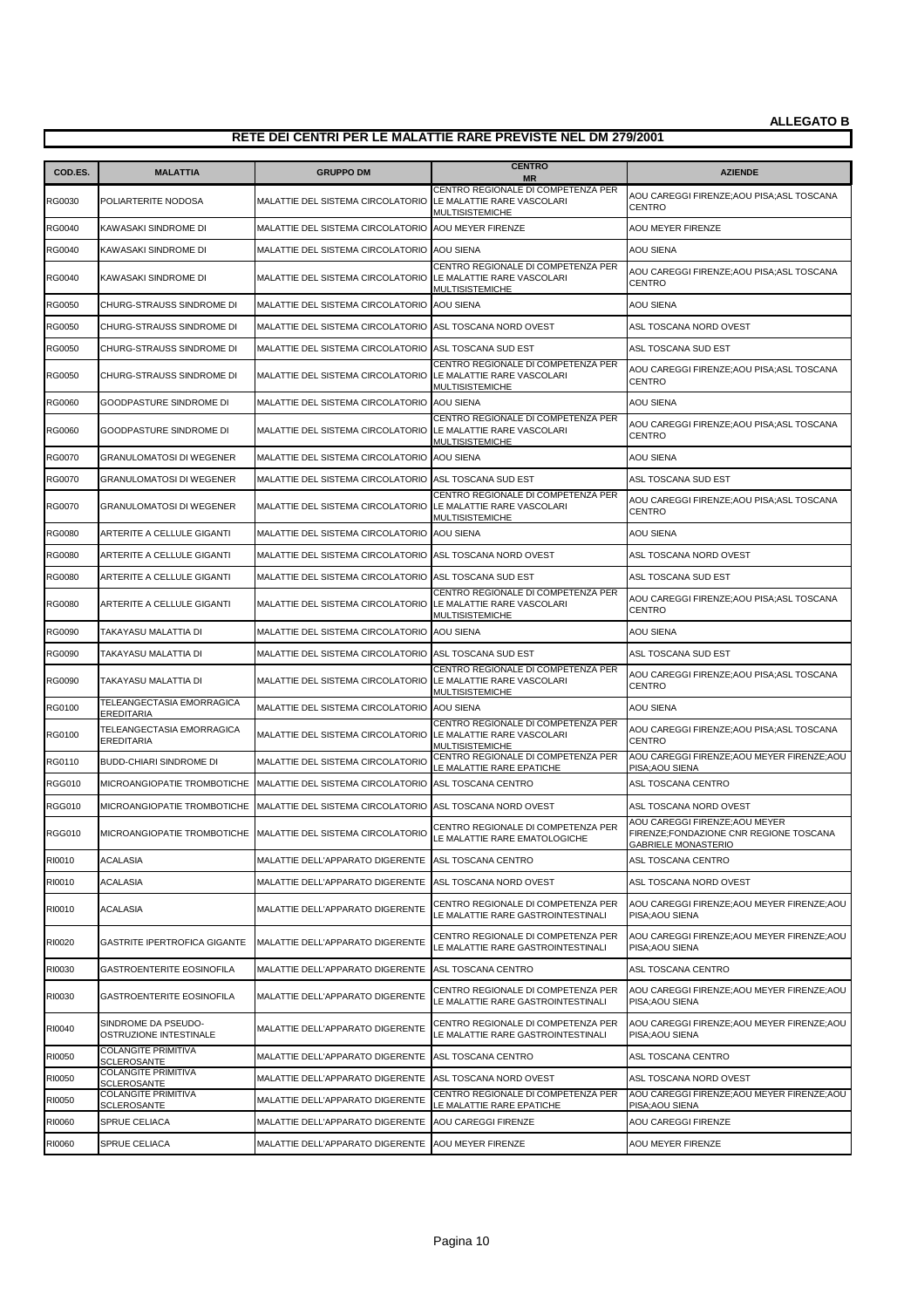| COD.ES.       | <b>MALATTIA</b>                                | <b>GRUPPO DM</b>                                                | <b>CENTRO</b><br><b>MR</b>                                                          | <b>AZIENDE</b>                                                                                         |
|---------------|------------------------------------------------|-----------------------------------------------------------------|-------------------------------------------------------------------------------------|--------------------------------------------------------------------------------------------------------|
| RG0030        | POLIARTERITE NODOSA                            | MALATTIE DEL SISTEMA CIRCOLATORIO                               | CENTRO REGIONALE DI COMPETENZA PER<br>LE MALATTIE RARE VASCOLARI<br>MULTISISTEMICHE | AOU CAREGGI FIRENZE;AOU PISA;ASL TOSCANA<br><b>CENTRO</b>                                              |
| <b>RG0040</b> | KAWASAKI SINDROME DI                           | MALATTIE DEL SISTEMA CIRCOLATORIO                               | AOU MEYER FIRENZE                                                                   | <b>AOU MEYER FIRENZE</b>                                                                               |
| RG0040        | KAWASAKI SINDROME DI                           | MALATTIE DEL SISTEMA CIRCOLATORIO AOU SIENA                     |                                                                                     | <b>AOU SIENA</b>                                                                                       |
| <b>RG0040</b> | KAWASAKI SINDROME DI                           | MALATTIE DEL SISTEMA CIRCOLATORIO LE MALATTIE RARE VASCOLARI    | CENTRO REGIONALE DI COMPETENZA PER<br>MULTISISTEMICHE                               | AOU CAREGGI FIRENZE;AOU PISA;ASL TOSCANA<br><b>CENTRO</b>                                              |
| <b>RG0050</b> | CHURG-STRAUSS SINDROME DI                      | MALATTIE DEL SISTEMA CIRCOLATORIO                               | <b>AOU SIENA</b>                                                                    | <b>AOU SIENA</b>                                                                                       |
| RG0050        | CHURG-STRAUSS SINDROME DI                      | MALATTIE DEL SISTEMA CIRCOLATORIO ASL TOSCANA NORD OVEST        |                                                                                     | ASL TOSCANA NORD OVEST                                                                                 |
| RG0050        | CHURG-STRAUSS SINDROME DI                      | MALATTIE DEL SISTEMA CIRCOLATORIO ASL TOSCANA SUD EST           |                                                                                     | ASL TOSCANA SUD EST                                                                                    |
| RG0050        | CHURG-STRAUSS SINDROME DI                      | MALATTIE DEL SISTEMA CIRCOLATORIO LE MALATTIE RARE VASCOLARI    | CENTRO REGIONALE DI COMPETENZA PER<br>MULTISISTEMICHE                               | AOU CAREGGI FIRENZE; AOU PISA; ASL TOSCANA<br><b>CENTRO</b>                                            |
| <b>RG0060</b> | GOODPASTURE SINDROME DI                        | MALATTIE DEL SISTEMA CIRCOLATORIO                               | AOU SIENA                                                                           | AOU SIENA                                                                                              |
| RG0060        | GOODPASTURE SINDROME DI                        | MALATTIE DEL SISTEMA CIRCOLATORIO LE MALATTIE RARE VASCOLARI    | CENTRO REGIONALE DI COMPETENZA PER<br>MULTISISTEMICHE                               | AOU CAREGGI FIRENZE; AOU PISA; ASL TOSCANA<br><b>CENTRO</b>                                            |
| <b>RG0070</b> | <b>GRANULOMATOSI DI WEGENER</b>                | MALATTIE DEL SISTEMA CIRCOLATORIO                               | <b>AOU SIENA</b>                                                                    | <b>AOU SIENA</b>                                                                                       |
| <b>RG0070</b> | GRANULOMATOSI DI WEGENER                       | MALATTIE DEL SISTEMA CIRCOLATORIO ASL TOSCANA SUD EST           |                                                                                     | ASL TOSCANA SUD EST                                                                                    |
| <b>RG0070</b> | <b>GRANULOMATOSI DI WEGENER</b>                | MALATTIE DEL SISTEMA CIRCOLATORIO LE MALATTIE RARE VASCOLARI    | CENTRO REGIONALE DI COMPETENZA PER<br>MULTISISTEMICHE                               | AOU CAREGGI FIRENZE; AOU PISA; ASL TOSCANA<br><b>CENTRO</b>                                            |
| <b>RG0080</b> | ARTERITE A CELLULE GIGANTI                     | MALATTIE DEL SISTEMA CIRCOLATORIO                               | <b>AOU SIENA</b>                                                                    | <b>AOU SIENA</b>                                                                                       |
| <b>RG0080</b> | ARTERITE A CELLULE GIGANTI                     | MALATTIE DEL SISTEMA CIRCOLATORIO                               | ASL TOSCANA NORD OVEST                                                              | ASL TOSCANA NORD OVEST                                                                                 |
| <b>RG0080</b> | ARTERITE A CELLULE GIGANTI                     | MALATTIE DEL SISTEMA CIRCOLATORIO ASL TOSCANA SUD EST           |                                                                                     | ASL TOSCANA SUD EST                                                                                    |
| <b>RG0080</b> | ARTERITE A CELLULE GIGANTI                     | MALATTIE DEL SISTEMA CIRCOLATORIO LE MALATTIE RARE VASCOLARI    | CENTRO REGIONALE DI COMPETENZA PER<br>MULTISISTEMICHE                               | AOU CAREGGI FIRENZE;AOU PISA;ASL TOSCANA<br><b>CENTRO</b>                                              |
| <b>RG0090</b> | TAKAYASU MALATTIA DI                           | MALATTIE DEL SISTEMA CIRCOLATORIO AOU SIENA                     |                                                                                     | <b>AOU SIENA</b>                                                                                       |
| RG0090        | TAKAYASU MALATTIA DI                           | MALATTIE DEL SISTEMA CIRCOLATORIO ASL TOSCANA SUD EST           |                                                                                     | ASL TOSCANA SUD EST                                                                                    |
| <b>RG0090</b> | TAKAYASU MALATTIA DI                           | MALATTIE DEL SISTEMA CIRCOLATORIO                               | CENTRO REGIONALE DI COMPETENZA PER<br>LE MALATTIE RARE VASCOLARI<br>MULTISISTEMICHE | AOU CAREGGI FIRENZE; AOU PISA; ASL TOSCANA<br><b>CENTRO</b>                                            |
| RG0100        | TELEANGECTASIA EMORRAGICA<br><b>EREDITARIA</b> | MALATTIE DEL SISTEMA CIRCOLATORIO AOU SIENA                     |                                                                                     | <b>AOU SIENA</b>                                                                                       |
| RG0100        | TELEANGECTASIA EMORRAGICA<br><b>EREDITARIA</b> | MALATTIE DEL SISTEMA CIRCOLATORIO LE MALATTIE RARE VASCOLARI    | CENTRO REGIONALE DI COMPETENZA PER<br>MULTISISTEMICHE                               | AOU CAREGGI FIRENZE;AOU PISA;ASL TOSCANA<br><b>CENTRO</b>                                              |
| RG0110        | BUDD-CHIARI SINDROME DI                        | MALATTIE DEL SISTEMA CIRCOLATORIO                               | CENTRO REGIONALE DI COMPETENZA PER<br>LE MALATTIE RARE EPATICHE                     | AOU CAREGGI FIRENZE; AOU MEYER FIRENZE; AOU<br>PISA:AOU SIENA                                          |
| <b>RGG010</b> | MICROANGIOPATIE TROMBOTICHE                    | MALATTIE DEL SISTEMA CIRCOLATORIO                               | ASL TOSCANA CENTRO                                                                  | ASL TOSCANA CENTRO                                                                                     |
| <b>RGG010</b> | MICROANGIOPATIE TROMBOTICHE                    | MALATTIE DEL SISTEMA CIRCOLATORIO                               | ASL TOSCANA NORD OVEST                                                              | ASL TOSCANA NORD OVEST                                                                                 |
| <b>RGG010</b> |                                                | MICROANGIOPATIE TROMBOTICHE   MALATTIE DEL SISTEMA CIRCOLATORIO | CENTRO REGIONALE DI COMPETENZA PER<br>LE MALATTIE RARE EMATOLOGICHE                 | AOU CAREGGI FIRENZE: AOU MEYER<br>FIRENZE;FONDAZIONE CNR REGIONE TOSCANA<br><b>GABRIELE MONASTERIO</b> |
| RI0010        | ACALASIA                                       | MALATTIE DELL'APPARATO DIGERENTE                                | ASL TOSCANA CENTRO                                                                  | ASL TOSCANA CENTRO                                                                                     |
| RI0010        | ACALASIA                                       | MALATTIE DELL'APPARATO DIGERENTE                                | ASL TOSCANA NORD OVEST                                                              | ASL TOSCANA NORD OVEST                                                                                 |
| RI0010        | ACALASIA                                       | MALATTIE DELL'APPARATO DIGERENTE                                | CENTRO REGIONALE DI COMPETENZA PER<br>LE MALATTIE RARE GASTROINTESTINALI            | AOU CAREGGI FIRENZE; AOU MEYER FIRENZE; AOU<br>PISA; AOU SIENA                                         |
| RI0020        | GASTRITE IPERTROFICA GIGANTE                   | MALATTIE DELL'APPARATO DIGERENTE                                | CENTRO REGIONALE DI COMPETENZA PER<br>LE MALATTIE RARE GASTROINTESTINALI            | AOU CAREGGI FIRENZE; AOU MEYER FIRENZE; AOU<br>PISA: AOU SIENA                                         |
| RI0030        | GASTROENTERITE EOSINOFILA                      | MALATTIE DELL'APPARATO DIGERENTE                                | ASL TOSCANA CENTRO                                                                  | ASL TOSCANA CENTRO                                                                                     |
| RI0030        | GASTROENTERITE EOSINOFILA                      | MALATTIE DELL'APPARATO DIGERENTE                                | CENTRO REGIONALE DI COMPETENZA PER<br>LE MALATTIE RARE GASTROINTESTINALI            | AOU CAREGGI FIRENZE; AOU MEYER FIRENZE; AOU<br>PISA; AOU SIENA                                         |
| RI0040        | SINDROME DA PSEUDO-<br>OSTRUZIONE INTESTINALE  | MALATTIE DELL'APPARATO DIGERENTE                                | CENTRO REGIONALE DI COMPETENZA PER<br>LE MALATTIE RARE GASTROINTESTINALI            | AOU CAREGGI FIRENZE; AOU MEYER FIRENZE; AOU<br>PISA; AOU SIENA                                         |
| RI0050        | COLANGITE PRIMITIVA<br><b>SCLEROSANTE</b>      | MALATTIE DELL'APPARATO DIGERENTE                                | ASL TOSCANA CENTRO                                                                  | ASL TOSCANA CENTRO                                                                                     |
| RI0050        | COLANGITE PRIMITIVA<br><b>SCLEROSANTE</b>      | MALATTIE DELL'APPARATO DIGERENTE                                | ASL TOSCANA NORD OVEST                                                              | ASL TOSCANA NORD OVEST                                                                                 |
| RI0050        | COLANGITE PRIMITIVA<br><b>SCLEROSANTE</b>      | MALATTIE DELL'APPARATO DIGERENTE                                | CENTRO REGIONALE DI COMPETENZA PER<br>LE MALATTIE RARE EPATICHE                     | AOU CAREGGI FIRENZE; AOU MEYER FIRENZE; AOU<br>PISA; AOU SIENA                                         |
| RI0060        | SPRUE CELIACA                                  | MALATTIE DELL'APPARATO DIGERENTE                                | AOU CAREGGI FIRENZE                                                                 | AOU CAREGGI FIRENZE                                                                                    |
| RI0060        | SPRUE CELIACA                                  | MALATTIE DELL'APPARATO DIGERENTE                                | AOU MEYER FIRENZE                                                                   | AOU MEYER FIRENZE                                                                                      |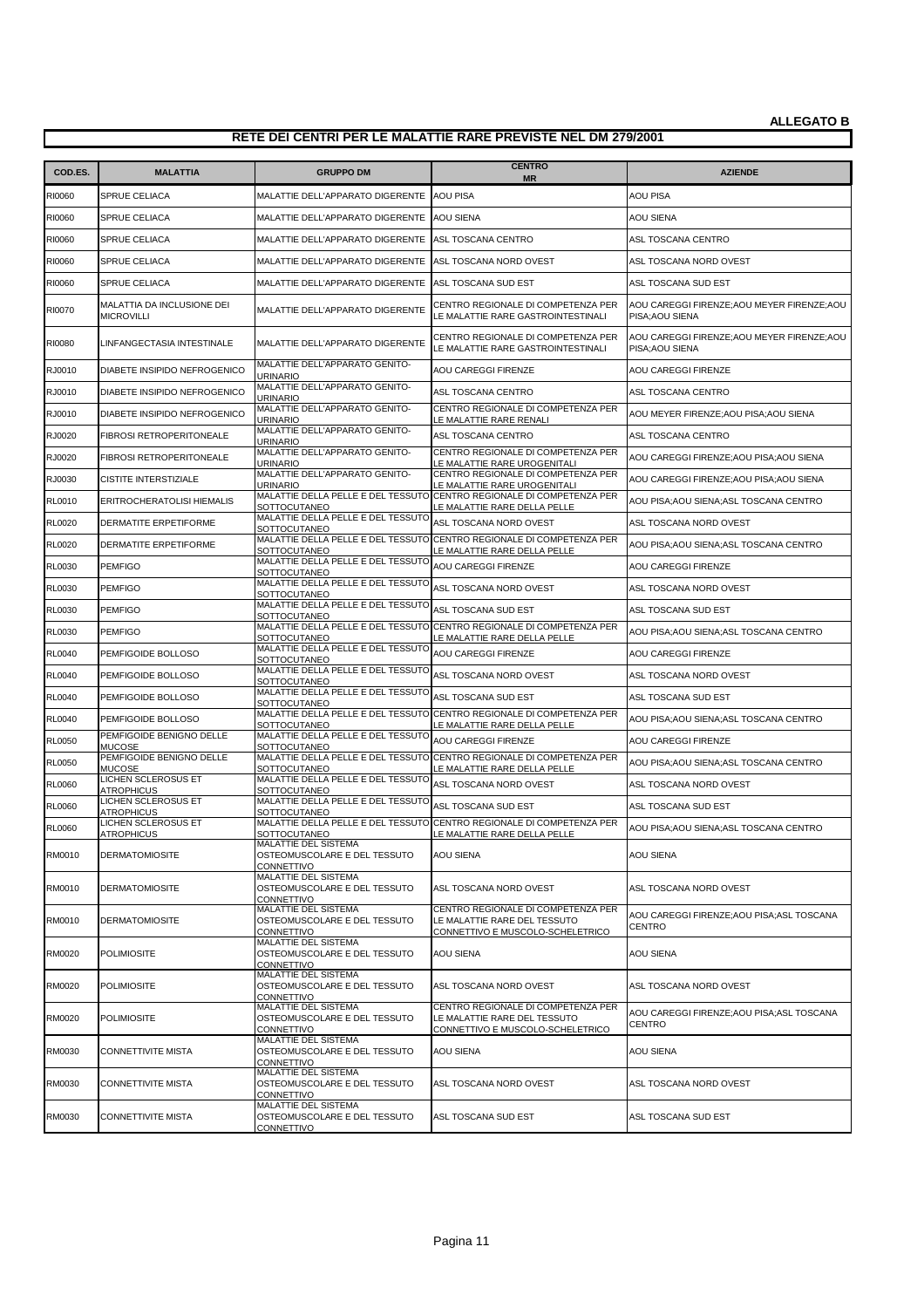| COD.ES.       | <b>MALATTIA</b>                             | <b>GRUPPO DM</b>                                                          | <b>CENTRO</b>                                                                                          | <b>AZIENDE</b>                                                 |
|---------------|---------------------------------------------|---------------------------------------------------------------------------|--------------------------------------------------------------------------------------------------------|----------------------------------------------------------------|
| RI0060        | SPRUE CELIACA                               | MALATTIE DELL'APPARATO DIGERENTE AOU PISA                                 | <b>MR</b>                                                                                              | AOU PISA                                                       |
| RI0060        | SPRUE CELIACA                               | MALATTIE DELL'APPARATO DIGERENTE AOU SIENA                                |                                                                                                        | <b>AOU SIENA</b>                                               |
| RI0060        | SPRUE CELIACA                               | MALATTIE DELL'APPARATO DIGERENTE ASL TOSCANA CENTRO                       |                                                                                                        | ASL TOSCANA CENTRO                                             |
| RI0060        | <b>SPRUE CELIACA</b>                        | MALATTIE DELL'APPARATO DIGERENTE                                          | ASL TOSCANA NORD OVEST                                                                                 | ASL TOSCANA NORD OVEST                                         |
| RI0060        | SPRUE CELIACA                               | MALATTIE DELL'APPARATO DIGERENTE                                          | ASL TOSCANA SUD EST                                                                                    | ASL TOSCANA SUD EST                                            |
|               | MALATTIA DA INCLUSIONE DEI                  |                                                                           | CENTRO REGIONALE DI COMPETENZA PER                                                                     | AOU CAREGGI FIRENZE; AOU MEYER FIRENZE; AOU                    |
| RI0070        | <b>MICROVILLI</b>                           | MALATTIE DELL'APPARATO DIGERENTE                                          | LE MALATTIE RARE GASTROINTESTINALI                                                                     | PISA; AOU SIENA                                                |
| RI0080        | LINFANGECTASIA INTESTINALE                  | MALATTIE DELL'APPARATO DIGERENTE                                          | CENTRO REGIONALE DI COMPETENZA PER<br>LE MALATTIE RARE GASTROINTESTINALI                               | AOU CAREGGI FIRENZE; AOU MEYER FIRENZE; AOU<br>PISA: AOU SIENA |
| RJ0010        | DIABETE INSIPIDO NEFROGENICO                | MALATTIE DELL'APPARATO GENITO-<br><b>URINARIO</b>                         | AOU CAREGGI FIRENZE                                                                                    | <b>AOU CAREGGI FIRENZE</b>                                     |
| RJ0010        | DIABETE INSIPIDO NEFROGENICO                | MALATTIE DELL'APPARATO GENITO-<br>URINARIO                                | ASL TOSCANA CENTRO                                                                                     | ASL TOSCANA CENTRO                                             |
| RJ0010        | DIABETE INSIPIDO NEFROGENICO                | MALATTIE DELL'APPARATO GENITO-<br><b>URINARIO</b>                         | CENTRO REGIONALE DI COMPETENZA PER<br>LE MALATTIE RARE RENALI                                          | AOU MEYER FIRENZE; AOU PISA; AOU SIENA                         |
| RJ0020        | FIBROSI RETROPERITONEALE                    | MALATTIE DELL'APPARATO GENITO-<br><b>URINARIO</b>                         | ASL TOSCANA CENTRO                                                                                     | ASL TOSCANA CENTRO                                             |
| RJ0020        | FIBROSI RETROPERITONEALE                    | MALATTIE DELL'APPARATO GENITO-<br>URINARIO                                | CENTRO REGIONALE DI COMPETENZA PER<br>LE MALATTIE RARE UROGENITALI                                     | AOU CAREGGI FIRENZE;AOU PISA;AOU SIENA                         |
| RJ0030        | <b>CISTITE INTERSTIZIALE</b>                | MALATTIE DELL'APPARATO GENITO-<br><b>URINARIO</b>                         | CENTRO REGIONALE DI COMPETENZA PER<br>LE MALATTIE RARE UROGENITALI                                     | AOU CAREGGI FIRENZE;AOU PISA;AOU SIENA                         |
| <b>RL0010</b> | ERITROCHERATOLISI HIEMALIS                  | SOTTOCUTANEO                                                              | MALATTIE DELLA PELLE E DEL TESSUTO CENTRO REGIONALE DI COMPETENZA PER<br>LE MALATTIE RARE DELLA PELLE  | AOU PISA; AOU SIENA; ASL TOSCANA CENTRO                        |
| <b>RL0020</b> | DERMATITE ERPETIFORME                       | MALATTIE DELLA PELLE E DEL TESSUTO<br>SOTTOCUTANEO                        | ASL TOSCANA NORD OVEST                                                                                 | ASL TOSCANA NORD OVEST                                         |
| <b>RL0020</b> | DERMATITE ERPETIFORME                       | <b>SOTTOCUTANEO</b>                                                       | MALATTIE DELLA PELLE E DEL TESSUTO CENTRO REGIONALE DI COMPETENZA PER                                  | AOU PISA;AOU SIENA;ASL TOSCANA CENTRO                          |
| <b>RL0030</b> | <b>PEMFIGO</b>                              | MALATTIE DELLA PELLE E DEL TESSUTO<br><b>SOTTOCUTANEO</b>                 | LE MALATTIE RARE DELLA PELLE<br>AOU CAREGGI FIRENZE                                                    | <b>AOU CAREGGI FIRENZE</b>                                     |
| <b>RL0030</b> | <b>PEMFIGO</b>                              | MALATTIE DELLA PELLE E DEL TESSUTO                                        | ASL TOSCANA NORD OVEST                                                                                 | ASL TOSCANA NORD OVEST                                         |
| <b>RL0030</b> | <b>PEMFIGO</b>                              | SOTTOCUTANEO<br>MALATTIE DELLA PELLE E DEL TESSUTO                        | ASL TOSCANA SUD EST                                                                                    | ASL TOSCANA SUD EST                                            |
| <b>RL0030</b> | <b>PEMFIGO</b>                              | <b>SOTTOCUTANEO</b>                                                       | MALATTIE DELLA PELLE E DEL TESSUTO CENTRO REGIONALE DI COMPETENZA PER                                  | AOU PISA;AOU SIENA;ASL TOSCANA CENTRO                          |
| <b>RL0040</b> | PEMFIGOIDE BOLLOSO                          | <b>SOTTOCUTANEO</b><br>MALATTIE DELLA PELLE E DEL TESSUTO                 | LE MALATTIE RARE DELLA PELLE<br>AOU CAREGGI FIRENZE                                                    | <b>AOU CAREGGI FIRENZE</b>                                     |
| <b>RL0040</b> | PEMFIGOIDE BOLLOSO                          | SOTTOCUTANEO<br>MALATTIE DELLA PELLE E DEL TESSUTO                        | ASL TOSCANA NORD OVEST                                                                                 | ASL TOSCANA NORD OVEST                                         |
| <b>RL0040</b> | PEMFIGOIDE BOLLOSO                          | SOTTOCUTANEO<br>MALATTIE DELLA PELLE E DEL TESSUTO                        | ASL TOSCANA SUD EST                                                                                    | ASL TOSCANA SUD EST                                            |
| <b>RL0040</b> | PEMFIGOIDE BOLLOSO                          | <b>SOTTOCUTANEO</b>                                                       | MALATTIE DELLA PELLE E DEL TESSUTO CENTRO REGIONALE DI COMPETENZA PER                                  | AOU PISA;AOU SIENA;ASL TOSCANA CENTRO                          |
| <b>RL0050</b> | PEMFIGOIDE BENIGNO DELLE                    | SOTTOCUTANEO<br>MALATTIE DELLA PELLE E DEL TESSUTO                        | E MALATTIE RARE DELLA PELLE<br>AOU CAREGGI FIRENZE                                                     | <b>AOU CAREGGI FIRENZE</b>                                     |
| <b>RL0050</b> | <b>MUCOSE</b><br>PEMFIGOIDE BENIGNO DELLE   | SOTTOCUTANEO                                                              | MALATTIE DELLA PELLE E DEL TESSUTO CENTRO REGIONALE DI COMPETENZA PER                                  | AOU PISA; AOU SIENA; ASL TOSCANA CENTRO                        |
| <b>RL0060</b> | <b>MUCOSE</b><br><b>LICHEN SCLEROSUS ET</b> | <b>SOTTOCUTANEO</b><br>MALATTIE DELLA PELLE E DEL TESSUTO                 | LE MALATTIE RARE DELLA PELLE<br>ASL TOSCANA NORD OVEST                                                 | ASL TOSCANA NORD OVEST                                         |
| <b>RL0060</b> | <b>ATROPHICUS</b><br>LICHEN SCLEROSUS ET    | SOTTOCUTANEO<br>MALATTIE DELLA PELLE E DEL TESSUTO                        | ASL TOSCANA SUD EST                                                                                    | ASL TOSCANA SUD EST                                            |
|               | <b>ATROPHICUS</b><br>LICHEN SCLEROSUS ET    | <b>SOTTOCUTANEO</b>                                                       | MALATTIE DELLA PELLE E DEL TESSUTO CENTRO REGIONALE DI COMPETENZA PER                                  |                                                                |
| <b>RL0060</b> | ATROPHICUS                                  | SOTTOCUTANEO<br>MALATTIE DEL SISTEMA                                      | LE MALATTIE RARE DELLA PELLE                                                                           | AOU PISA;AOU SIENA;ASL TOSCANA CENTRO                          |
| RM0010        | <b>DERMATOMIOSITE</b>                       | OSTEOMUSCOLARE E DEL TESSUTO<br><b>CONNETTIVO</b>                         | <b>AOU SIENA</b>                                                                                       | <b>AOU SIENA</b>                                               |
| RM0010        | <b>DERMATOMIOSITE</b>                       | MALATTIE DEL SISTEMA<br>OSTEOMUSCOLARE E DEL TESSUTO<br><b>CONNETTIVO</b> | ASL TOSCANA NORD OVEST                                                                                 | ASL TOSCANA NORD OVEST                                         |
| RM0010        | <b>DERMATOMIOSITE</b>                       | MALATTIE DEL SISTEMA<br>OSTEOMUSCOLARE E DEL TESSUTO<br>CONNETTIVO        | CENTRO REGIONALE DI COMPETENZA PER<br>LE MALATTIE RARE DEL TESSUTO<br>CONNETTIVO E MUSCOLO-SCHELETRICO | AOU CAREGGI FIRENZE;AOU PISA;ASL TOSCANA<br><b>CENTRO</b>      |
| RM0020        | <b>POLIMIOSITE</b>                          | MALATTIE DEL SISTEMA<br>OSTEOMUSCOLARE E DEL TESSUTO<br>CONNETTIVO        | AOU SIENA                                                                                              | <b>AOU SIENA</b>                                               |
| RM0020        | POLIMIOSITE                                 | MALATTIE DEL SISTEMA<br>OSTEOMUSCOLARE E DEL TESSUTO<br>CONNETTIVO        | ASL TOSCANA NORD OVEST                                                                                 | ASL TOSCANA NORD OVEST                                         |
| RM0020        | <b>POLIMIOSITE</b>                          | MALATTIE DEL SISTEMA<br>OSTEOMUSCOLARE E DEL TESSUTO<br>CONNETTIVO        | CENTRO REGIONALE DI COMPETENZA PER<br>LE MALATTIE RARE DEL TESSUTO<br>CONNETTIVO E MUSCOLO-SCHELETRICO | AOU CAREGGI FIRENZE;AOU PISA;ASL TOSCANA<br><b>CENTRO</b>      |
| RM0030        | CONNETTIVITE MISTA                          | MALATTIE DEL SISTEMA<br>OSTEOMUSCOLARE E DEL TESSUTO<br>CONNETTIVO        | AOU SIENA                                                                                              | <b>AOU SIENA</b>                                               |
| RM0030        | CONNETTIVITE MISTA                          | MALATTIE DEL SISTEMA<br>OSTEOMUSCOLARE E DEL TESSUTO<br>CONNETTIVO        | ASL TOSCANA NORD OVEST                                                                                 | ASL TOSCANA NORD OVEST                                         |
| RM0030        | CONNETTIVITE MISTA                          | MALATTIE DEL SISTEMA<br>OSTEOMUSCOLARE E DEL TESSUTO<br>CONNETTIVO        | ASL TOSCANA SUD EST                                                                                    | ASL TOSCANA SUD EST                                            |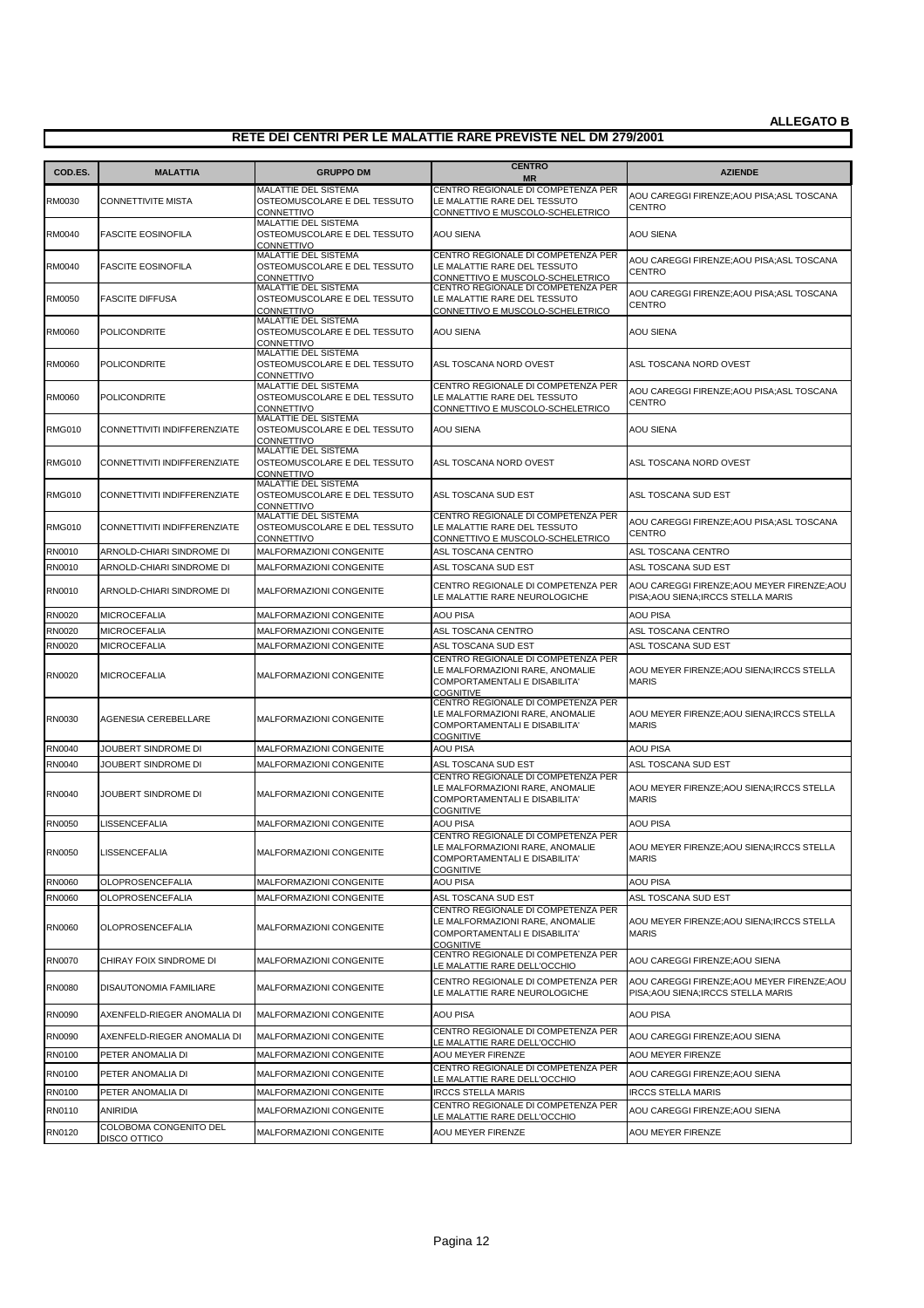| COD.ES.       | <b>MALATTIA</b>                        | <b>GRUPPO DM</b>                                                          | <b>CENTRO</b><br><b>MR</b>                                                                                                       | <b>AZIENDE</b>                                                                     |
|---------------|----------------------------------------|---------------------------------------------------------------------------|----------------------------------------------------------------------------------------------------------------------------------|------------------------------------------------------------------------------------|
|               |                                        | MALATTIE DEL SISTEMA                                                      | CENTRO REGIONALE DI COMPETENZA PER                                                                                               | AOU CAREGGI FIRENZE;AOU PISA;ASL TOSCANA                                           |
| RM0030        | <b>CONNETTIVITE MISTA</b>              | OSTEOMUSCOLARE E DEL TESSUTO<br>CONNETTIVO<br>MALATTIE DEL SISTEMA        | LE MALATTIE RARE DEL TESSUTO<br>CONNETTIVO E MUSCOLO-SCHELETRICO                                                                 | <b>CENTRO</b>                                                                      |
| RM0040        | <b>FASCITE EOSINOFILA</b>              | OSTEOMUSCOLARE E DEL TESSUTO<br>CONNETTIVO                                | <b>AOU SIENA</b>                                                                                                                 | <b>AOU SIENA</b>                                                                   |
| RM0040        | <b>FASCITE EOSINOFILA</b>              | MALATTIE DEL SISTEMA<br>OSTEOMUSCOLARE E DEL TESSUTO<br>CONNETTIVO        | CENTRO REGIONALE DI COMPETENZA PER<br>LE MALATTIE RARE DEL TESSUTO<br>CONNETTIVO E MUSCOLO-SCHELETRICO                           | AOU CAREGGI FIRENZE: AOU PISA: ASL TOSCANA<br><b>CENTRO</b>                        |
| RM0050        | <b>FASCITE DIFFUSA</b>                 | MALATTIE DEL SISTEMA<br>OSTEOMUSCOLARE E DEL TESSUTO<br>CONNETTIVO        | CENTRO REGIONALE DI COMPETENZA PER<br>LE MALATTIE RARE DEL TESSUTO<br>CONNETTIVO E MUSCOLO-SCHELETRICO                           | AOU CAREGGI FIRENZE;AOU PISA;ASL TOSCANA<br><b>CENTRO</b>                          |
| RM0060        | <b>POLICONDRITE</b>                    | MALATTIE DEL SISTEMA<br>OSTEOMUSCOLARE E DEL TESSUTO<br>CONNETTIVO        | <b>AOU SIENA</b>                                                                                                                 | <b>AOU SIENA</b>                                                                   |
| RM0060        | POLICONDRITE                           | MALATTIE DEL SISTEMA<br>OSTEOMUSCOLARE E DEL TESSUTO<br>CONNETTIVO        | ASL TOSCANA NORD OVEST                                                                                                           | ASL TOSCANA NORD OVEST                                                             |
| RM0060        | <b>POLICONDRITE</b>                    | MALATTIE DEL SISTEMA<br>OSTEOMUSCOLARE E DEL TESSUTO<br><b>CONNETTIVO</b> | CENTRO REGIONALE DI COMPETENZA PER<br>LE MALATTIE RARE DEL TESSUTO<br>CONNETTIVO E MUSCOLO-SCHELETRICO                           | AOU CAREGGI FIRENZE;AOU PISA;ASL TOSCANA<br><b>CENTRO</b>                          |
| <b>RMG010</b> | CONNETTIVITI INDIFFERENZIATE           | MALATTIE DEL SISTEMA<br>OSTEOMUSCOLARE E DEL TESSUTO<br>CONNETTIVO        | <b>AOU SIENA</b>                                                                                                                 | <b>AOU SIENA</b>                                                                   |
| <b>RMG010</b> | CONNETTIVITI INDIFFERENZIATE           | MALATTIE DEL SISTEMA<br>OSTEOMUSCOLARE E DEL TESSUTO<br>CONNETTIVO        | ASL TOSCANA NORD OVEST                                                                                                           | ASL TOSCANA NORD OVEST                                                             |
| <b>RMG010</b> | CONNETTIVITI INDIFFERENZIATE           | MALATTIE DEL SISTEMA<br>OSTEOMUSCOLARE E DEL TESSUTO<br>CONNETTIVO        | ASL TOSCANA SUD EST                                                                                                              | ASL TOSCANA SUD EST                                                                |
| <b>RMG010</b> | CONNETTIVITI INDIFFERENZIATE           | MALATTIE DEL SISTEMA<br>OSTEOMUSCOLARE E DEL TESSUTO<br>CONNETTIVO        | CENTRO REGIONALE DI COMPETENZA PER<br>LE MALATTIE RARE DEL TESSUTO<br>CONNETTIVO E MUSCOLO-SCHELETRICO                           | AOU CAREGGI FIRENZE;AOU PISA;ASL TOSCANA<br><b>CENTRO</b>                          |
| RN0010        | ARNOLD-CHIARI SINDROME DI              | MALFORMAZIONI CONGENITE                                                   | ASL TOSCANA CENTRO                                                                                                               | ASL TOSCANA CENTRO                                                                 |
| RN0010        | ARNOLD-CHIARI SINDROME DI              | MALFORMAZIONI CONGENITE                                                   | ASL TOSCANA SUD EST                                                                                                              | ASL TOSCANA SUD EST                                                                |
| RN0010        | ARNOLD-CHIARI SINDROME DI              | MALFORMAZIONI CONGENITE                                                   | CENTRO REGIONALE DI COMPETENZA PER<br>LE MALATTIE RARE NEUROLOGICHE                                                              | AOU CAREGGI FIRENZE; AOU MEYER FIRENZE; AOU<br>PISA: AOU SIENA: IRCCS STELLA MARIS |
| <b>RN0020</b> | <b>MICROCEFALIA</b>                    | MALFORMAZIONI CONGENITE                                                   | <b>AOU PISA</b>                                                                                                                  | <b>AOU PISA</b>                                                                    |
| <b>RN0020</b> | <b>MICROCEFALIA</b>                    | MALFORMAZIONI CONGENITE                                                   | ASL TOSCANA CENTRO                                                                                                               | ASL TOSCANA CENTRO                                                                 |
| <b>RN0020</b> | <b>MICROCEFALIA</b>                    | MALFORMAZIONI CONGENITE                                                   | ASL TOSCANA SUD EST                                                                                                              | ASL TOSCANA SUD EST                                                                |
| RN0020        | <b>MICROCEFALIA</b>                    | MALFORMAZIONI CONGENITE                                                   | CENTRO REGIONALE DI COMPETENZA PER<br>LE MALFORMAZIONI RARE, ANOMALIE<br>COMPORTAMENTALI E DISABILITA'<br>COGNITIVE              | AOU MEYER FIRENZE; AOU SIENA; IRCCS STELLA<br><b>MARIS</b>                         |
| RN0030        | AGENESIA CEREBELLARE                   | MALFORMAZIONI CONGENITE                                                   | CENTRO REGIONALE DI COMPETENZA PER<br>LE MALFORMAZIONI RARE, ANOMALIE<br>COMPORTAMENTALI E DISABILITA'<br><b>COGNITIVE</b>       | AOU MEYER FIRENZE; AOU SIENA; IRCCS STELLA<br><b>MARIS</b>                         |
| <b>RN0040</b> | JOUBERT SINDROME DI                    | MALFORMAZIONI CONGENITE                                                   | <b>AOU PISA</b>                                                                                                                  | <b>AOU PISA</b>                                                                    |
| <b>RN0040</b> | JOUBERT SINDROME DI                    | MALFORMAZIONI CONGENITE                                                   | ASL TOSCANA SUD EST                                                                                                              | ASL TOSCANA SUD EST                                                                |
| RN0040        | JOUBERT SINDROME DI                    | <b>MALFORMAZIONI CONGENITE</b>                                            | CENTRO REGIONALE DI COMPETENZA PER<br>LE MALFORMAZIONI RARE, ANOMALIE<br>COMPORTAMENTALI E DISABILITA'<br><b>COGNITIVE</b>       | AOU MEYER FIRENZE; AOU SIENA; IRCCS STELLA<br><b>MARIS</b>                         |
| RN0050        | LISSENCEFALIA                          | MALFORMAZIONI CONGENITE                                                   | <b>AOU PISA</b>                                                                                                                  | <b>AOU PISA</b>                                                                    |
| <b>RN0050</b> | LISSENCEFALIA                          | MALFORMAZIONI CONGENITE                                                   | CENTRO REGIONALE DI COMPETENZA PER<br><b>E MALFORMAZIONI RARE, ANOMALIE</b><br>COMPORTAMENTALI E DISABILITA'<br><b>COGNITIVE</b> | AOU MEYER FIRENZE;AOU SIENA;IRCCS STELLA<br><b>MARIS</b>                           |
| RN0060        | <b>OLOPROSENCEFALIA</b>                | MALFORMAZIONI CONGENITE                                                   | <b>AOU PISA</b>                                                                                                                  | <b>AOU PISA</b>                                                                    |
| RN0060        | OLOPROSENCEFALIA                       | MALFORMAZIONI CONGENITE                                                   | ASL TOSCANA SUD EST                                                                                                              | ASL TOSCANA SUD EST                                                                |
| <b>RN0060</b> | OLOPROSENCEFALIA                       | MALFORMAZIONI CONGENITE                                                   | CENTRO REGIONALE DI COMPETENZA PER<br>LE MALFORMAZIONI RARE, ANOMALIE<br>COMPORTAMENTALI E DISABILITA'<br><b>COGNITIVE</b>       | AOU MEYER FIRENZE; AOU SIENA; IRCCS STELLA<br><b>MARIS</b>                         |
| <b>RN0070</b> | CHIRAY FOIX SINDROME DI                | MALFORMAZIONI CONGENITE                                                   | CENTRO REGIONALE DI COMPETENZA PER<br>LE MALATTIE RARE DELL'OCCHIO                                                               | AOU CAREGGI FIRENZE; AOU SIENA                                                     |
| RN0080        | DISAUTONOMIA FAMILIARE                 | MALFORMAZIONI CONGENITE                                                   | CENTRO REGIONALE DI COMPETENZA PER<br>LE MALATTIE RARE NEUROLOGICHE                                                              | AOU CAREGGI FIRENZE; AOU MEYER FIRENZE; AOU<br>PISA; AOU SIENA; IRCCS STELLA MARIS |
| RN0090        | AXENFELD-RIEGER ANOMALIA DI            | MALFORMAZIONI CONGENITE                                                   | AOU PISA                                                                                                                         | AOU PISA                                                                           |
| <b>RN0090</b> | AXENFELD-RIEGER ANOMALIA DI            | MALFORMAZIONI CONGENITE                                                   | CENTRO REGIONALE DI COMPETENZA PER<br>LE MALATTIE RARE DELL'OCCHIO                                                               | AOU CAREGGI FIRENZE; AOU SIENA                                                     |
| RN0100        | PETER ANOMALIA DI                      | MALFORMAZIONI CONGENITE                                                   | AOU MEYER FIRENZE                                                                                                                | AOU MEYER FIRENZE                                                                  |
| RN0100        | PETER ANOMALIA DI                      | MALFORMAZIONI CONGENITE                                                   | CENTRO REGIONALE DI COMPETENZA PER<br>LE MALATTIE RARE DELL'OCCHIO                                                               | AOU CAREGGI FIRENZE; AOU SIENA                                                     |
| RN0100        | PETER ANOMALIA DI                      | MALFORMAZIONI CONGENITE                                                   | <b>IRCCS STELLA MARIS</b>                                                                                                        | <b>IRCCS STELLA MARIS</b>                                                          |
| RN0110        | ANIRIDIA                               | MALFORMAZIONI CONGENITE                                                   | CENTRO REGIONALE DI COMPETENZA PER                                                                                               | AOU CAREGGI FIRENZE;AOU SIENA                                                      |
| RN0120        | COLOBOMA CONGENITO DEL<br>DISCO OTTICO | MALFORMAZIONI CONGENITE                                                   | LE MALATTIE RARE DELL'OCCHIO<br>AOU MEYER FIRENZE                                                                                | AOU MEYER FIRENZE                                                                  |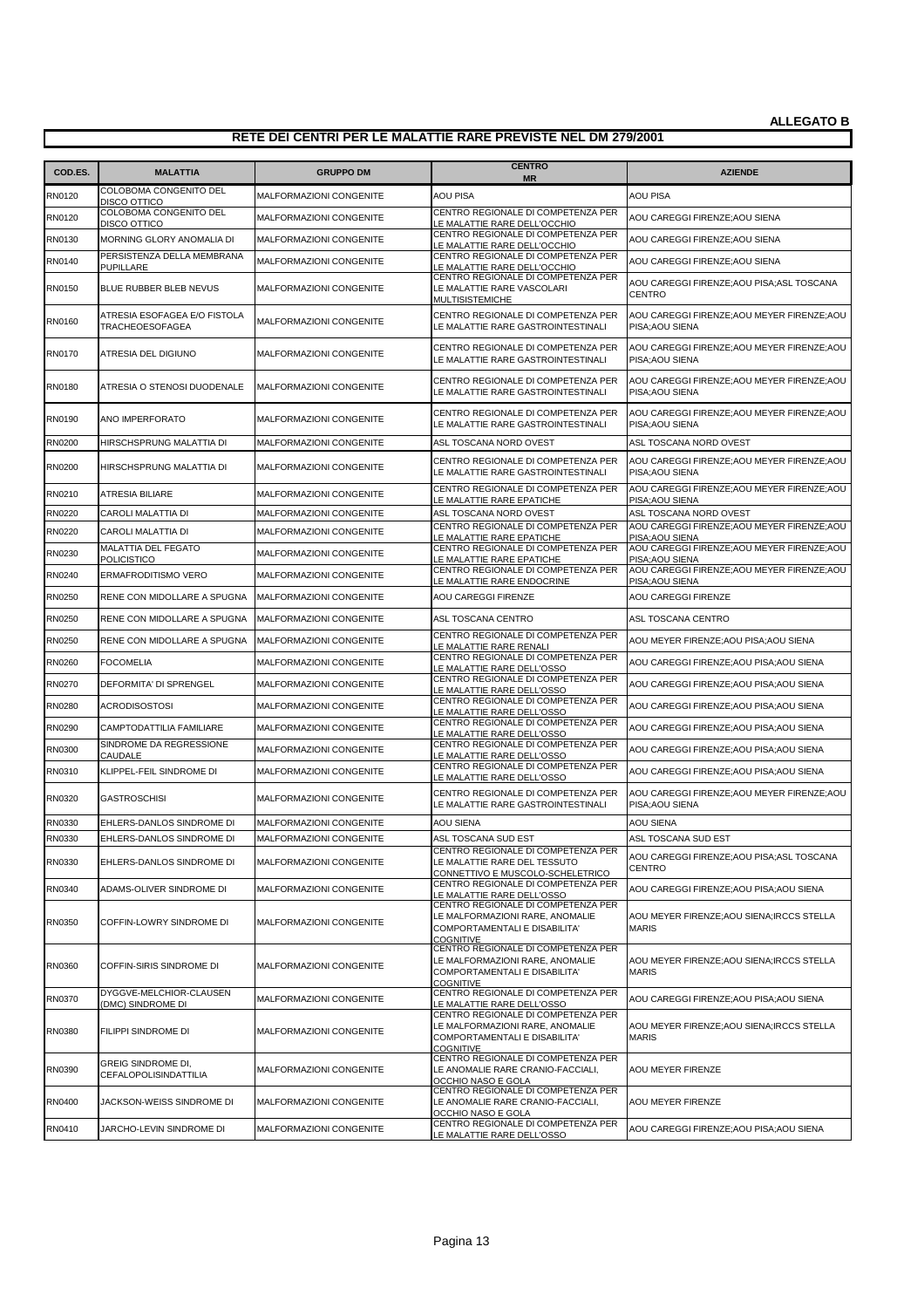| COD.ES.       | <b>MALATTIA</b>                                    | <b>GRUPPO DM</b>               | <b>CENTRO</b><br><b>MR</b>                                                                                                 | <b>AZIENDE</b>                                                                    |
|---------------|----------------------------------------------------|--------------------------------|----------------------------------------------------------------------------------------------------------------------------|-----------------------------------------------------------------------------------|
| RN0120        | COLOBOMA CONGENITO DEL                             | MALFORMAZIONI CONGENITE        | <b>AOU PISA</b>                                                                                                            | AOU PISA                                                                          |
| RN0120        | <b>DISCO OTTICO</b><br>COLOBOMA CONGENITO DEL      | MALFORMAZIONI CONGENITE        | CENTRO REGIONALE DI COMPETENZA PER                                                                                         | AOU CAREGGI FIRENZE; AOU SIENA                                                    |
| RN0130        | DISCO OTTICO<br>MORNING GLORY ANOMALIA DI          | MALFORMAZIONI CONGENITE        | LE MALATTIE RARE DELL'OCCHIO<br>CENTRO REGIONALE DI COMPETENZA PER                                                         | AOU CAREGGI FIRENZE; AOU SIENA                                                    |
| RN0140        | PERSISTENZA DELLA MEMBRANA                         | MALFORMAZIONI CONGENITE        | LE MALATTIE RARE DELL'OCCHIO<br>CENTRO REGIONALE DI COMPETENZA PER                                                         | AOU CAREGGI FIRENZE;AOU SIENA                                                     |
| RN0150        | PUPILLARE<br>BLUE RUBBER BLEB NEVUS                | MALFORMAZIONI CONGENITE        | LE MALATTIE RARE DELL'OCCHIO<br>CENTRO REGIONALE DI COMPETENZA PER<br>LE MALATTIE RARE VASCOLARI                           | AOU CAREGGI FIRENZE;AOU PISA;ASL TOSCANA<br><b>CENTRO</b>                         |
| RN0160        | ATRESIA ESOFAGEA E/O FISTOLA<br>TRACHEOESOFAGEA    | <b>MALFORMAZIONI CONGENITE</b> | MULTISISTEMICHE<br>CENTRO REGIONALE DI COMPETENZA PER<br>LE MALATTIE RARE GASTROINTESTINALI                                | AOU CAREGGI FIRENZE; AOU MEYER FIRENZE; AOU<br>PISA; AOU SIENA                    |
| RN0170        | ATRESIA DEL DIGIUNO                                | MALFORMAZIONI CONGENITE        | CENTRO REGIONALE DI COMPETENZA PER<br>LE MALATTIE RARE GASTROINTESTINALI                                                   | AOU CAREGGI FIRENZE;AOU MEYER FIRENZE;AOU<br>PISA; AOU SIENA                      |
| RN0180        | ATRESIA O STENOSI DUODENALE                        | MALFORMAZIONI CONGENITE        | CENTRO REGIONALE DI COMPETENZA PER<br>LE MALATTIE RARE GASTROINTESTINALI                                                   | AOU CAREGGI FIRENZE; AOU MEYER FIRENZE; AOU<br>PISA; AOU SIENA                    |
| RN0190        | ANO IMPERFORATO                                    | MALFORMAZIONI CONGENITE        | CENTRO REGIONALE DI COMPETENZA PER<br>LE MALATTIE RARE GASTROINTESTINALI                                                   | AOU CAREGGI FIRENZE; AOU MEYER FIRENZE; AOU<br>PISA; AOU SIENA                    |
| RN0200        | HIRSCHSPRUNG MALATTIA DI                           | <b>MALFORMAZIONI CONGENITE</b> | ASL TOSCANA NORD OVEST                                                                                                     | ASL TOSCANA NORD OVEST                                                            |
| RN0200        | HIRSCHSPRUNG MALATTIA DI                           | MALFORMAZIONI CONGENITE        | CENTRO REGIONALE DI COMPETENZA PER<br>LE MALATTIE RARE GASTROINTESTINALI                                                   | AOU CAREGGI FIRENZE; AOU MEYER FIRENZE; AOU<br>PISA; AOU SIENA                    |
| RN0210        | ATRESIA BILIARE                                    | MALFORMAZIONI CONGENITE        | CENTRO REGIONALE DI COMPETENZA PER                                                                                         | AOU CAREGGI FIRENZE; AOU MEYER FIRENZE; AOU                                       |
| RN0220        | CAROLI MALATTIA DI                                 | MALFORMAZIONI CONGENITE        | LE MALATTIE RARE EPATICHE<br>ASL TOSCANA NORD OVEST                                                                        | PISA; AOU SIENA<br>ASL TOSCANA NORD OVEST                                         |
| RN0220        | <b>CAROLI MALATTIA DI</b>                          | MALFORMAZIONI CONGENITE        | CENTRO REGIONALE DI COMPETENZA PER<br>LE MALATTIE RARE EPATICHE                                                            | AOU CAREGGI FIRENZE; AOU MEYER FIRENZE; AOU                                       |
| RN0230        | MALATTIA DEL FEGATO<br>POLICISTICO                 | <b>MALFORMAZIONI CONGENITE</b> | CENTRO REGIONALE DI COMPETENZA PER<br>LE MALATTIE RARE EPATICHE                                                            | PISA; AOU SIENA<br>AOU CAREGGI FIRENZE; AOU MEYER FIRENZE; AOU<br>PISA; AOU SIENA |
| RN0240        | ERMAFRODITISMO VERO                                | MALFORMAZIONI CONGENITE        | CENTRO REGIONALE DI COMPETENZA PER<br>LE MALATTIE RARE ENDOCRINE                                                           | AOU CAREGGI FIRENZE: AOU MEYER FIRENZE: AOU<br>PISA; AOU SIENA                    |
| RN0250        | RENE CON MIDOLLARE A SPUGNA                        | <b>MALFORMAZIONI CONGENITE</b> | AOU CAREGGI FIRENZE                                                                                                        | AOU CAREGGI FIRENZE                                                               |
| RN0250        | RENE CON MIDOLLARE A SPUGNA                        | MALFORMAZIONI CONGENITE        | ASL TOSCANA CENTRO                                                                                                         | ASL TOSCANA CENTRO                                                                |
| RN0250        | RENE CON MIDOLLARE A SPUGNA                        | MALFORMAZIONI CONGENITE        | CENTRO REGIONALE DI COMPETENZA PER<br>LE MALATTIE RARE RENALI                                                              | AOU MEYER FIRENZE; AOU PISA; AOU SIENA                                            |
| RN0260        | <b>FOCOMELIA</b>                                   | MALFORMAZIONI CONGENITE        | CENTRO REGIONALE DI COMPETENZA PER<br>LE MALATTIE RARE DELL'OSSO                                                           | AOU CAREGGI FIRENZE;AOU PISA;AOU SIENA                                            |
| RN0270        | DEFORMITA' DI SPRENGEL                             | MALFORMAZIONI CONGENITE        | CENTRO REGIONALE DI COMPETENZA PER<br>LE MALATTIE RARE DELL'OSSO                                                           | AOU CAREGGI FIRENZE; AOU PISA; AOU SIENA                                          |
| RN0280        | <b>ACRODISOSTOSI</b>                               | MALFORMAZIONI CONGENITE        | CENTRO REGIONALE DI COMPETENZA PER<br>LE MALATTIE RARE DELL'OSSO                                                           | AOU CAREGGI FIRENZE; AOU PISA; AOU SIENA                                          |
| RN0290        | CAMPTODATTILIA FAMILIARE                           | MALFORMAZIONI CONGENITE        | CENTRO REGIONALE DI COMPETENZA PER<br>LE MALATTIE RARE DELL'OSSO                                                           | AOU CAREGGI FIRENZE;AOU PISA;AOU SIENA                                            |
| RN0300        | SINDROME DA REGRESSIONE<br><b>CAUDALE</b>          | MALFORMAZIONI CONGENITE        | CENTRO REGIONALE DI COMPETENZA PER<br>LE MALATTIE RARE DELL'OSSO                                                           | AOU CAREGGI FIRENZE; AOU PISA; AOU SIENA                                          |
| RN0310        | KLIPPEL-FEIL SINDROME DI                           | MALFORMAZIONI CONGENITE        | CENTRO REGIONALE DI COMPETENZA PER<br>LE MALATTIE RARE DELL'OSSO                                                           | AOU CAREGGI FIRENZE; AOU PISA; AOU SIENA                                          |
| RN0320        | <b>GASTROSCHISI</b>                                | MALFORMAZIONI CONGENITE        | CENTRO REGIONALE DI COMPETENZA PER<br>LE MALATTIE RARE GASTROINTESTINALI                                                   | AOU CAREGGI FIRENZE; AOU MEYER FIRENZE; AOU<br>PISA; AOU SIENA                    |
| RN0330        | EHLERS-DANLOS SINDROME DI                          | <b>MALFORMAZIONI CONGENITE</b> | <b>AOU SIENA</b>                                                                                                           | AOU SIENA                                                                         |
| RN0330        | EHLERS-DANLOS SINDROME DI                          | <b>MALFORMAZIONI CONGENITE</b> | ASL TOSCANA SUD EST                                                                                                        | ASL TOSCANA SUD EST                                                               |
| RN0330        | EHLERS-DANLOS SINDROME DI                          | MALFORMAZIONI CONGENITE        | CENTRO REGIONALE DI COMPETENZA PER<br>LE MALATTIE RARE DEL TESSUTO<br>CONNETTIVO E MUSCOLO-SCHELETRICO                     | AOU CAREGGI FIRENZE;AOU PISA;ASL TOSCANA<br><b>CENTRO</b>                         |
| RN0340        | ADAMS-OLIVER SINDROME DI                           | MALFORMAZIONI CONGENITE        | CENTRO REGIONALE DI COMPETENZA PER<br>LE MALATTIE RARE DELL'OSSO                                                           | AOU CAREGGI FIRENZE;AOU PISA;AOU SIENA                                            |
| RN0350        | COFFIN-LOWRY SINDROME DI                           | MALFORMAZIONI CONGENITE        | CENTRO REGIONALE DI COMPETENZA PER<br>LE MALFORMAZIONI RARE, ANOMALIE<br>COMPORTAMENTALI E DISABILITA'<br><b>COGNITIVE</b> | AOU MEYER FIRENZE; AOU SIENA; IRCCS STELLA<br><b>MARIS</b>                        |
| <b>RN0360</b> | <b>COFFIN-SIRIS SINDROME DI</b>                    | <b>MALFORMAZIONI CONGENITE</b> | CENTRO REGIONALE DI COMPETENZA PER<br>LE MALFORMAZIONI RARE, ANOMALIE<br>COMPORTAMENTALI E DISABILITA'<br><b>COGNITIVE</b> | AOU MEYER FIRENZE; AOU SIENA; IRCCS STELLA<br><b>MARIS</b>                        |
| RN0370        | DYGGVE-MELCHIOR-CLAUSEN<br>(DMC) SINDROME DI       | MALFORMAZIONI CONGENITE        | CENTRO REGIONALE DI COMPETENZA PER<br>LE MALATTIE RARE DELL'OSSO                                                           | AOU CAREGGI FIRENZE; AOU PISA; AOU SIENA                                          |
| RN0380        | FILIPPI SINDROME DI                                | MALFORMAZIONI CONGENITE        | CENTRO REGIONALE DI COMPETENZA PER<br>LE MALFORMAZIONI RARE, ANOMALIE<br>COMPORTAMENTALI E DISABILITA'<br><b>COGNITIVE</b> | AOU MEYER FIRENZE; AOU SIENA; IRCCS STELLA<br><b>MARIS</b>                        |
| RN0390        | <b>GREIG SINDROME DI,</b><br>CEFALOPOLISINDATTILIA | MALFORMAZIONI CONGENITE        | CENTRO REGIONALE DI COMPETENZA PER<br>LE ANOMALIE RARE CRANIO-FACCIALI,<br>OCCHIO NASO E GOLA                              | AOU MEYER FIRENZE                                                                 |
| RN0400        | JACKSON-WEISS SINDROME DI                          | MALFORMAZIONI CONGENITE        | CENTRO REGIONALE DI COMPETENZA PER<br>LE ANOMALIE RARE CRANIO-FACCIALI,<br>OCCHIO NASO E GOLA                              | AOU MEYER FIRENZE                                                                 |
| RN0410        | JARCHO-LEVIN SINDROME DI                           | MALFORMAZIONI CONGENITE        | CENTRO REGIONALE DI COMPETENZA PER<br>LE MALATTIE RARE DELL'OSSO                                                           | AOU CAREGGI FIRENZE; AOU PISA; AOU SIENA                                          |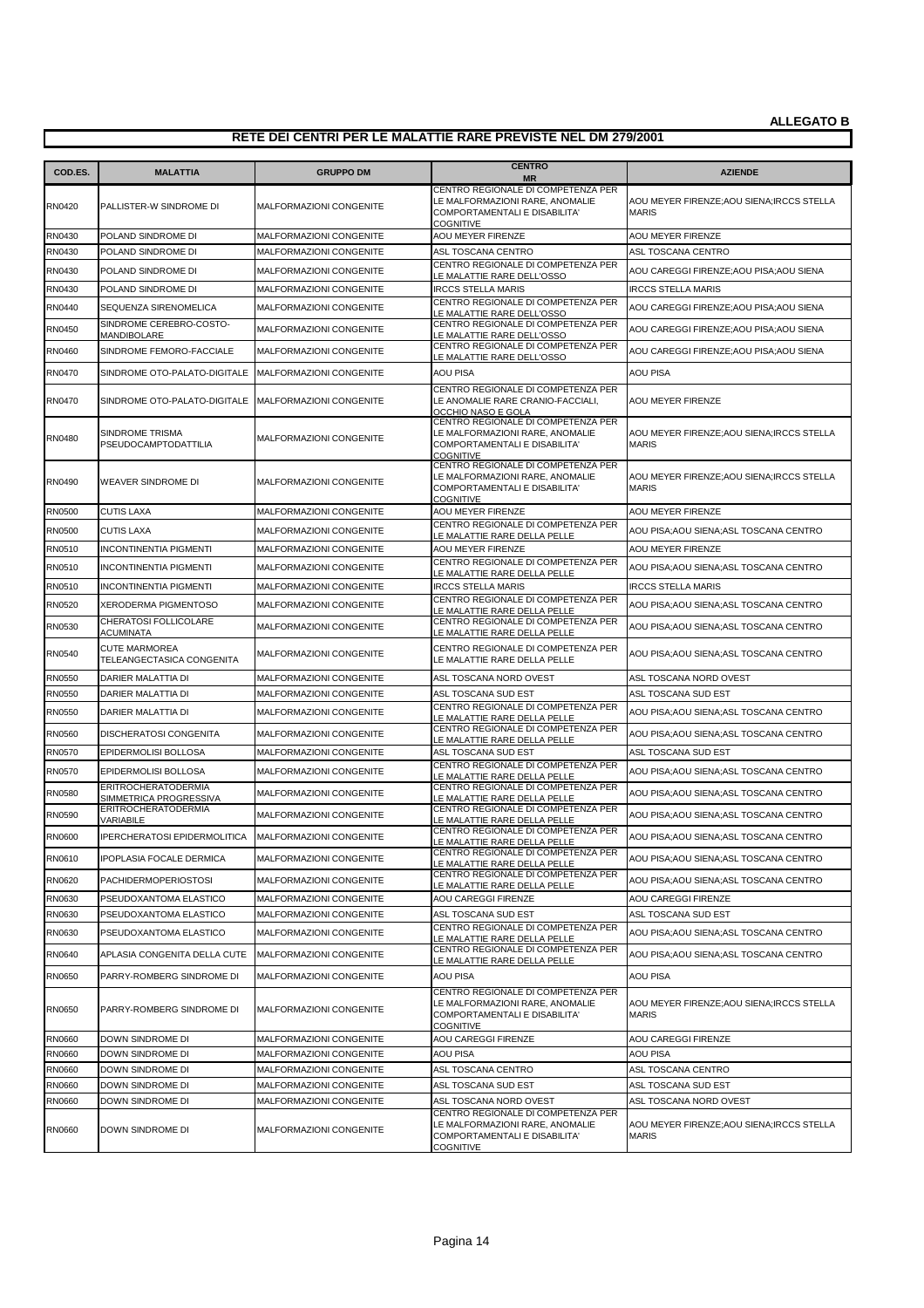| COD.ES.       | <b>MALATTIA</b>                                      | <b>GRUPPO DM</b>        | <b>CENTRO</b><br><b>MR</b>                                                                                                 | <b>AZIENDE</b>                                             |
|---------------|------------------------------------------------------|-------------------------|----------------------------------------------------------------------------------------------------------------------------|------------------------------------------------------------|
| RN0420        | PALLISTER-W SINDROME DI                              | MALFORMAZIONI CONGENITE | CENTRO REGIONALE DI COMPETENZA PER<br>LE MALFORMAZIONI RARE, ANOMALIE<br>COMPORTAMENTALI E DISABILITA'<br><b>COGNITIVE</b> | AOU MEYER FIRENZE; AOU SIENA; IRCCS STELLA<br><b>MARIS</b> |
| RN0430        | POLAND SINDROME DI                                   | MALFORMAZIONI CONGENITE | AOU MEYER FIRENZE                                                                                                          | AOU MEYER FIRENZE                                          |
| RN0430        | POLAND SINDROME DI                                   | MALFORMAZIONI CONGENITE | ASL TOSCANA CENTRO                                                                                                         | ASL TOSCANA CENTRO                                         |
| RN0430        | POLAND SINDROME DI                                   | MALFORMAZIONI CONGENITE | CENTRO REGIONALE DI COMPETENZA PER<br>LE MALATTIE RARE DELL'OSSO                                                           | AOU CAREGGI FIRENZE;AOU PISA;AOU SIENA                     |
| RN0430        | POLAND SINDROME DI                                   | MALFORMAZIONI CONGENITE | <b>IRCCS STELLA MARIS</b>                                                                                                  | <b>IRCCS STELLA MARIS</b>                                  |
| RN0440        | SEQUENZA SIRENOMELICA                                | MALFORMAZIONI CONGENITE | CENTRO REGIONALE DI COMPETENZA PER<br>LE MALATTIE RARE DELL'OSSO                                                           | AOU CAREGGI FIRENZE;AOU PISA;AOU SIENA                     |
| <b>RN0450</b> | SINDROME CEREBRO-COSTO-<br><b>MANDIBOLARE</b>        | MALFORMAZIONI CONGENITE | CENTRO REGIONALE DI COMPETENZA PER<br>LE MALATTIE RARE DELL'OSSO                                                           | AOU CAREGGI FIRENZE;AOU PISA;AOU SIENA                     |
| RN0460        | SINDROME FEMORO-FACCIALE                             | MALFORMAZIONI CONGENITE | CENTRO REGIONALE DI COMPETENZA PER<br>LE MALATTIE RARE DELL'OSSO                                                           | AOU CAREGGI FIRENZE; AOU PISA; AOU SIENA                   |
| RN0470        | SINDROME OTO-PALATO-DIGITALE                         | MALFORMAZIONI CONGENITE | AOU PISA                                                                                                                   | <b>AOU PISA</b>                                            |
| <b>RN0470</b> | SINDROME OTO-PALATO-DIGITALE                         | MALFORMAZIONI CONGENITE | CENTRO REGIONALE DI COMPETENZA PER<br>LE ANOMALIE RARE CRANIO-FACCIALI,<br>OCCHIO NASO E GOLA                              | AOU MEYER FIRENZE                                          |
| RN0480        | SINDROME TRISMA<br>PSEUDOCAMPTODATTILIA              | MALFORMAZIONI CONGENITE | CENTRO REGIONALE DI COMPETENZA PER<br>LE MALFORMAZIONI RARE, ANOMALIE<br>COMPORTAMENTALI E DISABILITA'<br><b>COGNITIVE</b> | AOU MEYER FIRENZE; AOU SIENA; IRCCS STELLA<br><b>MARIS</b> |
| RN0490        | <b>WEAVER SINDROME DI</b>                            | MALFORMAZIONI CONGENITE | CENTRO REGIONALE DI COMPETENZA PER<br>LE MALFORMAZIONI RARE, ANOMALIE<br>COMPORTAMENTALI E DISABILITA'<br><b>COGNITIVE</b> | AOU MEYER FIRENZE;AOU SIENA;IRCCS STELLA<br><b>MARIS</b>   |
| <b>RN0500</b> | <b>CUTIS LAXA</b>                                    | MALFORMAZIONI CONGENITE | AOU MEYER FIRENZE                                                                                                          | AOU MEYER FIRENZE                                          |
| RN0500        | <b>CUTIS LAXA</b>                                    | MALFORMAZIONI CONGENITE | CENTRO REGIONALE DI COMPETENZA PER<br>LE MALATTIE RARE DELLA PELLE                                                         | AOU PISA;AOU SIENA;ASL TOSCANA CENTRO                      |
| RN0510        | <b>INCONTINENTIA PIGMENTI</b>                        | MALFORMAZIONI CONGENITE | AOU MEYER FIRENZE                                                                                                          | AOU MEYER FIRENZE                                          |
| RN0510        | <b>INCONTINENTIA PIGMENTI</b>                        | MALFORMAZIONI CONGENITE | CENTRO REGIONALE DI COMPETENZA PER<br>LE MALATTIE RARE DELLA PELLE                                                         | AOU PISA;AOU SIENA;ASL TOSCANA CENTRO                      |
| RN0510        | <b>INCONTINENTIA PIGMENTI</b>                        | MALFORMAZIONI CONGENITE | <b>IRCCS STELLA MARIS</b>                                                                                                  | <b>IRCCS STELLA MARIS</b>                                  |
| <b>RN0520</b> | XERODERMA PIGMENTOSO                                 | MALFORMAZIONI CONGENITE | CENTRO REGIONALE DI COMPETENZA PER<br>LE MALATTIE RARE DELLA PELLE                                                         | AOU PISA;AOU SIENA;ASL TOSCANA CENTRO                      |
| RN0530        | CHERATOSI FOLLICOLARE<br><b>ACUMINATA</b>            | MALFORMAZIONI CONGENITE | CENTRO REGIONALE DI COMPETENZA PER<br>LE MALATTIE RARE DELLA PELLE                                                         | AOU PISA;AOU SIENA;ASL TOSCANA CENTRO                      |
| RN0540        | <b>CUTE MARMOREA</b><br>TELEANGECTASICA CONGENITA    | MALFORMAZIONI CONGENITE | CENTRO REGIONALE DI COMPETENZA PER<br>LE MALATTIE RARE DELLA PELLE                                                         | AOU PISA;AOU SIENA;ASL TOSCANA CENTRO                      |
| RN0550        | DARIER MALATTIA DI                                   | MALFORMAZIONI CONGENITE | ASL TOSCANA NORD OVEST                                                                                                     | ASL TOSCANA NORD OVEST                                     |
| <b>RN0550</b> | <b>DARIER MALATTIA DI</b>                            | MALFORMAZIONI CONGENITE | ASL TOSCANA SUD EST                                                                                                        | ASL TOSCANA SUD EST                                        |
| <b>RN0550</b> | <b>DARIER MALATTIA DI</b>                            | MALFORMAZIONI CONGENITE | CENTRO REGIONALE DI COMPETENZA PER<br>LE MALATTIE RARE DELLA PELLE                                                         | AOU PISA;AOU SIENA;ASL TOSCANA CENTRO                      |
| <b>RN0560</b> | DISCHERATOSI CONGENITA                               | MALFORMAZIONI CONGENITE | CENTRO REGIONALE DI COMPETENZA PER<br>LE MALATTIE RARE DELLA PELLE                                                         | AOU PISA;AOU SIENA;ASL TOSCANA CENTRO                      |
| RN0570        | EPIDERMOLISI BOLLOSA                                 | MALFORMAZIONI CONGENITE | ASL TOSCANA SUD EST                                                                                                        | ASL TOSCANA SUD EST                                        |
| <b>RN0570</b> | EPIDERMOLISI BOLLOSA                                 | MALFORMAZIONI CONGENITE | CENTRO REGIONALE DI COMPETENZA PER<br>LE MALATTIE RARE DELLA PELLE                                                         | AOU PISA;AOU SIENA;ASL TOSCANA CENTRO                      |
| <b>RN0580</b> | <b>ERITROCHERATODERMIA</b><br>SIMMETRICA PROGRESSIVA | MALFORMAZIONI CONGENITE | CENTRO REGIONALE DI COMPETENZA PER<br>LE MALATTIE RARE DELLA PELLE                                                         | AOU PISA;AOU SIENA;ASL TOSCANA CENTRO                      |
| RN0590        | <b>ERITROCHERATODERMIA</b><br><b>VARIABILE</b>       | MALFORMAZIONI CONGENITE | CENTRO REGIONALE DI COMPETENZA PER<br>E MALATTIE RARE DELLA PELLE.                                                         | AOU PISA;AOU SIENA;ASL TOSCANA CENTRO                      |
| <b>RN0600</b> | IPERCHERATOSI EPIDERMOLITICA                         | MALFORMAZIONI CONGENITE | CENTRO REGIONALE DI COMPETENZA PER<br>LE MALATTIE RARE DELLA PELLE                                                         | AOU PISA;AOU SIENA;ASL TOSCANA CENTRO                      |
| RN0610        | <b>IPOPLASIA FOCALE DERMICA</b>                      | MALFORMAZIONI CONGENITE | CENTRO REGIONALE DI COMPETENZA PER<br>LE MALATTIE RARE DELLA PELLE                                                         | AOU PISA;AOU SIENA;ASL TOSCANA CENTRO                      |
| RN0620        | PACHIDERMOPERIOSTOSI                                 | MALFORMAZIONI CONGENITE | CENTRO REGIONALE DI COMPETENZA PER<br>LE MALATTIE RARE DELLA PELLE                                                         | AOU PISA;AOU SIENA;ASL TOSCANA CENTRO                      |
| RN0630        | PSEUDOXANTOMA ELASTICO                               | MALFORMAZIONI CONGENITE | AOU CAREGGI FIRENZE                                                                                                        | AOU CAREGGI FIRENZE                                        |
| RN0630        | PSEUDOXANTOMA ELASTICO                               | MALFORMAZIONI CONGENITE | ASL TOSCANA SUD EST                                                                                                        | ASL TOSCANA SUD EST                                        |
| RN0630        | PSEUDOXANTOMA ELASTICO                               | MALFORMAZIONI CONGENITE | CENTRO REGIONALE DI COMPETENZA PER<br>E MALATTIE RARE DELLA PELLE                                                          | AOU PISA;AOU SIENA;ASL TOSCANA CENTRO                      |
| RN0640        | APLASIA CONGENITA DELLA CUTE                         | MALFORMAZIONI CONGENITE | CENTRO REGIONALE DI COMPETENZA PER<br>LE MALATTIE RARE DELLA PELLE                                                         | AOU PISA;AOU SIENA;ASL TOSCANA CENTRO                      |
| <b>RN0650</b> | PARRY-ROMBERG SINDROME DI                            | MALFORMAZIONI CONGENITE | AOU PISA                                                                                                                   | AOU PISA                                                   |
| <b>RN0650</b> | PARRY-ROMBERG SINDROME DI                            | MALFORMAZIONI CONGENITE | CENTRO REGIONALE DI COMPETENZA PER<br>LE MALFORMAZIONI RARE, ANOMALIE<br>COMPORTAMENTALI E DISABILITA'<br><b>COGNITIVE</b> | AOU MEYER FIRENZE; AOU SIENA; IRCCS STELLA<br><b>MARIS</b> |
| RN0660        | DOWN SINDROME DI                                     | MALFORMAZIONI CONGENITE | AOU CAREGGI FIRENZE                                                                                                        | AOU CAREGGI FIRENZE                                        |
| <b>RN0660</b> | DOWN SINDROME DI                                     | MALFORMAZIONI CONGENITE | <b>AOU PISA</b>                                                                                                            | <b>AOU PISA</b>                                            |
| <b>RN0660</b> | Down Sindrome Di                                     | MALFORMAZIONI CONGENITE | ASL TOSCANA CENTRO                                                                                                         | ASL TOSCANA CENTRO                                         |
| <b>RN0660</b> | DOWN SINDROME DI                                     | MALFORMAZIONI CONGENITE | ASL TOSCANA SUD EST                                                                                                        | ASL TOSCANA SUD EST                                        |
| <b>RN0660</b> | DOWN SINDROME DI                                     | MALFORMAZIONI CONGENITE | ASL TOSCANA NORD OVEST                                                                                                     | ASL TOSCANA NORD OVEST                                     |
| <b>RN0660</b> | DOWN SINDROME DI                                     | MALFORMAZIONI CONGENITE | CENTRO REGIONALE DI COMPETENZA PER<br>LE MALFORMAZIONI RARE, ANOMALIE<br>COMPORTAMENTALI E DISABILITA'<br><b>COGNITIVE</b> | AOU MEYER FIRENZE; AOU SIENA; IRCCS STELLA<br><b>MARIS</b> |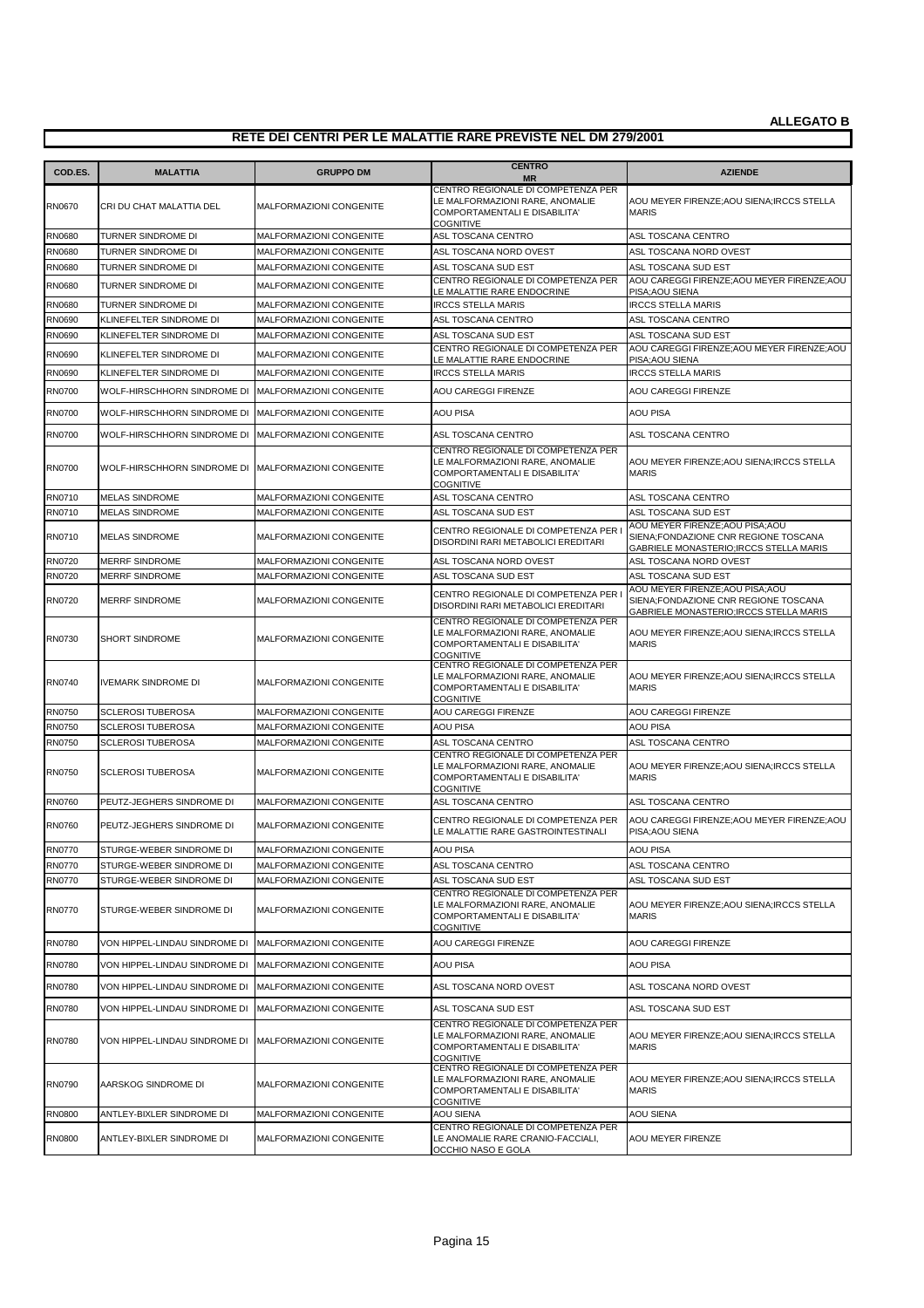| COD.ES.       | <b>MALATTIA</b>                                     | <b>GRUPPO DM</b>               | <b>CENTRO</b><br><b>MR</b>                                                                                                 | <b>AZIENDE</b>                                                                                                      |
|---------------|-----------------------------------------------------|--------------------------------|----------------------------------------------------------------------------------------------------------------------------|---------------------------------------------------------------------------------------------------------------------|
| <b>RN0670</b> | CRI DU CHAT MALATTIA DEL                            | MALFORMAZIONI CONGENITE        | CENTRO REGIONALE DI COMPETENZA PER<br>LE MALFORMAZIONI RARE, ANOMALIE<br>COMPORTAMENTALI E DISABILITA'<br><b>COGNITIVE</b> | AOU MEYER FIRENZE; AOU SIENA; IRCCS STELLA<br><b>MARIS</b>                                                          |
| <b>RN0680</b> | TURNER SINDROME DI                                  | MALFORMAZIONI CONGENITE        | ASL TOSCANA CENTRO                                                                                                         | ASL TOSCANA CENTRO                                                                                                  |
| RN0680        | TURNER SINDROME DI                                  | MALFORMAZIONI CONGENITE        | ASL TOSCANA NORD OVEST                                                                                                     | ASL TOSCANA NORD OVEST                                                                                              |
| <b>RN0680</b> | TURNER SINDROME DI                                  | MALFORMAZIONI CONGENITE        | ASL TOSCANA SUD EST                                                                                                        | ASL TOSCANA SUD EST                                                                                                 |
| RN0680        | TURNER SINDROME DI                                  | MALFORMAZIONI CONGENITE        | CENTRO REGIONALE DI COMPETENZA PER<br>LE MALATTIE RARE ENDOCRINE                                                           | AOU CAREGGI FIRENZE; AOU MEYER FIRENZE; AOU<br>PISA;AOU SIENA                                                       |
| RN0680        | TURNER SINDROME DI                                  | MALFORMAZIONI CONGENITE        | <b>IRCCS STELLA MARIS</b>                                                                                                  | <b>IRCCS STELLA MARIS</b>                                                                                           |
| <b>RN0690</b> | KLINEFELTER SINDROME DI                             | MALFORMAZIONI CONGENITE        | ASL TOSCANA CENTRO                                                                                                         | ASL TOSCANA CENTRO                                                                                                  |
| RN0690        | KLINEFELTER SINDROME DI                             | MALFORMAZIONI CONGENITE        | ASL TOSCANA SUD EST                                                                                                        | ASL TOSCANA SUD EST                                                                                                 |
| RN0690        | KLINEFELTER SINDROME DI                             | MALFORMAZIONI CONGENITE        | CENTRO REGIONALE DI COMPETENZA PER                                                                                         | AOU CAREGGI FIRENZE; AOU MEYER FIRENZE; AOU                                                                         |
| <b>RN0690</b> | KLINEFELTER SINDROME DI                             | MALFORMAZIONI CONGENITE        | LE MALATTIE RARE ENDOCRINE<br><b>IRCCS STELLA MARIS</b>                                                                    | PISA; AOU SIENA<br><b>IRCCS STELLA MARIS</b>                                                                        |
| <b>RN0700</b> | WOLF-HIRSCHHORN SINDROME DI                         | MALFORMAZIONI CONGENITE        | AOU CAREGGI FIRENZE                                                                                                        | AOU CAREGGI FIRENZE                                                                                                 |
|               |                                                     |                                |                                                                                                                            |                                                                                                                     |
| <b>RN0700</b> | WOLF-HIRSCHHORN SINDROME DI                         | MALFORMAZIONI CONGENITE        | <b>AOU PISA</b>                                                                                                            | <b>AOU PISA</b>                                                                                                     |
| <b>RN0700</b> | WOLF-HIRSCHHORN SINDROME DI                         | MALFORMAZIONI CONGENITE        | ASL TOSCANA CENTRO                                                                                                         | ASL TOSCANA CENTRO                                                                                                  |
| <b>RN0700</b> | WOLF-HIRSCHHORN SINDROME DI MALFORMAZIONI CONGENITE |                                | CENTRO REGIONALE DI COMPETENZA PER<br>LE MALFORMAZIONI RARE, ANOMALIE<br>COMPORTAMENTALI E DISABILITA'<br><b>COGNITIVE</b> | AOU MEYER FIRENZE; AOU SIENA; IRCCS STELLA<br><b>MARIS</b>                                                          |
| RN0710        | <b>MELAS SINDROME</b>                               | MALFORMAZIONI CONGENITE        | ASL TOSCANA CENTRO                                                                                                         | ASL TOSCANA CENTRO                                                                                                  |
| RN0710        | MELAS SINDROME                                      | MALFORMAZIONI CONGENITE        | ASL TOSCANA SUD EST                                                                                                        | ASL TOSCANA SUD EST                                                                                                 |
| RN0710        | <b>MELAS SINDROME</b>                               | MALFORMAZIONI CONGENITE        | CENTRO REGIONALE DI COMPETENZA PER I<br>DISORDINI RARI METABOLICI EREDITARI                                                | AOU MEYER FIRENZE;AOU PISA;AOU<br>SIENA;FONDAZIONE CNR REGIONE TOSCANA<br>GABRIELE MONASTERIO; IRCCS STELLA MARIS   |
| <b>RN0720</b> | <b>MERRF SINDROME</b>                               | MALFORMAZIONI CONGENITE        | ASL TOSCANA NORD OVEST                                                                                                     | ASL TOSCANA NORD OVEST                                                                                              |
| <b>RN0720</b> | <b>MERRF SINDROME</b>                               | <b>MALFORMAZIONI CONGENITE</b> | ASL TOSCANA SUD EST                                                                                                        | ASL TOSCANA SUD EST                                                                                                 |
| <b>RN0720</b> | <b>MERRF SINDROME</b>                               | MALFORMAZIONI CONGENITE        | CENTRO REGIONALE DI COMPETENZA PER<br>DISORDINI RARI METABOLICI EREDITARI                                                  | AOU MEYER FIRENZE; AOU PISA; AOU<br>SIENA;FONDAZIONE CNR REGIONE TOSCANA<br>GABRIELE MONASTERIO; IRCCS STELLA MARIS |
| RN0730        | <b>SHORT SINDROME</b>                               | MALFORMAZIONI CONGENITE        | CENTRO REGIONALE DI COMPETENZA PER<br>LE MALFORMAZIONI RARE, ANOMALIE<br>COMPORTAMENTALI E DISABILITA'<br><b>COGNITIVE</b> | AOU MEYER FIRENZE; AOU SIENA; IRCCS STELLA<br><b>MARIS</b>                                                          |
| <b>RN0740</b> | <b>IVEMARK SINDROME DI</b>                          | MALFORMAZIONI CONGENITE        | CENTRO REGIONALE DI COMPETENZA PER<br>LE MALFORMAZIONI RARE, ANOMALIE<br>COMPORTAMENTALI E DISABILITA'<br><b>COGNITIVE</b> | AOU MEYER FIRENZE; AOU SIENA; IRCCS STELLA<br><b>MARIS</b>                                                          |
| <b>RN0750</b> | <b>SCLEROSI TUBEROSA</b>                            | MALFORMAZIONI CONGENITE        | AOU CAREGGI FIRENZE                                                                                                        | AOU CAREGGI FIRENZE                                                                                                 |
| <b>RN0750</b> | <b>SCLEROSI TUBEROSA</b>                            | MALFORMAZIONI CONGENITE        | AOU PISA                                                                                                                   | <b>AOU PISA</b>                                                                                                     |
| <b>RN0750</b> | <b>SCLEROSI TUBEROSA</b>                            | MALFORMAZIONI CONGENITE        | ASL TOSCANA CENTRO                                                                                                         | ASL TOSCANA CENTRO                                                                                                  |
| <b>RN0750</b> | <b>SCLEROSI TUBEROSA</b>                            | MALFORMAZIONI CONGENITE        | CENTRO REGIONALE DI COMPETENZA PER<br>LE MALFORMAZIONI RARE, ANOMALIE<br>COMPORTAMENTALI E DISABILITA'<br><b>COGNITIVE</b> | AOU MEYER FIRENZE;AOU SIENA;IRCCS STELLA<br><b>MARIS</b>                                                            |
| <b>RN0760</b> | PEUTZ-JEGHERS SINDROME DI                           | MALFORMAZIONI CONGENITE        | ASL TOSCANA CENTRO                                                                                                         | ASL TOSCANA CENTRO                                                                                                  |
| <b>RN0760</b> | PEUTZ-JEGHERS SINDROME DI                           | MALFORMAZIONI CONGENITE        | CENTRO REGIONALE DI COMPETENZA PER<br>LE MALATTIE RARE GASTROINTESTINALI                                                   | AOU CAREGGI FIRENZE; AOU MEYER FIRENZE; AOU<br>PISA; AOU SIENA                                                      |
| <b>RN0770</b> | STURGE-WEBER SINDROME DI                            | MALFORMAZIONI CONGENITE        | AOU PISA                                                                                                                   | AOU PISA                                                                                                            |
| <b>RN0770</b> | STURGE-WEBER SINDROME DI                            | MALFORMAZIONI CONGENITE        | ASL TOSCANA CENTRO                                                                                                         | ASL TOSCANA CENTRO                                                                                                  |
| <b>RN0770</b> | STURGE-WEBER SINDROME DI                            | MALFORMAZIONI CONGENITE        | ASL TOSCANA SUD EST                                                                                                        | ASL TOSCANA SUD EST                                                                                                 |
| <b>RN0770</b> | STURGE-WEBER SINDROME DI                            | MALFORMAZIONI CONGENITE        | CENTRO REGIONALE DI COMPETENZA PER<br>LE MALFORMAZIONI RARE, ANOMALIE<br>COMPORTAMENTALI E DISABILITA'<br>COGNITIVE        | AOU MEYER FIRENZE; AOU SIENA; IRCCS STELLA<br><b>MARIS</b>                                                          |
| <b>RN0780</b> | VON HIPPEL-LINDAU SINDROME DI                       | MALFORMAZIONI CONGENITE        | <b>AOU CAREGGI FIRENZE</b>                                                                                                 | AOU CAREGGI FIRENZE                                                                                                 |
| <b>RN0780</b> | VON HIPPEL-LINDAU SINDROME DI                       | MALFORMAZIONI CONGENITE        | AOU PISA                                                                                                                   | <b>AOU PISA</b>                                                                                                     |
| <b>RN0780</b> | VON HIPPEL-LINDAU SINDROME DI                       | MALFORMAZIONI CONGENITE        | ASL TOSCANA NORD OVEST                                                                                                     | ASL TOSCANA NORD OVEST                                                                                              |
| <b>RN0780</b> | VON HIPPEL-LINDAU SINDROME DI                       | MALFORMAZIONI CONGENITE        | ASL TOSCANA SUD EST                                                                                                        | ASL TOSCANA SUD EST                                                                                                 |
| <b>RN0780</b> | VON HIPPEL-LINDAU SINDROME DI                       | MALFORMAZIONI CONGENITE        | CENTRO REGIONALE DI COMPETENZA PER<br>LE MALFORMAZIONI RARE, ANOMALIE<br>COMPORTAMENTALI E DISABILITA'<br><b>COGNITIVE</b> | AOU MEYER FIRENZE: AOU SIENA: IRCCS STELLA<br><b>MARIS</b>                                                          |
| <b>RN0790</b> | AARSKOG SINDROME DI                                 | MALFORMAZIONI CONGENITE        | CENTRO REGIONALE DI COMPETENZA PER<br>LE MALFORMAZIONI RARE, ANOMALIE<br>COMPORTAMENTALI E DISABILITA'<br>COGNITIVE        | AOU MEYER FIRENZE;AOU SIENA;IRCCS STELLA<br><b>MARIS</b>                                                            |
| <b>RN0800</b> | ANTLEY-BIXLER SINDROME DI                           | MALFORMAZIONI CONGENITE        | <b>AOU SIENA</b>                                                                                                           | <b>AOU SIENA</b>                                                                                                    |
| <b>RN0800</b> | ANTLEY-BIXLER SINDROME DI                           | MALFORMAZIONI CONGENITE        | CENTRO REGIONALE DI COMPETENZA PER<br>LE ANOMALIE RARE CRANIO-FACCIALI,<br>OCCHIO NASO E GOLA                              | AOU MEYER FIRENZE                                                                                                   |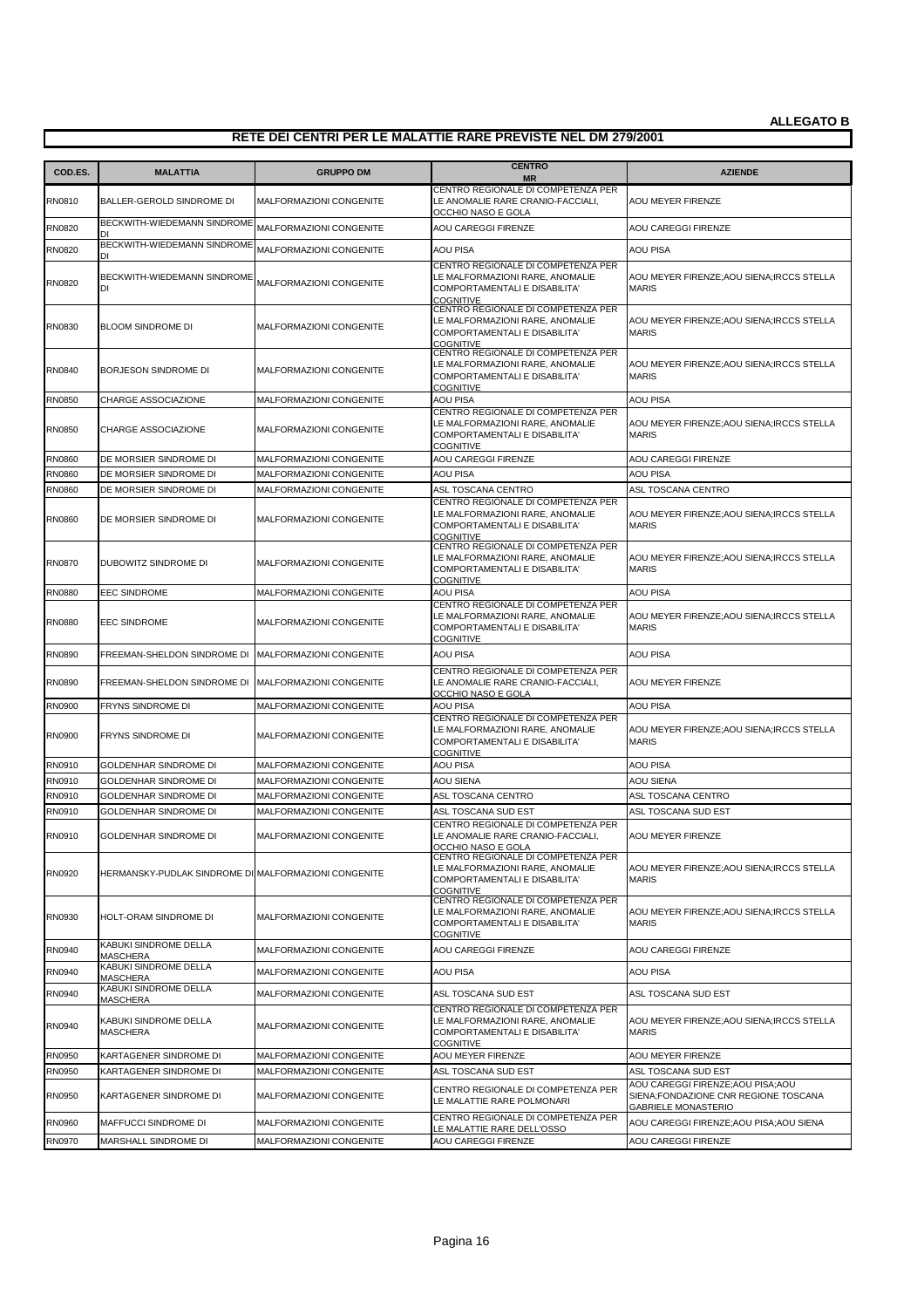| COD.ES.          | <b>MALATTIA</b>                                              | <b>GRUPPO DM</b>                                          | <b>CENTRO</b>                                                                                                                     | <b>AZIENDE</b>                                                                                         |
|------------------|--------------------------------------------------------------|-----------------------------------------------------------|-----------------------------------------------------------------------------------------------------------------------------------|--------------------------------------------------------------------------------------------------------|
|                  |                                                              |                                                           | <b>MR</b><br>CENTRO REGIONALE DI COMPETENZA PER                                                                                   |                                                                                                        |
| RN0810           | BALLER-GEROLD SINDROME DI                                    | MALFORMAZIONI CONGENITE                                   | LE ANOMALIE RARE CRANIO-FACCIALI,<br>OCCHIO NASO E GOLA                                                                           | <b>AOU MEYER FIRENZE</b>                                                                               |
| <b>RN0820</b>    | BECKWITH-WIEDEMANN SINDROME<br>DI                            | <b>MALFORMAZIONI CONGENITE</b>                            | AOU CAREGGI FIRENZE                                                                                                               | AOU CAREGGI FIRENZE                                                                                    |
| RN0820           | BECKWITH-WIEDEMANN SINDROME<br>DI                            | MALFORMAZIONI CONGENITE                                   | AOU PISA                                                                                                                          | <b>AOU PISA</b>                                                                                        |
| RN0820           | BECKWITH-WIEDEMANN SINDROME<br>DI                            | MALFORMAZIONI CONGENITE                                   | CENTRO REGIONALE DI COMPETENZA PER<br>LE MALFORMAZIONI RARE, ANOMALIE<br>COMPORTAMENTALI E DISABILITA'<br><b>COGNITIVE</b>        | AOU MEYER FIRENZE; AOU SIENA; IRCCS STELLA<br><b>MARIS</b>                                             |
| RN0830           | <b>BLOOM SINDROME DI</b>                                     | MALFORMAZIONI CONGENITE                                   | CENTRO REGIONALE DI COMPETENZA PER<br>LE MALFORMAZIONI RARE, ANOMALIE<br>COMPORTAMENTALI E DISABILITA'<br><b>COGNITIVE</b>        | AOU MEYER FIRENZE; AOU SIENA; IRCCS STELLA<br><b>MARIS</b>                                             |
| RN0840           | BORJESON SINDROME DI                                         | MALFORMAZIONI CONGENITE                                   | CENTRO REGIONALE DI COMPETENZA PER<br>LE MALFORMAZIONI RARE, ANOMALIE<br>COMPORTAMENTALI E DISABILITA'<br><b>COGNITIVE</b>        | AOU MEYER FIRENZE; AOU SIENA; IRCCS STELLA<br><b>MARIS</b>                                             |
| RN0850           | CHARGE ASSOCIAZIONE                                          | MALFORMAZIONI CONGENITE                                   | AOU PISA                                                                                                                          | <b>AOU PISA</b>                                                                                        |
| <b>RN0850</b>    | <b>CHARGE ASSOCIAZIONE</b>                                   | MALFORMAZIONI CONGENITE                                   | CENTRO REGIONALE DI COMPETENZA PER<br>LE MALFORMAZIONI RARE, ANOMALIE<br>COMPORTAMENTALI E DISABILITA'<br>COGNITIVE               | AOU MEYER FIRENZE; AOU SIENA; IRCCS STELLA<br><b>MARIS</b>                                             |
| RN0860           | DE MORSIER SINDROME DI                                       | MALFORMAZIONI CONGENITE                                   | AOU CAREGGI FIRENZE                                                                                                               | <b>AOU CAREGGI FIRENZE</b>                                                                             |
| RN0860           | DE MORSIER SINDROME DI                                       | MALFORMAZIONI CONGENITE                                   | AOU PISA                                                                                                                          | <b>AOU PISA</b>                                                                                        |
| <b>RN0860</b>    | DE MORSIER SINDROME DI                                       | <b>MALFORMAZIONI CONGENITE</b>                            | ASL TOSCANA CENTRO<br>CENTRO REGIONALE DI COMPETENZA PER                                                                          | ASL TOSCANA CENTRO                                                                                     |
| <b>RN0860</b>    | DE MORSIER SINDROME DI                                       | MALFORMAZIONI CONGENITE                                   | LE MALFORMAZIONI RARE, ANOMALIE<br>COMPORTAMENTALI E DISABILITA'<br>COGNITIVE                                                     | AOU MEYER FIRENZE; AOU SIENA; IRCCS STELLA<br><b>MARIS</b>                                             |
| RN0870           | DUBOWITZ SINDROME DI                                         | MALFORMAZIONI CONGENITE                                   | CENTRO REGIONALE DI COMPETENZA PER<br>LE MALFORMAZIONI RARE, ANOMALIE<br>COMPORTAMENTALI E DISABILITA'<br><b>COGNITIVE</b>        | AOU MEYER FIRENZE; AOU SIENA; IRCCS STELLA<br><b>MARIS</b>                                             |
| <b>RN0880</b>    | <b>EEC SINDROME</b>                                          | MALFORMAZIONI CONGENITE                                   | AOU PISA                                                                                                                          | <b>AOU PISA</b>                                                                                        |
| <b>RN0880</b>    | <b>EEC SINDROME</b>                                          | MALFORMAZIONI CONGENITE                                   | CENTRO REGIONALE DI COMPETENZA PER<br>LE MALFORMAZIONI RARE, ANOMALIE<br>COMPORTAMENTALI E DISABILITA'<br><b>COGNITIVE</b>        | AOU MEYER FIRENZE; AOU SIENA; IRCCS STELLA<br><b>MARIS</b>                                             |
| RN0890           | FREEMAN-SHELDON SINDROME DI                                  | <b>MALFORMAZIONI CONGENITE</b>                            | <b>AOU PISA</b>                                                                                                                   | <b>AOU PISA</b>                                                                                        |
| RN0890           | FREEMAN-SHELDON SINDROME DI                                  | MALFORMAZIONI CONGENITE                                   | CENTRO REGIONALE DI COMPETENZA PER<br>LE ANOMALIE RARE CRANIO-FACCIALI,<br>OCCHIO NASO E GOLA                                     | AOU MEYER FIRENZE                                                                                      |
| RN0900           | FRYNS SINDROME DI                                            | MALFORMAZIONI CONGENITE                                   | AOU PISA                                                                                                                          | <b>AOU PISA</b>                                                                                        |
| RN0900           | FRYNS SINDROME DI                                            | MALFORMAZIONI CONGENITE                                   | CENTRO REGIONALE DI COMPETENZA PER<br>LE MALFORMAZIONI RARE, ANOMALIE<br>COMPORTAMENTALI E DISABILITA'<br><b>COGNITIVE</b>        | AOU MEYER FIRENZE; AOU SIENA; IRCCS STELLA<br><b>MARIS</b>                                             |
| RN0910           | GOLDENHAR SINDROME DI                                        | MALFORMAZIONI CONGENITE                                   | <b>AOU PISA</b>                                                                                                                   | <b>AOU PISA</b>                                                                                        |
| RN0910           | <b>GOLDENHAR SINDROME DI</b>                                 | MALFORMAZIONI CONGENITE                                   | AOU SIENA                                                                                                                         | AOU SIENA                                                                                              |
| RN0910           | GOLDENHAR SINDROME DI                                        | MALFORMAZIONI CONGENITE                                   | ASL TOSCANA CENTRO                                                                                                                | ASL TOSCANA CENTRO                                                                                     |
| RN0910<br>RN0910 | <b>GOLDENHAR SINDROME DI</b><br><b>GOLDENHAR SINDROME DI</b> | <b>MALFORMAZIONI CONGENITE</b><br>MALFORMAZIONI CONGENITE | ASL TOSCANA SUD EST<br>CENTRO REGIONALE DI COMPETENZA PER<br>LE ANOMALIE RARE CRANIO-FACCIALI,<br>OCCHIO NASO E GOLA              | ASL TOSCANA SUD EST<br>AOU MEYER FIRENZE                                                               |
| RN0920           | HERMANSKY-PUDLAK SINDROME DI MALFORMAZIONI CONGENITE         |                                                           | CENTRO REGIONALE DI COMPETENZA PER<br>LE MALFORMAZIONI RARE, ANOMALIE<br>COMPORTAMENTALI E DISABILITA'<br><b>COGNITIVE</b>        | AOU MEYER FIRENZE; AOU SIENA; IRCCS STELLA<br><b>MARIS</b>                                             |
| RN0930           | HOLT-ORAM SINDROME DI                                        | MALFORMAZIONI CONGENITE                                   | CENTRO REGIONALE DI COMPETENZA PER<br>LE MALFORMAZIONI RARE, ANOMALIE<br><b>COMPORTAMENTALI E DISABILITA'</b><br><b>COGNITIVE</b> | AOU MEYER FIRENZE; AOU SIENA; IRCCS STELLA<br><b>MARIS</b>                                             |
| RN0940           | KABUKI SINDROME DELLA<br><b>MASCHERA</b>                     | MALFORMAZIONI CONGENITE                                   | AOU CAREGGI FIRENZE                                                                                                               | AOU CAREGGI FIRENZE                                                                                    |
| RN0940           | KABUKI SINDROME DELLA<br><b>MASCHERA</b>                     | MALFORMAZIONI CONGENITE                                   | AOU PISA                                                                                                                          | <b>AOU PISA</b>                                                                                        |
| RN0940           | KABUKI SINDROME DELLA<br>MASCHERA                            | MALFORMAZIONI CONGENITE                                   | ASL TOSCANA SUD EST                                                                                                               | ASL TOSCANA SUD EST                                                                                    |
| RN0940           | KABUKI SINDROME DELLA<br>MASCHERA                            | MALFORMAZIONI CONGENITE                                   | CENTRO REGIONALE DI COMPETENZA PER<br>LE MALFORMAZIONI RARE, ANOMALIE<br>COMPORTAMENTALI E DISABILITA'<br><b>COGNITIVE</b>        | AOU MEYER FIRENZE; AOU SIENA; IRCCS STELLA<br><b>MARIS</b>                                             |
| RN0950           | KARTAGENER SINDROME DI                                       | MALFORMAZIONI CONGENITE                                   | AOU MEYER FIRENZE                                                                                                                 | AOU MEYER FIRENZE                                                                                      |
| RN0950           | KARTAGENER SINDROME DI                                       | MALFORMAZIONI CONGENITE                                   | ASL TOSCANA SUD EST                                                                                                               | ASL TOSCANA SUD EST                                                                                    |
| <b>RN0950</b>    | KARTAGENER SINDROME DI                                       | MALFORMAZIONI CONGENITE                                   | CENTRO REGIONALE DI COMPETENZA PER<br>LE MALATTIE RARE POLMONARI                                                                  | AOU CAREGGI FIRENZE;AOU PISA;AOU<br>SIENA;FONDAZIONE CNR REGIONE TOSCANA<br><b>GABRIELE MONASTERIO</b> |
| RN0960           | MAFFUCCI SINDROME DI                                         | MALFORMAZIONI CONGENITE                                   | CENTRO REGIONALE DI COMPETENZA PER<br>LE MALATTIE RARE DELL'OSSO                                                                  | AOU CAREGGI FIRENZE; AOU PISA; AOU SIENA                                                               |
| RN0970           | MARSHALL SINDROME DI                                         | MALFORMAZIONI CONGENITE                                   | AOU CAREGGI FIRENZE                                                                                                               | AOU CAREGGI FIRENZE                                                                                    |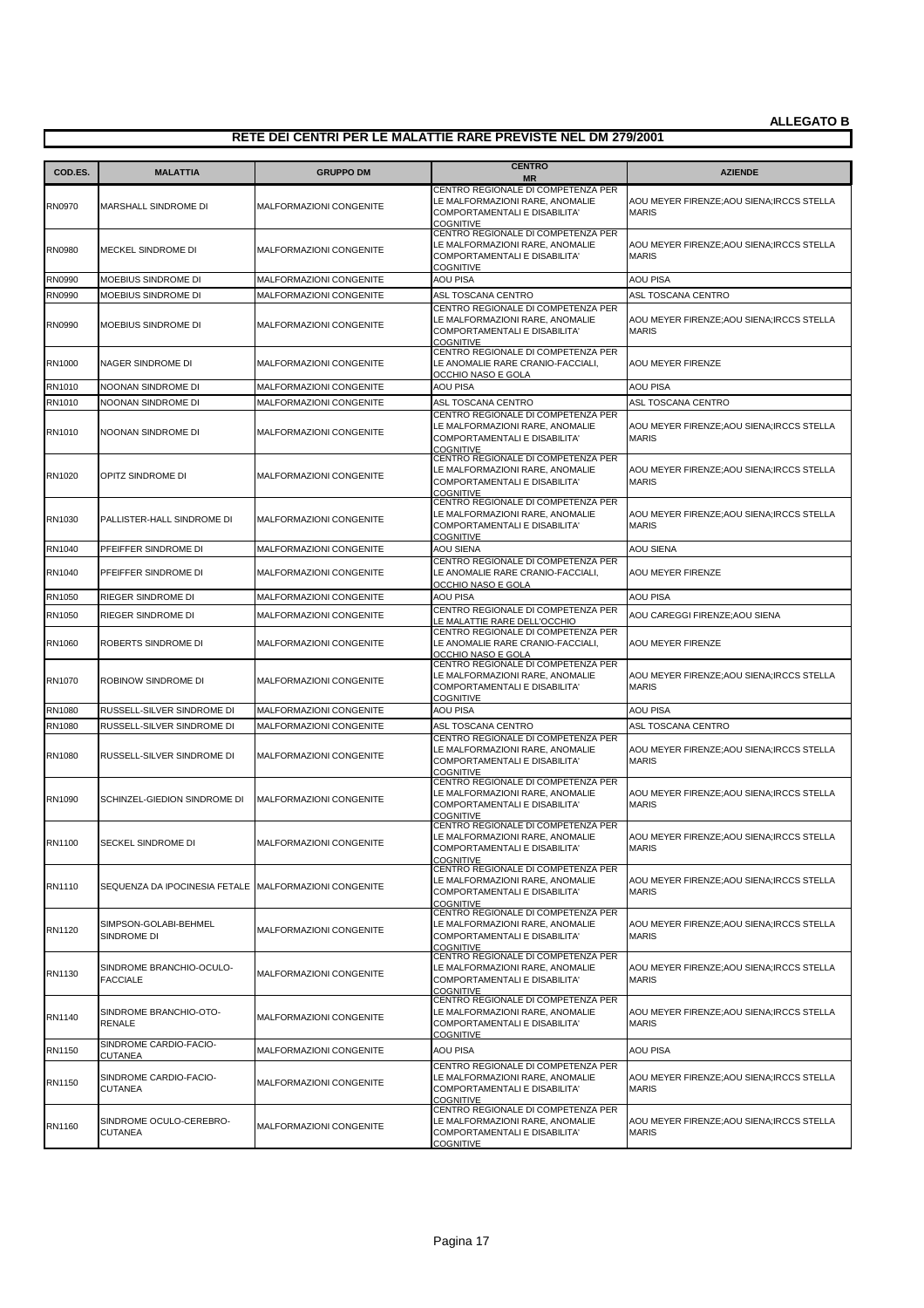| COD.ES.       | <b>MALATTIA</b>                             | <b>GRUPPO DM</b>               | <b>CENTRO</b><br><b>MR</b>                                                                                                        | <b>AZIENDE</b>                                             |
|---------------|---------------------------------------------|--------------------------------|-----------------------------------------------------------------------------------------------------------------------------------|------------------------------------------------------------|
| RN0970        | MARSHALL SINDROME DI                        | MALFORMAZIONI CONGENITE        | CENTRO REGIONALE DI COMPETENZA PER<br>LE MALFORMAZIONI RARE, ANOMALIE<br>COMPORTAMENTALI E DISABILITA'<br><b>COGNITIVE</b>        | AOU MEYER FIRENZE; AOU SIENA; IRCCS STELLA<br><b>MARIS</b> |
| RN0980        | MECKEL SINDROME DI                          | MALFORMAZIONI CONGENITE        | CENTRO REGIONALE DI COMPETENZA PER<br>LE MALFORMAZIONI RARE, ANOMALIE<br>COMPORTAMENTALI E DISABILITA'<br><b>COGNITIVE</b>        | AOU MEYER FIRENZE; AOU SIENA; IRCCS STELLA<br><b>MARIS</b> |
| RN0990        | MOEBIUS SINDROME DI                         | MALFORMAZIONI CONGENITE        | AOU PISA                                                                                                                          | <b>AOU PISA</b>                                            |
| <b>RN0990</b> | MOEBIUS SINDROME DI                         | MALFORMAZIONI CONGENITE        | ASL TOSCANA CENTRO                                                                                                                | ASL TOSCANA CENTRO                                         |
| RN0990        | MOEBIUS SINDROME DI                         | MALFORMAZIONI CONGENITE        | CENTRO REGIONALE DI COMPETENZA PER<br>LE MALFORMAZIONI RARE, ANOMALIE<br>COMPORTAMENTALI E DISABILITA'<br><b>COGNITIVE</b>        | AOU MEYER FIRENZE; AOU SIENA; IRCCS STELLA<br><b>MARIS</b> |
| RN1000        | NAGER SINDROME DI                           | MALFORMAZIONI CONGENITE        | CENTRO REGIONALE DI COMPETENZA PER<br>LE ANOMALIE RARE CRANIO-FACCIALI,<br>OCCHIO NASO E GOLA                                     | AOU MEYER FIRENZE                                          |
| RN1010        | NOONAN SINDROME DI                          | MALFORMAZIONI CONGENITE        | AOU PISA                                                                                                                          | <b>AOU PISA</b>                                            |
| RN1010        | NOONAN SINDROME DI                          | MALFORMAZIONI CONGENITE        | ASL TOSCANA CENTRO                                                                                                                | ASL TOSCANA CENTRO                                         |
| RN1010        | NOONAN SINDROME DI                          | MALFORMAZIONI CONGENITE        | CENTRO REGIONALE DI COMPETENZA PER<br>LE MALFORMAZIONI RARE, ANOMALIE<br>COMPORTAMENTALI E DISABILITA'<br><b>COGNITIVE</b>        | AOU MEYER FIRENZE; AOU SIENA; IRCCS STELLA<br><b>MARIS</b> |
| RN1020        | OPITZ SINDROME DI                           | MALFORMAZIONI CONGENITE        | CENTRO REGIONALE DI COMPETENZA PER<br>LE MALFORMAZIONI RARE, ANOMALIE<br>COMPORTAMENTALI E DISABILITA'<br><b>COGNITIVE</b>        | AOU MEYER FIRENZE; AOU SIENA; IRCCS STELLA<br><b>MARIS</b> |
| RN1030        | PALLISTER-HALL SINDROME DI                  | MALFORMAZIONI CONGENITE        | CENTRO REGIONALE DI COMPETENZA PER<br>LE MALFORMAZIONI RARE. ANOMALIE<br>COMPORTAMENTALI E DISABILITA'<br>COGNITIVE               | AOU MEYER FIRENZE; AOU SIENA; IRCCS STELLA<br><b>MARIS</b> |
| RN1040        | PFEIFFER SINDROME DI                        | MALFORMAZIONI CONGENITE        | AOU SIENA                                                                                                                         | <b>AOU SIENA</b>                                           |
| RN1040        | PFEIFFER SINDROME DI                        | MALFORMAZIONI CONGENITE        | CENTRO REGIONALE DI COMPETENZA PER<br>LE ANOMALIE RARE CRANIO-FACCIALI,<br>OCCHIO NASO E GOLA                                     | AOU MEYER FIRENZE                                          |
| RN1050        | RIEGER SINDROME DI                          | MALFORMAZIONI CONGENITE        | AOU PISA                                                                                                                          | <b>AOU PISA</b>                                            |
| RN1050        | RIEGER SINDROME DI                          | MALFORMAZIONI CONGENITE        | CENTRO REGIONALE DI COMPETENZA PER                                                                                                | AOU CAREGGI FIRENZE;AOU SIENA                              |
| RN1060        | ROBERTS SINDROME DI                         | MALFORMAZIONI CONGENITE        | LE MALATTIE RARE DELL'OCCHIO<br>CENTRO REGIONALE DI COMPETENZA PER<br>LE ANOMALIE RARE CRANIO-FACCIALI,<br>OCCHIO NASO E GOLA     | AOU MEYER FIRENZE                                          |
| RN1070        | ROBINOW SINDROME DI                         | MALFORMAZIONI CONGENITE        | CENTRO REGIONALE DI COMPETENZA PER<br>LE MALFORMAZIONI RARE, ANOMALIE<br>COMPORTAMENTALI E DISABILITA'<br><b>COGNITIVE</b>        | AOU MEYER FIRENZE; AOU SIENA; IRCCS STELLA<br><b>MARIS</b> |
| RN1080        | RUSSELL-SILVER SINDROME DI                  | MALFORMAZIONI CONGENITE        | <b>AOU PISA</b>                                                                                                                   | <b>AOU PISA</b>                                            |
| RN1080        | RUSSELL-SILVER SINDROME DI                  | MALFORMAZIONI CONGENITE        | ASL TOSCANA CENTRO                                                                                                                | ASL TOSCANA CENTRO                                         |
| RN1080        | RUSSELL-SILVER SINDROME DI                  | MALFORMAZIONI CONGENITE        | CENTRO REGIONALE DI COMPETENZA PER<br>LE MALFORMAZIONI RARE, ANOMALIE<br><b>COMPORTAMENTALI E DISABILITA'</b><br><b>COGNITIVE</b> | AOU MEYER FIRENZE; AOU SIENA; IRCCS STELLA<br><b>MARIS</b> |
| RN1090        | SCHINZEL-GIEDION SINDROME DI                | MALFORMAZIONI CONGENITE        | CENTRO REGIONALE DI COMPETENZA PER<br>LE MALFORMAZIONI RARE, ANOMALIE<br>COMPORTAMENTALI E DISABILITA'<br>COGNITIVE               | AOU MEYER FIRENZE; AOU SIENA; IRCCS STELLA<br><b>MARIS</b> |
| RN1100        | SECKEL SINDROME DI                          | MALFORMAZIONI CONGENITE        | CENTRO REGIONALE DI COMPETENZA PER<br>LE MALFORMAZIONI RARE, ANOMALIE<br>COMPORTAMENTALI E DISABILITA<br>COGNITIVE                | AOU MEYER FIRENZE; AOU SIENA; IRCCS STELLA<br><b>MARIS</b> |
| RN1110        | SEQUENZA DA IPOCINESIA FETALE               | <b>MALFORMAZIONI CONGENITE</b> | CENTRO REGIONALE DI COMPETENZA PER<br>LE MALFORMAZIONI RARE, ANOMALIE<br>COMPORTAMENTALI E DISABILITA'<br>COGNITIVE               | AOU MEYER FIRENZE; AOU SIENA; IRCCS STELLA<br><b>MARIS</b> |
| RN1120        | SIMPSON-GOLABI-BEHMEL<br>SINDROME DI        | MALFORMAZIONI CONGENITE        | CENTRO REGIONALE DI COMPETENZA PER<br>LE MALFORMAZIONI RARE, ANOMALIE<br>COMPORTAMENTALI E DISABILITA'<br><b>COGNITIVE</b>        | AOU MEYER FIRENZE; AOU SIENA; IRCCS STELLA<br><b>MARIS</b> |
| RN1130        | SINDROME BRANCHIO-OCULO-<br><b>FACCIALE</b> | MALFORMAZIONI CONGENITE        | CENTRO REGIONALE DI COMPETENZA PER<br>LE MALFORMAZIONI RARE, ANOMALIE<br><b>COMPORTAMENTALI E DISABILITA'</b><br><b>COGNITIVE</b> | AOU MEYER FIRENZE; AOU SIENA; IRCCS STELLA<br><b>MARIS</b> |
| RN1140        | SINDROME BRANCHIO-OTO-<br><b>RENALE</b>     | MALFORMAZIONI CONGENITE        | CENTRO REGIONALE DI COMPETENZA PER<br>LE MALFORMAZIONI RARE, ANOMALIE<br>COMPORTAMENTALI E DISABILITA'<br>COGNITIVE               | AOU MEYER FIRENZE; AOU SIENA; IRCCS STELLA<br><b>MARIS</b> |
| RN1150        | SINDROME CARDIO-FACIO-<br><b>CUTANEA</b>    | MALFORMAZIONI CONGENITE        | AOU PISA                                                                                                                          | <b>AOU PISA</b>                                            |
| RN1150        | SINDROME CARDIO-FACIO-<br><b>CUTANEA</b>    | MALFORMAZIONI CONGENITE        | CENTRO REGIONALE DI COMPETENZA PER<br>LE MALFORMAZIONI RARE, ANOMALIE<br>COMPORTAMENTALI E DISABILITA'<br><b>COGNITIVE</b>        | AOU MEYER FIRENZE; AOU SIENA; IRCCS STELLA<br><b>MARIS</b> |
| RN1160        | SINDROME OCULO-CEREBRO-<br><b>CUTANEA</b>   | MALFORMAZIONI CONGENITE        | CENTRO REGIONALE DI COMPETENZA PER<br>LE MALFORMAZIONI RARE, ANOMALIE<br>COMPORTAMENTALI E DISABILITA'<br>COGNITIVE               | AOU MEYER FIRENZE; AOU SIENA; IRCCS STELLA<br><b>MARIS</b> |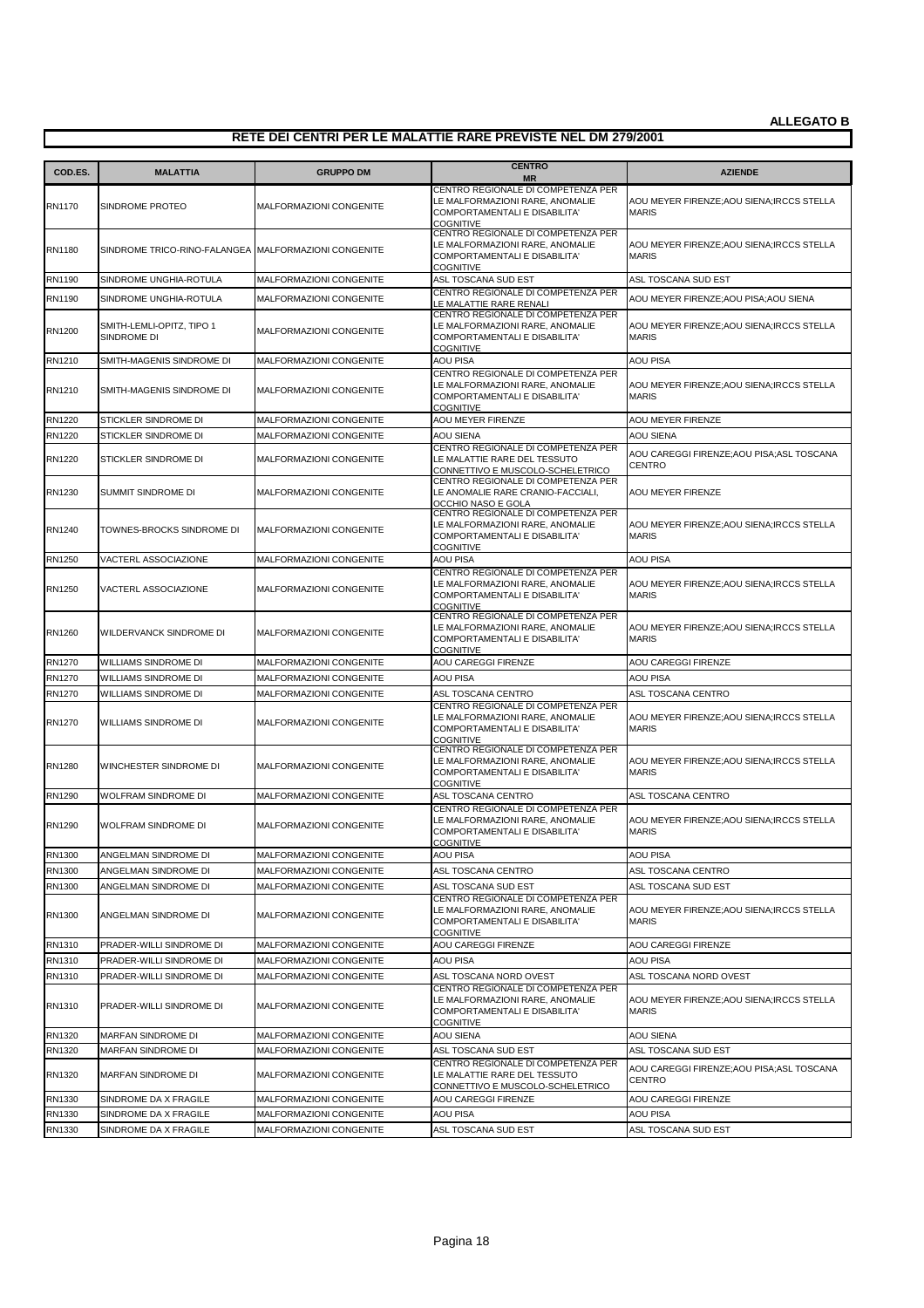| COD.ES.       | <b>MALATTIA</b>                                      | <b>GRUPPO DM</b>               | <b>CENTRO</b><br><b>MR</b>                                                                                                        | <b>AZIENDE</b>                                             |
|---------------|------------------------------------------------------|--------------------------------|-----------------------------------------------------------------------------------------------------------------------------------|------------------------------------------------------------|
| RN1170        | SINDROME PROTEO                                      | MALFORMAZIONI CONGENITE        | CENTRO REGIONALE DI COMPETENZA PER<br>LE MALFORMAZIONI RARE, ANOMALIE<br>COMPORTAMENTALI E DISABILITA'<br><b>COGNITIVE</b>        | AOU MEYER FIRENZE; AOU SIENA; IRCCS STELLA<br><b>MARIS</b> |
| RN1180        | SINDROME TRICO-RINO-FALANGEA MALFORMAZIONI CONGENITE |                                | CENTRO REGIONALE DI COMPETENZA PER<br>LE MALFORMAZIONI RARE, ANOMALIE<br>COMPORTAMENTALI E DISABILITA'<br><b>COGNITIVE</b>        | AOU MEYER FIRENZE;AOU SIENA;IRCCS STELLA<br><b>MARIS</b>   |
| RN1190        | SINDROME UNGHIA-ROTULA                               | <b>MALFORMAZIONI CONGENITE</b> | ASL TOSCANA SUD EST                                                                                                               | ASL TOSCANA SUD EST                                        |
| RN1190        | SINDROME UNGHIA-ROTULA                               | MALFORMAZIONI CONGENITE        | CENTRO REGIONALE DI COMPETENZA PER<br>LE MALATTIE RARE RENALI                                                                     | AOU MEYER FIRENZE;AOU PISA;AOU SIENA                       |
| RN1200        | SMITH-LEMLI-OPITZ, TIPO 1<br>SINDROME DI             | <b>MALFORMAZIONI CONGENITE</b> | CENTRO REGIONALE DI COMPETENZA PER<br>LE MALFORMAZIONI RARE, ANOMALIE<br>COMPORTAMENTALI E DISABILITA'<br><b>COGNITIVE</b>        | AOU MEYER FIRENZE; AOU SIENA; IRCCS STELLA<br><b>MARIS</b> |
| RN1210        | SMITH-MAGENIS SINDROME DI                            | MALFORMAZIONI CONGENITE        | <b>AOU PISA</b>                                                                                                                   | <b>AOU PISA</b>                                            |
| RN1210        | SMITH-MAGENIS SINDROME DI                            | <b>MALFORMAZIONI CONGENITE</b> | CENTRO REGIONALE DI COMPETENZA PER<br>LE MALFORMAZIONI RARE, ANOMALIE<br>COMPORTAMENTALI E DISABILITA'<br><b>COGNITIVE</b>        | AOU MEYER FIRENZE;AOU SIENA;IRCCS STELLA<br><b>MARIS</b>   |
| RN1220        | STICKLER SINDROME DI                                 | <b>MALFORMAZIONI CONGENITE</b> | AOU MEYER FIRENZE                                                                                                                 | AOU MEYER FIRENZE                                          |
| RN1220        | STICKLER SINDROME DI                                 | MALFORMAZIONI CONGENITE        | <b>AOU SIENA</b>                                                                                                                  | <b>AOU SIENA</b>                                           |
| <b>RN1220</b> | STICKLER SINDROME DI                                 | <b>MALFORMAZIONI CONGENITE</b> | CENTRO REGIONALE DI COMPETENZA PER<br>LE MALATTIE RARE DEL TESSUTO<br>CONNETTIVO E MUSCOLO-SCHELETRICO                            | AOU CAREGGI FIRENZE;AOU PISA;ASL TOSCANA<br><b>CENTRO</b>  |
| RN1230        | <b>SUMMIT SINDROME DI</b>                            | <b>MALFORMAZIONI CONGENITE</b> | CENTRO REGIONALE DI COMPETENZA PER<br>LE ANOMALIE RARE CRANIO-FACCIALI,<br>OCCHIO NASO E GOLA                                     | AOU MEYER FIRENZE                                          |
| RN1240        | TOWNES-BROCKS SINDROME DI                            | <b>MALFORMAZIONI CONGENITE</b> | CENTRO REGIONALE DI COMPETENZA PER<br>LE MALFORMAZIONI RARE. ANOMALIE<br>COMPORTAMENTALI E DISABILITA'<br><b>COGNITIVE</b>        | AOU MEYER FIRENZE;AOU SIENA;IRCCS STELLA<br><b>MARIS</b>   |
| RN1250        | VACTERL ASSOCIAZIONE                                 | <b>MALFORMAZIONI CONGENITE</b> | <b>AOU PISA</b>                                                                                                                   | <b>AOU PISA</b>                                            |
| RN1250        | VACTERL ASSOCIAZIONE                                 | MALFORMAZIONI CONGENITE        | CENTRO REGIONALE DI COMPETENZA PER<br>LE MALFORMAZIONI RARE, ANOMALIE<br>COMPORTAMENTALI E DISABILITA'<br><b>COGNITIVE</b>        | AOU MEYER FIRENZE; AOU SIENA; IRCCS STELLA<br><b>MARIS</b> |
| RN1260        | WILDERVANCK SINDROME DI                              | MALFORMAZIONI CONGENITE        | CENTRO REGIONALE DI COMPETENZA PER<br>LE MALFORMAZIONI RARE, ANOMALIE<br>COMPORTAMENTALI E DISABILITA'<br><b>COGNITIVE</b>        | AOU MEYER FIRENZE;AOU SIENA;IRCCS STELLA<br><b>MARIS</b>   |
| RN1270        | WILLIAMS SINDROME DI                                 | <b>MALFORMAZIONI CONGENITE</b> | AOU CAREGGI FIRENZE                                                                                                               | <b>AOU CAREGGI FIRENZE</b>                                 |
| RN1270        | WILLIAMS SINDROME DI                                 | MALFORMAZIONI CONGENITE        | <b>AOU PISA</b>                                                                                                                   | <b>AOU PISA</b>                                            |
| RN1270        | WILLIAMS SINDROME DI                                 | MALFORMAZIONI CONGENITE        | ASL TOSCANA CENTRO                                                                                                                | ASL TOSCANA CENTRO                                         |
| RN1270        | WILLIAMS SINDROME DI                                 | <b>MALFORMAZIONI CONGENITE</b> | CENTRO REGIONALE DI COMPETENZA PER<br>LE MALFORMAZIONI RARE, ANOMALIE<br>COMPORTAMENTALI E DISABILITA'<br><b>COGNITIVE</b>        | AOU MEYER FIRENZE; AOU SIENA; IRCCS STELLA<br><b>MARIS</b> |
| RN1280        | WINCHESTER SINDROME DI                               | MALFORMAZIONI CONGENITE        | CENTRO REGIONALE DI COMPETENZA PER<br>LE MALFORMAZIONI RARE, ANOMALIE<br>COMPORTAMENTALI E DISABILITA'<br><b>COGNITIVE</b>        | AOU MEYER FIRENZE; AOU SIENA; IRCCS STELLA<br><b>MARIS</b> |
| RN1290        | WOLFRAM SINDROME DI                                  | MALFORMAZIONI CONGENITE        | ASL TOSCANA CENTRO                                                                                                                | ASL TOSCANA CENTRO                                         |
| RN1290        | WOLFRAM SINDROME DI                                  | <b>MALFORMAZIONI CONGENITE</b> | CENTRO REGIONALE DI COMPETENZA PER<br>LE MALFORMAZIONI RARE, ANOMALIE<br>COMPORTAMENTALI E DISABILITA'<br><b>COGNITIVE</b>        | AOU MEYER FIRENZE;AOU SIENA;IRCCS STELLA<br><b>MARIS</b>   |
| RN1300        | ANGELMAN SINDROME DI                                 | MALFORMAZIONI CONGENITE        | <b>AOU PISA</b>                                                                                                                   | <b>AOU PISA</b>                                            |
| RN1300        | ANGELMAN SINDROME DI                                 | MALFORMAZIONI CONGENITE        | ASL TOSCANA CENTRO                                                                                                                | ASL TOSCANA CENTRO                                         |
| RN1300        | ANGELMAN SINDROME DI                                 | MALFORMAZIONI CONGENITE        | ASL TOSCANA SUD EST                                                                                                               | ASL TOSCANA SUD EST                                        |
| RN1300        | ANGELMAN SINDROME DI                                 | MALFORMAZIONI CONGENITE        | CENTRO REGIONALE DI COMPETENZA PER<br>LE MALFORMAZIONI RARE, ANOMALIE<br>COMPORTAMENTALI E DISABILITA'<br><b>COGNITIVE</b>        | AOU MEYER FIRENZE; AOU SIENA; IRCCS STELLA<br><b>MARIS</b> |
| RN1310        | PRADER-WILLI SINDROME DI                             | MALFORMAZIONI CONGENITE        | AOU CAREGGI FIRENZE                                                                                                               | AOU CAREGGI FIRENZE                                        |
| RN1310        | PRADER-WILLI SINDROME DI                             | MALFORMAZIONI CONGENITE        | <b>AOU PISA</b>                                                                                                                   | <b>AOU PISA</b>                                            |
| RN1310        | PRADER-WILLI SINDROME DI                             | MALFORMAZIONI CONGENITE        | ASL TOSCANA NORD OVEST                                                                                                            | ASL TOSCANA NORD OVEST                                     |
| RN1310        | PRADER-WILLI SINDROME DI                             | MALFORMAZIONI CONGENITE        | CENTRO REGIONALE DI COMPETENZA PER<br>LE MALFORMAZIONI RARE, ANOMALIE<br><b>COMPORTAMENTALI E DISABILITA'</b><br><b>COGNITIVE</b> | AOU MEYER FIRENZE; AOU SIENA; IRCCS STELLA<br><b>MARIS</b> |
| RN1320        | MARFAN SINDROME DI                                   | MALFORMAZIONI CONGENITE        | <b>AOU SIENA</b>                                                                                                                  | <b>AOU SIENA</b>                                           |
| RN1320        | MARFAN SINDROME DI                                   | MALFORMAZIONI CONGENITE        | ASL TOSCANA SUD EST                                                                                                               | ASL TOSCANA SUD EST                                        |
| RN1320        | MARFAN SINDROME DI                                   | MALFORMAZIONI CONGENITE        | CENTRO REGIONALE DI COMPETENZA PER<br>LE MALATTIE RARE DEL TESSUTO<br>CONNETTIVO E MUSCOLO-SCHELETRICO                            | AOU CAREGGI FIRENZE;AOU PISA;ASL TOSCANA<br><b>CENTRO</b>  |
| RN1330        | SINDROME DA X FRAGILE                                | MALFORMAZIONI CONGENITE        | AOU CAREGGI FIRENZE                                                                                                               | AOU CAREGGI FIRENZE                                        |
| RN1330        | SINDROME DA X FRAGILE                                | MALFORMAZIONI CONGENITE        | <b>AOU PISA</b>                                                                                                                   | AOU PISA                                                   |
| RN1330        | SINDROME DA X FRAGILE                                | MALFORMAZIONI CONGENITE        | ASL TOSCANA SUD EST                                                                                                               | ASL TOSCANA SUD EST                                        |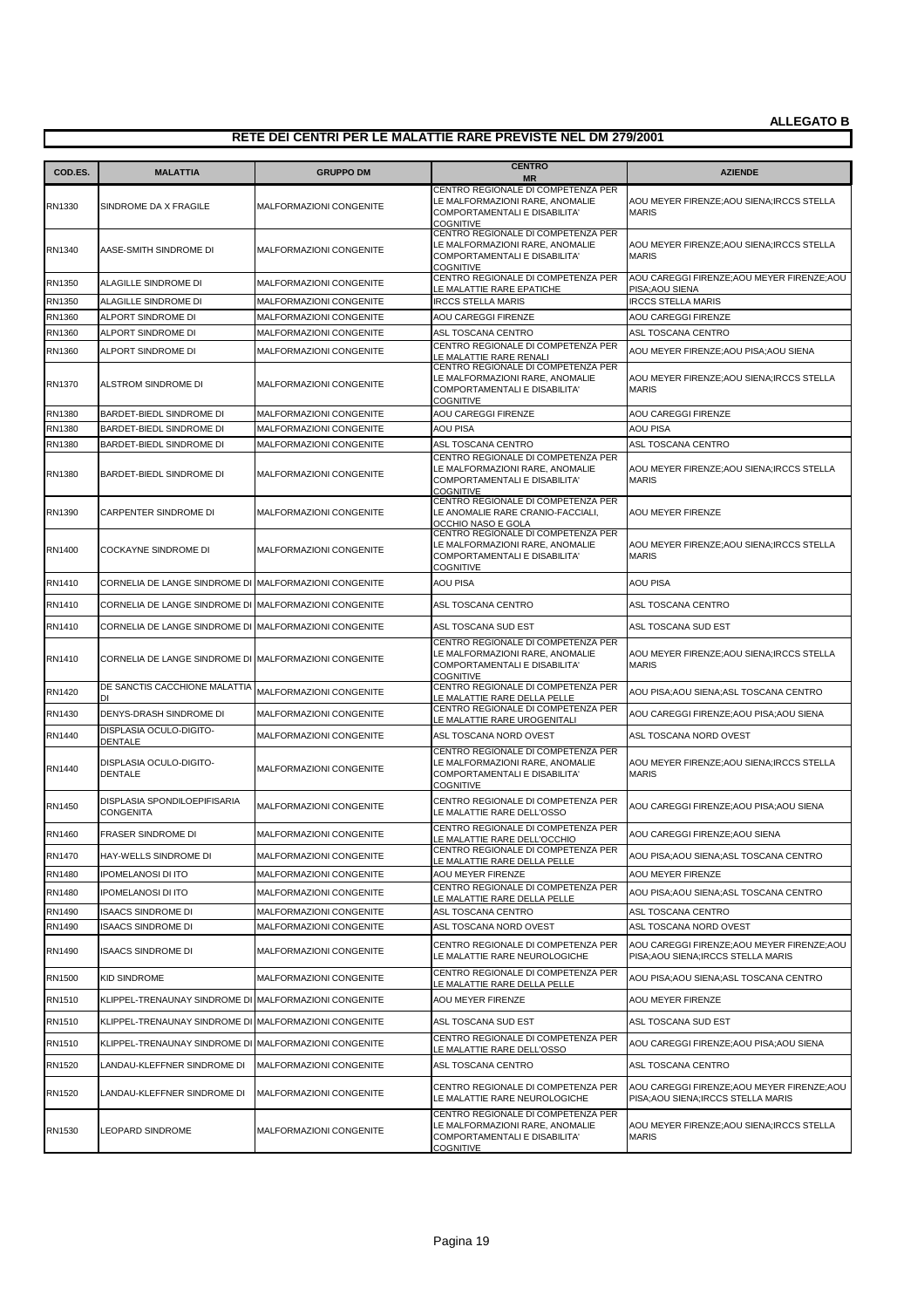| COD.ES. | <b>MALATTIA</b>                                       | <b>GRUPPO DM</b>               | <b>CENTRO</b><br><b>MR</b>                                                                                                        | <b>AZIENDE</b>                                                                     |
|---------|-------------------------------------------------------|--------------------------------|-----------------------------------------------------------------------------------------------------------------------------------|------------------------------------------------------------------------------------|
| RN1330  | SINDROME DA X FRAGILE                                 | MALFORMAZIONI CONGENITE        | CENTRO REGIONALE DI COMPETENZA PER<br>LE MALFORMAZIONI RARE, ANOMALIE<br>COMPORTAMENTALI E DISABILITA'<br><b>COGNITIVE</b>        | AOU MEYER FIRENZE; AOU SIENA; IRCCS STELLA<br><b>MARIS</b>                         |
| RN1340  | AASE-SMITH SINDROME DI                                | <b>MALFORMAZIONI CONGENITE</b> | CENTRO REGIONALE DI COMPETENZA PER<br>LE MALFORMAZIONI RARE, ANOMALIE<br><b>COMPORTAMENTALI E DISABILITA'</b><br><b>COGNITIVE</b> | AOU MEYER FIRENZE;AOU SIENA;IRCCS STELLA<br><b>MARIS</b>                           |
| RN1350  | ALAGILLE SINDROME DI                                  | MALFORMAZIONI CONGENITE        | CENTRO REGIONALE DI COMPETENZA PER<br>LE MALATTIE RARE EPATICHE                                                                   | AOU CAREGGI FIRENZE; AOU MEYER FIRENZE; AOU<br>PISA; AOU SIENA                     |
| RN1350  | ALAGILLE SINDROME DI                                  | MALFORMAZIONI CONGENITE        | <b>IRCCS STELLA MARIS</b>                                                                                                         | <b>IRCCS STELLA MARIS</b>                                                          |
| RN1360  | ALPORT SINDROME DI                                    | <b>MALFORMAZIONI CONGENITE</b> | <b>AOU CAREGGI FIRENZE</b>                                                                                                        | AOU CAREGGI FIRENZE                                                                |
| RN1360  | ALPORT SINDROME DI                                    | MALFORMAZIONI CONGENITE        | ASL TOSCANA CENTRO                                                                                                                | ASL TOSCANA CENTRO                                                                 |
| RN1360  | ALPORT SINDROME DI                                    | MALFORMAZIONI CONGENITE        | CENTRO REGIONALE DI COMPETENZA PER<br>E MALATTIE RARE RENALI                                                                      | AOU MEYER FIRENZE; AOU PISA; AOU SIENA                                             |
| RN1370  | ALSTROM SINDROME DI                                   | MALFORMAZIONI CONGENITE        | CENTRO REGIONALE DI COMPETENZA PER<br>LE MALFORMAZIONI RARE, ANOMALIE<br>COMPORTAMENTALI E DISABILITA'<br><b>COGNITIVE</b>        | AOU MEYER FIRENZE; AOU SIENA; IRCCS STELLA<br><b>MARIS</b>                         |
| RN1380  | BARDET-BIEDL SINDROME DI                              | MALFORMAZIONI CONGENITE        | AOU CAREGGI FIRENZE                                                                                                               | AOU CAREGGI FIRENZE                                                                |
| RN1380  | BARDET-BIEDL SINDROME DI                              | <b>MALFORMAZIONI CONGENITE</b> | <b>AOU PISA</b>                                                                                                                   | AOU PISA                                                                           |
| RN1380  | BARDET-BIEDL SINDROME DI                              | MALFORMAZIONI CONGENITE        | ASL TOSCANA CENTRO                                                                                                                | ASL TOSCANA CENTRO                                                                 |
| RN1380  | BARDET-BIEDL SINDROME DI                              | <b>MALFORMAZIONI CONGENITE</b> | CENTRO REGIONALE DI COMPETENZA PER<br>LE MALFORMAZIONI RARE, ANOMALIE<br>COMPORTAMENTALI E DISABILITA'<br><b>COGNITIVE</b>        | AOU MEYER FIRENZE;AOU SIENA;IRCCS STELLA<br><b>MARIS</b>                           |
| RN1390  | CARPENTER SINDROME DI                                 | MALFORMAZIONI CONGENITE        | CENTRO REGIONALE DI COMPETENZA PER<br>LE ANOMALIE RARE CRANIO-FACCIALI,<br>OCCHIO NASO E GOLA                                     | AOU MEYER FIRENZE                                                                  |
| RN1400  | <b>COCKAYNE SINDROME DI</b>                           | <b>MALFORMAZIONI CONGENITE</b> | CENTRO REGIONALE DI COMPETENZA PER<br>LE MALFORMAZIONI RARE, ANOMALIE<br>COMPORTAMENTALI E DISABILITA'<br><b>COGNITIVE</b>        | AOU MEYER FIRENZE; AOU SIENA; IRCCS STELLA<br><b>MARIS</b>                         |
| RN1410  | CORNELIA DE LANGE SINDROME DI MALFORMAZIONI CONGENITE |                                | <b>AOU PISA</b>                                                                                                                   | AOU PISA                                                                           |
| RN1410  | CORNELIA DE LANGE SINDROME DI MALFORMAZIONI CONGENITE |                                | ASL TOSCANA CENTRO                                                                                                                | ASL TOSCANA CENTRO                                                                 |
| RN1410  | CORNELIA DE LANGE SINDROME DI MALFORMAZIONI CONGENITE |                                | ASL TOSCANA SUD EST                                                                                                               | ASL TOSCANA SUD EST                                                                |
| RN1410  | CORNELIA DE LANGE SINDROME DI MALFORMAZIONI CONGENITE |                                | CENTRO REGIONALE DI COMPETENZA PER<br>LE MALFORMAZIONI RARE, ANOMALIE<br>COMPORTAMENTALI E DISABILITA'<br><b>COGNITIVE</b>        | AOU MEYER FIRENZE;AOU SIENA;IRCCS STELLA<br><b>MARIS</b>                           |
| RN1420  | DE SANCTIS CACCHIONE MALATTIA<br>וח                   | MALFORMAZIONI CONGENITE        | CENTRO REGIONALE DI COMPETENZA PER<br>LE MALATTIE RARE DELLA PELLE                                                                | AOU PISA;AOU SIENA;ASL TOSCANA CENTRO                                              |
| RN1430  | DENYS-DRASH SINDROME DI                               | MALFORMAZIONI CONGENITE        | CENTRO REGIONALE DI COMPETENZA PER<br>LE MALATTIE RARE UROGENITALI                                                                | AOU CAREGGI FIRENZE;AOU PISA;AOU SIENA                                             |
| RN1440  | DISPLASIA OCULO-DIGITO-<br>DENTALE                    | MALFORMAZIONI CONGENITE        | ASL TOSCANA NORD OVEST                                                                                                            | ASL TOSCANA NORD OVEST                                                             |
| RN1440  | DISPLASIA OCULO-DIGITO-<br>DENTALE                    | MALFORMAZIONI CONGENITE        | CENTRO REGIONALE DI COMPETENZA PER<br>LE MALFORMAZIONI RARE, ANOMALIE<br><b>COMPORTAMENTALI E DISABILITA'</b><br><b>COGNITIVE</b> | AOU MEYER FIRENZE;AOU SIENA;IRCCS STELLA<br><b>MARIS</b>                           |
| RN1450  | DISPLASIA SPONDILOEPIFISARIA<br><b>CONGENITA</b>      | <b>MALFORMAZIONI CONGENITE</b> | CENTRO REGIONALE DI COMPETENZA PER<br>LE MALATTIE RARE DELL'OSSO                                                                  | AOU CAREGGI FIRENZE;AOU PISA;AOU SIENA                                             |
| RN1460  | FRASER SINDROME DI                                    | MALFORMAZIONI CONGENITE        | CENTRO REGIONALE DI COMPETENZA PER<br>LE MALATTIE RARE DELL'OCCHIO                                                                | AOU CAREGGI FIRENZE;AOU SIENA                                                      |
| RN1470  | HAY-WELLS SINDROME DI                                 | MALFORMAZIONI CONGENITE        | CENTRO REGIONALE DI COMPETENZA PER<br>LE MALATTIE RARE DELLA PELLE                                                                | AOU PISA; AOU SIENA; ASL TOSCANA CENTRO                                            |
| RN1480  | <b>IPOMELANOSI DI ITO</b>                             | MALFORMAZIONI CONGENITE        | AOU MEYER FIRENZE                                                                                                                 | <b>AOU MEYER FIRENZE</b>                                                           |
| RN1480  | <b>IPOMELANOSI DI ITO</b>                             | MALFORMAZIONI CONGENITE        | CENTRO REGIONALE DI COMPETENZA PER<br>LE MALATTIE RARE DELLA PELLE                                                                | AOU PISA; AOU SIENA; ASL TOSCANA CENTRO                                            |
| RN1490  | <b>ISAACS SINDROME DI</b>                             | MALFORMAZIONI CONGENITE        | ASL TOSCANA CENTRO                                                                                                                | ASL TOSCANA CENTRO                                                                 |
| RN1490  | <b>ISAACS SINDROME DI</b>                             | MALFORMAZIONI CONGENITE        | ASL TOSCANA NORD OVEST                                                                                                            | ASL TOSCANA NORD OVEST                                                             |
| RN1490  | <b>ISAACS SINDROME DI</b>                             | MALFORMAZIONI CONGENITE        | CENTRO REGIONALE DI COMPETENZA PER<br>LE MALATTIE RARE NEUROLOGICHE                                                               | AOU CAREGGI FIRENZE; AOU MEYER FIRENZE; AOU<br>PISA; AOU SIENA; IRCCS STELLA MARIS |
| RN1500  | <b>KID SINDROME</b>                                   | MALFORMAZIONI CONGENITE        | CENTRO REGIONALE DI COMPETENZA PER<br>LE MALATTIE RARE DELLA PELLE                                                                | AOU PISA;AOU SIENA;ASL TOSCANA CENTRO                                              |
| RN1510  | KLIPPEL-TRENAUNAY SINDROME DI MALFORMAZIONI CONGENITE |                                | AOU MEYER FIRENZE                                                                                                                 | AOU MEYER FIRENZE                                                                  |
| RN1510  | KLIPPEL-TRENAUNAY SINDROME DI MALFORMAZIONI CONGENITE |                                | ASL TOSCANA SUD EST                                                                                                               | ASL TOSCANA SUD EST                                                                |
| RN1510  | KLIPPEL-TRENAUNAY SINDROME DI MALFORMAZIONI CONGENITE |                                | CENTRO REGIONALE DI COMPETENZA PER<br>LE MALATTIE RARE DELL'OSSO                                                                  | AOU CAREGGI FIRENZE;AOU PISA;AOU SIENA                                             |
| RN1520  | LANDAU-KLEFFNER SINDROME DI                           | MALFORMAZIONI CONGENITE        | ASL TOSCANA CENTRO                                                                                                                | ASL TOSCANA CENTRO                                                                 |
| RN1520  | LANDAU-KLEFFNER SINDROME DI                           | MALFORMAZIONI CONGENITE        | CENTRO REGIONALE DI COMPETENZA PER<br>LE MALATTIE RARE NEUROLOGICHE                                                               | AOU CAREGGI FIRENZE; AOU MEYER FIRENZE; AOU<br>PISA; AOU SIENA; IRCCS STELLA MARIS |
| RN1530  | LEOPARD SINDROME                                      | MALFORMAZIONI CONGENITE        | CENTRO REGIONALE DI COMPETENZA PER<br>LE MALFORMAZIONI RARE, ANOMALIE<br>COMPORTAMENTALI E DISABILITA'<br><b>COGNITIVE</b>        | AOU MEYER FIRENZE; AOU SIENA; IRCCS STELLA<br><b>MARIS</b>                         |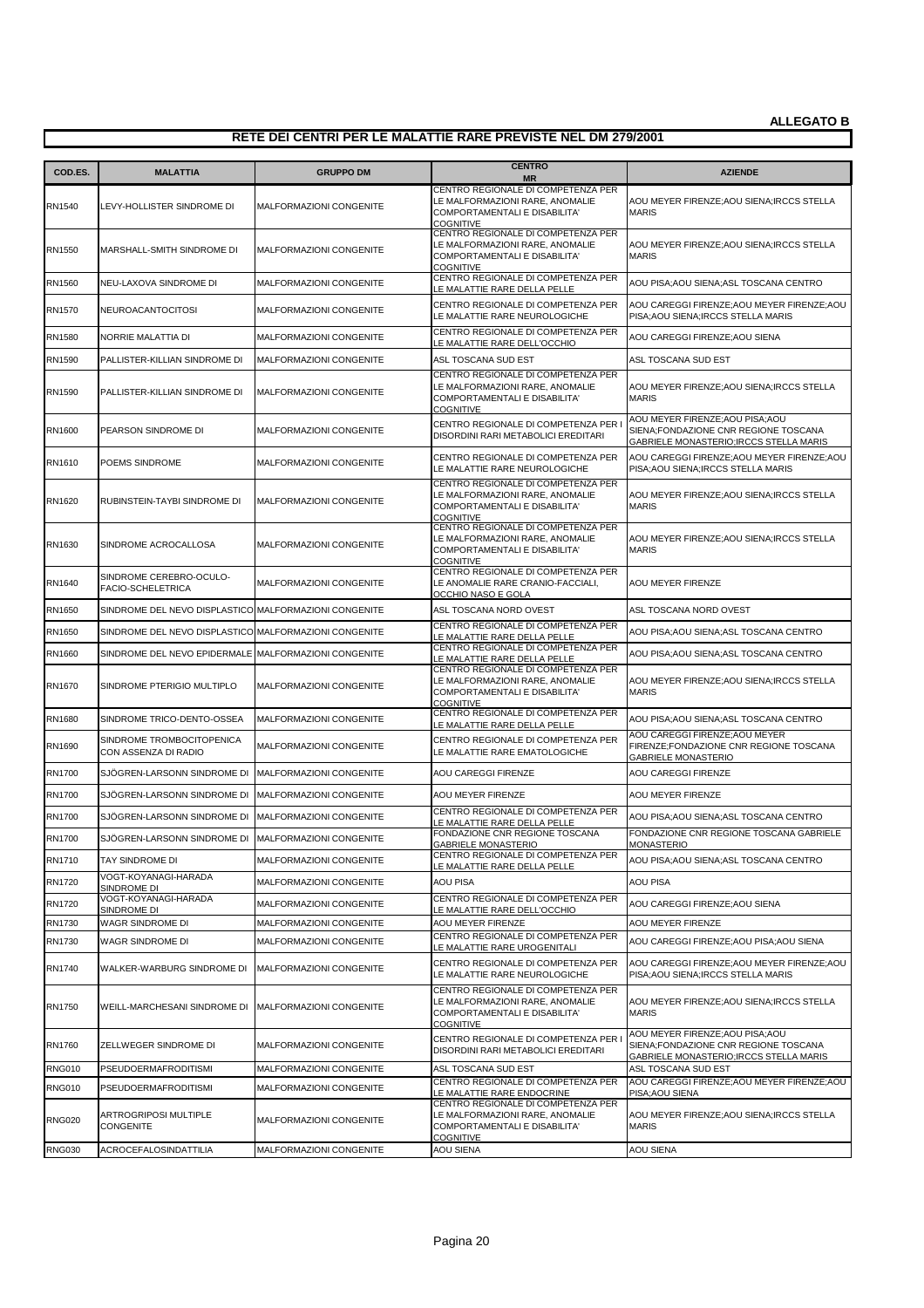| COD.ES.       | <b>MALATTIA</b>                                       | <b>GRUPPO DM</b>               | <b>CENTRO</b><br><b>MR</b>                                                                                                 | <b>AZIENDE</b>                                                                                                      |
|---------------|-------------------------------------------------------|--------------------------------|----------------------------------------------------------------------------------------------------------------------------|---------------------------------------------------------------------------------------------------------------------|
| RN1540        | LEVY-HOLLISTER SINDROME DI                            | MALFORMAZIONI CONGENITE        | CENTRO REGIONALE DI COMPETENZA PER<br>LE MALFORMAZIONI RARE, ANOMALIE<br>COMPORTAMENTALI E DISABILITA'<br><b>COGNITIVE</b> | AOU MEYER FIRENZE: AOU SIENA: IRCCS STELLA<br>MARIS                                                                 |
| RN1550        | MARSHALL-SMITH SINDROME DI                            | <b>MALFORMAZIONI CONGENITE</b> | CENTRO REGIONALE DI COMPETENZA PER<br>LE MALFORMAZIONI RARE, ANOMALIE<br>COMPORTAMENTALI E DISABILITA'<br><b>COGNITIVE</b> | AOU MEYER FIRENZE;AOU SIENA;IRCCS STELLA<br><b>MARIS</b>                                                            |
| RN1560        | NEU-LAXOVA SINDROME DI                                | MALFORMAZIONI CONGENITE        | CENTRO REGIONALE DI COMPETENZA PER<br>LE MALATTIE RARE DELLA PELLE                                                         | AOU PISA;AOU SIENA;ASL TOSCANA CENTRO                                                                               |
| RN1570        | NEUROACANTOCITOSI                                     | <b>MALFORMAZIONI CONGENITE</b> | CENTRO REGIONALE DI COMPETENZA PER<br>LE MALATTIE RARE NEUROLOGICHE                                                        | AOU CAREGGI FIRENZE; AOU MEYER FIRENZE; AOU<br>PISA;AOU SIENA;IRCCS STELLA MARIS                                    |
| RN1580        | NORRIE MALATTIA DI                                    | <b>MALFORMAZIONI CONGENITE</b> | CENTRO REGIONALE DI COMPETENZA PER<br>LE MALATTIE RARE DELL'OCCHIO                                                         | AOU CAREGGI FIRENZE; AOU SIENA                                                                                      |
| RN1590        | PALLISTER-KILLIAN SINDROME DI                         | <b>MALFORMAZIONI CONGENITE</b> | ASL TOSCANA SUD EST                                                                                                        | ASL TOSCANA SUD EST                                                                                                 |
| RN1590        | PALLISTER-KILLIAN SINDROME DI                         | <b>MALFORMAZIONI CONGENITE</b> | CENTRO REGIONALE DI COMPETENZA PER<br>LE MALFORMAZIONI RARE, ANOMALIE<br>COMPORTAMENTALI E DISABILITA'<br><b>COGNITIVE</b> | AOU MEYER FIRENZE; AOU SIENA; IRCCS STELLA<br><b>MARIS</b>                                                          |
| RN1600        | PEARSON SINDROME DI                                   | MALFORMAZIONI CONGENITE        | CENTRO REGIONALE DI COMPETENZA PER<br>DISORDINI RARI METABOLICI EREDITARI                                                  | AOU MEYER FIRENZE; AOU PISA; AOU<br>SIENA;FONDAZIONE CNR REGIONE TOSCANA<br>GABRIELE MONASTERIO; IRCCS STELLA MARIS |
| RN1610        | POEMS SINDROME                                        | MALFORMAZIONI CONGENITE        | CENTRO REGIONALE DI COMPETENZA PER<br>LE MALATTIE RARE NEUROLOGICHE                                                        | AOU CAREGGI FIRENZE;AOU MEYER FIRENZE;AOU<br>PISA; AOU SIENA; IRCCS STELLA MARIS                                    |
| RN1620        | RUBINSTEIN-TAYBI SINDROME DI                          | MALFORMAZIONI CONGENITE        | CENTRO REGIONALE DI COMPETENZA PER<br>LE MALFORMAZIONI RARE, ANOMALIE<br>COMPORTAMENTALI E DISABILITA'<br><b>COGNITIVE</b> | AOU MEYER FIRENZE; AOU SIENA; IRCCS STELLA<br><b>MARIS</b>                                                          |
| RN1630        | SINDROME ACROCALLOSA                                  | MALFORMAZIONI CONGENITE        | CENTRO REGIONALE DI COMPETENZA PER<br>LE MALFORMAZIONI RARE, ANOMALIE<br>COMPORTAMENTALI E DISABILITA'<br><b>COGNITIVE</b> | AOU MEYER FIRENZE;AOU SIENA;IRCCS STELLA<br><b>MARIS</b>                                                            |
| RN1640        | SINDROME CEREBRO-OCULO-<br><b>FACIO-SCHELETRICA</b>   | MALFORMAZIONI CONGENITE        | CENTRO REGIONALE DI COMPETENZA PER<br>LE ANOMALIE RARE CRANIO-FACCIALI,<br>OCCHIO NASO E GOLA                              | AOU MEYER FIRENZE                                                                                                   |
| RN1650        | SINDROME DEL NEVO DISPLASTICO MALFORMAZIONI CONGENITE |                                | ASL TOSCANA NORD OVEST                                                                                                     | ASL TOSCANA NORD OVEST                                                                                              |
| RN1650        | SINDROME DEL NEVO DISPLASTICO MALFORMAZIONI CONGENITE |                                | CENTRO REGIONALE DI COMPETENZA PER<br>LE MALATTIE RARE DELLA PELLE                                                         | AOU PISA;AOU SIENA;ASL TOSCANA CENTRO                                                                               |
| RN1660        | SINDROME DEL NEVO EPIDERMALE MALFORMAZIONI CONGENITE  |                                | CENTRO REGIONALE DI COMPETENZA PER<br>LE MALATTIE RARE DELLA PELLE                                                         | AOU PISA;AOU SIENA;ASL TOSCANA CENTRO                                                                               |
| RN1670        | SINDROME PTERIGIO MULTIPLO                            | MALFORMAZIONI CONGENITE        | CENTRO REGIONALE DI COMPETENZA PER<br>LE MALFORMAZIONI RARE, ANOMALIE<br>COMPORTAMENTALI E DISABILITA'<br><b>COGNITIVE</b> | AOU MEYER FIRENZE; AOU SIENA; IRCCS STELLA<br><b>MARIS</b>                                                          |
| RN1680        | SINDROME TRICO-DENTO-OSSEA                            | MALFORMAZIONI CONGENITE        | CENTRO REGIONALE DI COMPETENZA PER<br>LE MALATTIE RARE DELLA PELLE                                                         | AOU PISA;AOU SIENA;ASL TOSCANA CENTRO                                                                               |
| RN1690        | SINDROME TROMBOCITOPENICA<br>CON ASSENZA DI RADIO     | <b>MALFORMAZIONI CONGENITE</b> | CENTRO REGIONALE DI COMPETENZA PER<br>LE MALATTIE RARE EMATOLOGICHE                                                        | AOU CAREGGI FIRENZE; AOU MEYER<br>FIRENZE;FONDAZIONE CNR REGIONE TOSCANA<br>GABRIELE MONASTERIO                     |
| <b>RN1700</b> | SJÖGREN-LARSONN SINDROME DI MALFORMAZIONI CONGENITE   |                                | AOU CAREGGI FIRENZE                                                                                                        | AOU CAREGGI FIRENZE                                                                                                 |
| RN1700        | SJÖGREN-LARSONN SINDROME DI                           | MALFORMAZIONI CONGENITE        | AOU MEYER FIRENZE                                                                                                          | AOU MEYER FIRENZE                                                                                                   |
| RN1700        | SJÖGREN-LARSONN SINDROME DI                           | MALFORMAZIONI CONGENITE        | CENTRO REGIONALE DI COMPETENZA PER<br>E MALATTIE RARE DELLA PELLE                                                          | AOU PISA;AOU SIENA;ASL TOSCANA CENTRO                                                                               |
| RN1700        | SJÖGREN-LARSONN SINDROME DI MALFORMAZIONI CONGENITE   |                                | FONDAZIONE CNR REGIONE TOSCANA<br>GARRIELE MONASTERIO                                                                      | FONDAZIONE CNR REGIONE TOSCANA GABRIELE<br><b>MONASTERIO</b>                                                        |
| RN1710        | TAY SINDROME DI                                       | MALFORMAZIONI CONGENITE        | CENTRO REGIONALE DI COMPETENZA PER<br>LE MALATTIE RARE DELLA PELLE                                                         | AOU PISA;AOU SIENA;ASL TOSCANA CENTRO                                                                               |
| <b>RN1720</b> | VOGT-KOYANAGI-HARADA<br>SINDROME DI                   | MALFORMAZIONI CONGENITE        | <b>AOU PISA</b>                                                                                                            | AOU PISA                                                                                                            |
| RN1720        | VOGT-KOYANAGI-HARADA<br>SINDROME DI                   | MALFORMAZIONI CONGENITE        | CENTRO REGIONALE DI COMPETENZA PER<br>LE MALATTIE RARE DELL'OCCHIO                                                         | AOU CAREGGI FIRENZE;AOU SIENA                                                                                       |
| RN1730        | WAGR SINDROME DI                                      | MALFORMAZIONI CONGENITE        | AOU MEYER FIRENZE                                                                                                          | AOU MEYER FIRENZE                                                                                                   |
| RN1730        | WAGR SINDROME DI                                      | MALFORMAZIONI CONGENITE        | CENTRO REGIONALE DI COMPETENZA PER<br>LE MALATTIE RARE UROGENITALI                                                         | AOU CAREGGI FIRENZE;AOU PISA;AOU SIENA                                                                              |
| RN1740        | WALKER-WARBURG SINDROME DI                            | MALFORMAZIONI CONGENITE        | CENTRO REGIONALE DI COMPETENZA PER<br>LE MALATTIE RARE NEUROLOGICHE                                                        | AOU CAREGGI FIRENZE; AOU MEYER FIRENZE; AOU<br>PISA; AOU SIENA; IRCCS STELLA MARIS                                  |
| RN1750        | WEILL-MARCHESANI SINDROME DI                          | MALFORMAZIONI CONGENITE        | CENTRO REGIONALE DI COMPETENZA PER<br>LE MALFORMAZIONI RARE, ANOMALIE<br>COMPORTAMENTALI E DISABILITA'<br><b>COGNITIVE</b> | AOU MEYER FIRENZE; AOU SIENA; IRCCS STELLA<br><b>MARIS</b>                                                          |
| RN1760        | ZELLWEGER SINDROME DI                                 | MALFORMAZIONI CONGENITE        | CENTRO REGIONALE DI COMPETENZA PER<br>DISORDINI RARI METABOLICI EREDITARI                                                  | AOU MEYER FIRENZE; AOU PISA; AOU<br>SIENA;FONDAZIONE CNR REGIONE TOSCANA<br>GABRIELE MONASTERIO; IRCCS STELLA MARIS |
| <b>RNG010</b> | PSEUDOERMAFRODITISMI                                  | MALFORMAZIONI CONGENITE        | ASL TOSCANA SUD EST<br>CENTRO REGIONALE DI COMPETENZA PER                                                                  | ASL TOSCANA SUD EST<br>AOU CAREGGI FIRENZE; AOU MEYER FIRENZE; AOU                                                  |
| <b>RNG010</b> | PSEUDOERMAFRODITISMI                                  | MALFORMAZIONI CONGENITE        | LE MALATTIE RARE ENDOCRINE<br>CENTRO REGIONALE DI COMPETENZA PER                                                           | PISA; AOU SIENA                                                                                                     |
| <b>RNG020</b> | ARTROGRIPOSI MULTIPLE<br><b>CONGENITE</b>             | MALFORMAZIONI CONGENITE        | LE MALFORMAZIONI RARE, ANOMALIE<br>COMPORTAMENTALI E DISABILITA'<br><b>COGNITIVE</b>                                       | AOU MEYER FIRENZE; AOU SIENA; IRCCS STELLA<br><b>MARIS</b>                                                          |
| <b>RNG030</b> | ACROCEFALOSINDATTILIA                                 | MALFORMAZIONI CONGENITE        | AOU SIENA                                                                                                                  | AOU SIENA                                                                                                           |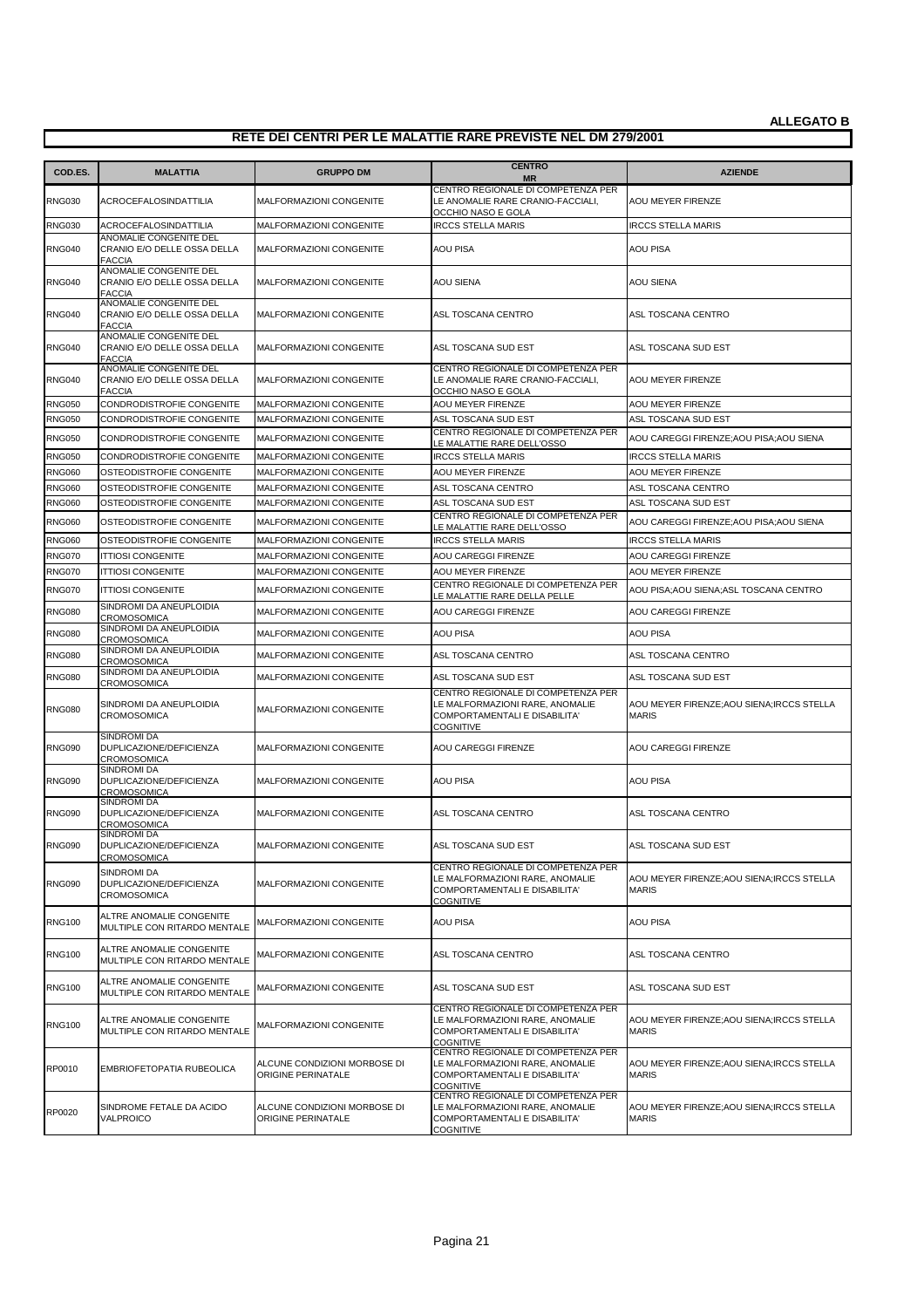| COD.ES.       | <b>MALATTIA</b>                                                        | <b>GRUPPO DM</b>                                   | <b>CENTRO</b><br><b>MR</b>                                                                                                 | <b>AZIENDE</b>                                             |
|---------------|------------------------------------------------------------------------|----------------------------------------------------|----------------------------------------------------------------------------------------------------------------------------|------------------------------------------------------------|
| <b>RNG030</b> | ACROCEFALOSINDATTILIA                                                  | <b>MALFORMAZIONI CONGENITE</b>                     | CENTRO REGIONALE DI COMPETENZA PER<br>LE ANOMALIE RARE CRANIO-FACCIALI,                                                    | AOU MEYER FIRENZE                                          |
| <b>RNG030</b> | ACROCEFALOSINDATTILIA                                                  | MALFORMAZIONI CONGENITE                            | OCCHIO NASO E GOLA<br><b>IRCCS STELLA MARIS</b>                                                                            | <b>IRCCS STELLA MARIS</b>                                  |
| <b>RNG040</b> | ANOMALIE CONGENITE DEL<br>CRANIO E/O DELLE OSSA DELLA<br><b>FACCIA</b> | MALFORMAZIONI CONGENITE                            | <b>AOU PISA</b>                                                                                                            | <b>AOU PISA</b>                                            |
| <b>RNG040</b> | ANOMALIE CONGENITE DEL<br>CRANIO E/O DELLE OSSA DELLA<br><b>FACCIA</b> | MALFORMAZIONI CONGENITE                            | AOU SIENA                                                                                                                  | <b>AOU SIENA</b>                                           |
| <b>RNG040</b> | ANOMALIE CONGENITE DEL<br>CRANIO E/O DELLE OSSA DELLA<br><b>FACCIA</b> | MALFORMAZIONI CONGENITE                            | ASL TOSCANA CENTRO                                                                                                         | ASL TOSCANA CENTRO                                         |
| <b>RNG040</b> | ANOMALIE CONGENITE DEL<br>CRANIO E/O DELLE OSSA DELLA<br><b>FACCIA</b> | MALFORMAZIONI CONGENITE                            | ASL TOSCANA SUD EST                                                                                                        | ASL TOSCANA SUD EST                                        |
| <b>RNG040</b> | <b>ANOMALIE CONGENITE DEL</b><br>CRANIO E/O DELLE OSSA DELLA<br>FACCIA | MALFORMAZIONI CONGENITE                            | CENTRO REGIONALE DI COMPETENZA PER<br>LE ANOMALIE RARE CRANIO-FACCIALI,<br>OCCHIO NASO E GOLA                              | AOU MEYER FIRENZE                                          |
| <b>RNG050</b> | CONDRODISTROFIE CONGENITE                                              | MALFORMAZIONI CONGENITE                            | AOU MEYER FIRENZE                                                                                                          | AOU MEYER FIRENZE                                          |
| <b>RNG050</b> | CONDRODISTROFIE CONGENITE                                              | MALFORMAZIONI CONGENITE                            | ASL TOSCANA SUD EST                                                                                                        | ASL TOSCANA SUD EST                                        |
| <b>RNG050</b> | CONDRODISTROFIE CONGENITE                                              | MALFORMAZIONI CONGENITE                            | CENTRO REGIONALE DI COMPETENZA PER<br>LE MALATTIE RARE DELL'OSSO                                                           | AOU CAREGGI FIRENZE;AOU PISA;AOU SIENA                     |
| <b>RNG050</b> | CONDRODISTROFIE CONGENITE                                              | MALFORMAZIONI CONGENITE                            | <b>IRCCS STELLA MARIS</b>                                                                                                  | <b>IRCCS STELLA MARIS</b>                                  |
| <b>RNG060</b> | OSTEODISTROFIE CONGENITE                                               | MALFORMAZIONI CONGENITE                            | AOU MEYER FIRENZE                                                                                                          | <b>AOU MEYER FIRENZE</b>                                   |
| <b>RNG060</b> | OSTEODISTROFIE CONGENITE                                               | MALFORMAZIONI CONGENITE                            | ASL TOSCANA CENTRO                                                                                                         | ASL TOSCANA CENTRO                                         |
| <b>RNG060</b> | OSTEODISTROFIE CONGENITE                                               | MALFORMAZIONI CONGENITE                            | ASL TOSCANA SUD EST                                                                                                        | ASL TOSCANA SUD EST                                        |
| <b>RNG060</b> | OSTEODISTROFIE CONGENITE                                               | MALFORMAZIONI CONGENITE                            | CENTRO REGIONALE DI COMPETENZA PER<br>LE MALATTIE RARE DELL'OSSO                                                           | AOU CAREGGI FIRENZE;AOU PISA;AOU SIENA                     |
| <b>RNG060</b> | OSTEODISTROFIE CONGENITE                                               | MALFORMAZIONI CONGENITE                            | <b>IRCCS STELLA MARIS</b>                                                                                                  | <b>IRCCS STELLA MARIS</b>                                  |
| <b>RNG070</b> | <b>ITTIOSI CONGENITE</b>                                               | MALFORMAZIONI CONGENITE                            | <b>AOU CAREGGI FIRENZE</b>                                                                                                 | AOU CAREGGI FIRENZE                                        |
| <b>RNG070</b> | <b>ITTIOSI CONGENITE</b>                                               | MALFORMAZIONI CONGENITE                            | AOU MEYER FIRENZE                                                                                                          | <b>AOU MEYER FIRENZE</b>                                   |
| <b>RNG070</b> | <b>ITTIOSI CONGENITE</b>                                               | MALFORMAZIONI CONGENITE                            | CENTRO REGIONALE DI COMPETENZA PER                                                                                         | AOU PISA; AOU SIENA; ASL TOSCANA CENTRO                    |
| <b>RNG080</b> | SINDROMI DA ANEUPLOIDIA                                                | MALFORMAZIONI CONGENITE                            | LE MALATTIE RARE DELLA PELLE<br><b>AOU CAREGGI FIRENZE</b>                                                                 | AOU CAREGGI FIRENZE                                        |
| <b>RNG080</b> | <b>CROMOSOMICA</b><br>SINDROMI DA ANEUPLOIDIA                          | MALFORMAZIONI CONGENITE                            | AOU PISA                                                                                                                   | AOU PISA                                                   |
| <b>RNG080</b> | <b>CROMOSOMICA</b><br>SINDROMI DA ANEUPLOIDIA                          | MALFORMAZIONI CONGENITE                            | ASL TOSCANA CENTRO                                                                                                         | ASL TOSCANA CENTRO                                         |
| <b>RNG080</b> | CROMOSOMICA<br>SINDROMI DA ANEUPLOIDIA                                 | MALFORMAZIONI CONGENITE                            | ASL TOSCANA SUD EST                                                                                                        | ASL TOSCANA SUD EST                                        |
| <b>RNG080</b> | CROMOSOMICA<br>SINDROMI DA ANEUPLOIDIA<br>CROMOSOMICA                  | MALFORMAZIONI CONGENITE                            | CENTRO REGIONALE DI COMPETENZA PER<br>LE MALFORMAZIONI RARE, ANOMALIE<br>COMPORTAMENTALI E DISABILITA'<br><b>COGNITIVE</b> | AOU MEYER FIRENZE; AOU SIENA; IRCCS STELLA<br>MARIS        |
| <b>RNG090</b> | SINDROMI DA<br>DUPLICAZIONE/DEFICIENZA<br><b>CROMOSOMICA</b>           | MALFORMAZIONI CONGENITE                            | AOU CAREGGI FIRENZE                                                                                                        | AOU CAREGGI FIRENZE                                        |
| <b>RNG090</b> | SINDROMI DA<br>DUPLICAZIONE/DEFICIENZA<br>CROMOSOMICA                  | MALFORMAZIONI CONGENITE                            | AOU PISA                                                                                                                   | <b>AOU PISA</b>                                            |
| <b>RNG090</b> | SINDROMI DA<br>DUPLICAZIONE/DEFICIENZA<br>CROMOSOMICA                  | MALFORMAZIONI CONGENITE                            | ASL TOSCANA CENTRO                                                                                                         | ASL TOSCANA CENTRO                                         |
| <b>RNG090</b> | SINDROMI DA<br>DUPLICAZIONE/DEFICIENZA<br>CROMOSOMICA                  | <b>MALFORMAZIONI CONGENITE</b>                     | ASL TOSCANA SUD EST                                                                                                        | ASL TOSCANA SUD EST                                        |
| <b>RNG090</b> | SINDROMI DA<br>DUPLICAZIONE/DEFICIENZA<br>CROMOSOMICA                  | MALFORMAZIONI CONGENITE                            | CENTRO REGIONALE DI COMPETENZA PER<br>LE MALFORMAZIONI RARE, ANOMALIE<br>COMPORTAMENTALI E DISABILITA'<br><b>COGNITIVE</b> | AOU MEYER FIRENZE; AOU SIENA; IRCCS STELLA<br><b>MARIS</b> |
| <b>RNG100</b> | ALTRE ANOMALIE CONGENITE<br>MULTIPLE CON RITARDO MENTALE               | MALFORMAZIONI CONGENITE                            | AOU PISA                                                                                                                   | AOU PISA                                                   |
| <b>RNG100</b> | ALTRE ANOMALIE CONGENITE<br>MULTIPLE CON RITARDO MENTALE               | MALFORMAZIONI CONGENITE                            | ASL TOSCANA CENTRO                                                                                                         | ASL TOSCANA CENTRO                                         |
| <b>RNG100</b> | ALTRE ANOMALIE CONGENITE<br>MULTIPLE CON RITARDO MENTALE               | MALFORMAZIONI CONGENITE                            | ASL TOSCANA SUD EST                                                                                                        | ASL TOSCANA SUD EST                                        |
| <b>RNG100</b> | ALTRE ANOMALIE CONGENITE<br>MULTIPLE CON RITARDO MENTALE               | MALFORMAZIONI CONGENITE                            | CENTRO REGIONALE DI COMPETENZA PER<br>LE MALFORMAZIONI RARE, ANOMALIE<br>COMPORTAMENTALI E DISABILITA'<br><b>COGNITIVE</b> | AOU MEYER FIRENZE; AOU SIENA; IRCCS STELLA<br><b>MARIS</b> |
| RP0010        | EMBRIOFETOPATIA RUBEOLICA                                              | ALCUNE CONDIZIONI MORBOSE DI<br>ORIGINE PERINATALE | CENTRO REGIONALE DI COMPETENZA PER<br>LE MALFORMAZIONI RARE, ANOMALIE<br>COMPORTAMENTALI E DISABILITA'<br><b>COGNITIVE</b> | AOU MEYER FIRENZE; AOU SIENA; IRCCS STELLA<br><b>MARIS</b> |
| RP0020        | SINDROME FETALE DA ACIDO<br>VALPROICO                                  | ALCUNE CONDIZIONI MORBOSE DI<br>ORIGINE PERINATALE | CENTRO REGIONALE DI COMPETENZA PER<br>LE MALFORMAZIONI RARE, ANOMALIE<br>COMPORTAMENTALI E DISABILITA'<br><b>COGNITIVE</b> | AOU MEYER FIRENZE; AOU SIENA; IRCCS STELLA<br><b>MARIS</b> |